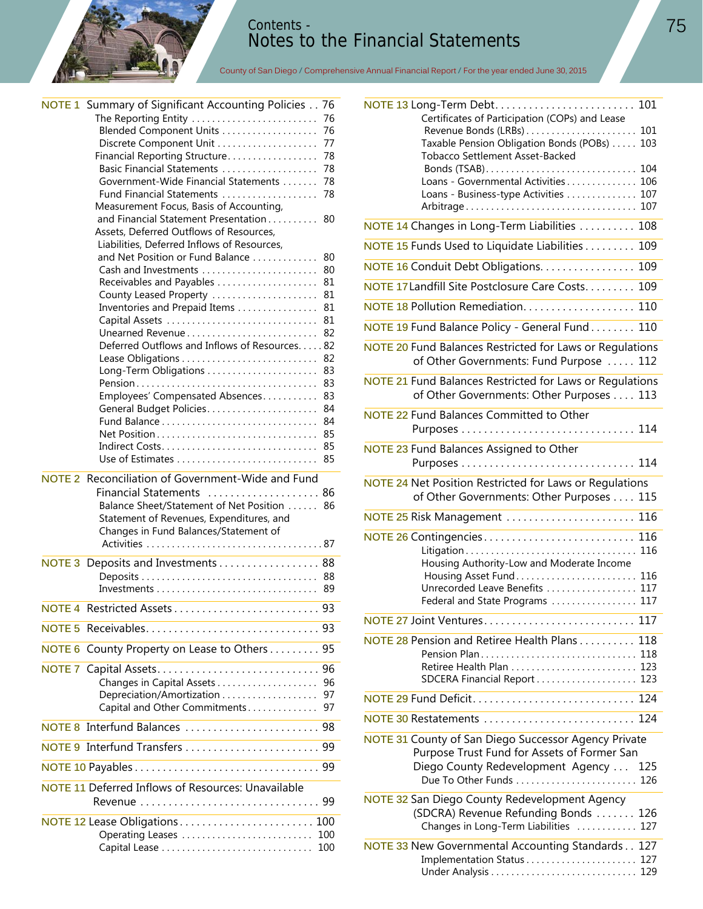## Contents - Notes to the Financial Statements

County of San Diego **/** Comprehensive Annual Financial Report **/** For the year ended June 30, 2015

|               | <b>NOTE 1</b> Summary of Significant Accounting Policies 76 |          |
|---------------|-------------------------------------------------------------|----------|
|               | The Reporting Entity                                        | 76       |
|               | Blended Component Units                                     | 76       |
|               | Discrete Component Unit<br>Financial Reporting Structure    | 77<br>78 |
|               | Basic Financial Statements                                  | 78       |
|               | Government-Wide Financial Statements                        | 78       |
|               | Fund Financial Statements                                   | 78       |
|               | Measurement Focus, Basis of Accounting,                     |          |
|               | and Financial Statement Presentation                        | 80       |
|               | Assets, Deferred Outflows of Resources,                     |          |
|               | Liabilities, Deferred Inflows of Resources,                 |          |
|               | and Net Position or Fund Balance                            | 80       |
|               | Cash and Investments                                        | 80       |
|               | Receivables and Payables                                    | 81<br>81 |
|               | County Leased Property<br>Inventories and Prepaid Items     | 81       |
|               | Capital Assets                                              | 81       |
|               | Unearned Revenue                                            | 82       |
|               | Deferred Outflows and Inflows of Resources.                 | 82       |
|               |                                                             | 82       |
|               | Long-Term Obligations                                       | 83       |
|               |                                                             | 83       |
|               | Employees' Compensated Absences                             | 83       |
|               | General Budget Policies                                     | 84       |
|               |                                                             | 84       |
|               | Net Position                                                | 85<br>85 |
|               | Use of Estimates                                            | 85       |
|               |                                                             |          |
|               | NOTE 2 Reconciliation of Government-Wide and Fund           |          |
|               | <b>Financial Statements</b>                                 | 86       |
|               | Balance Sheet/Statement of Net Position                     | 86       |
|               | Statement of Revenues, Expenditures, and                    |          |
|               | Changes in Fund Balances/Statement of                       |          |
|               |                                                             |          |
| <b>NOTE 3</b> | Deposits and Investments                                    | 88       |
|               |                                                             | 88       |
|               |                                                             | 89       |
|               | NOTE 4 Restricted Assets                                    | 93       |
|               |                                                             |          |
|               | NOTE 6 County Property on Lease to Others                   | 95       |
|               | NOTE 7 Capital Assets                                       | 96       |
|               | Changes in Capital Assets                                   | 96       |
|               | Depreciation/Amortization                                   | 97       |
|               | Capital and Other Commitments                               | 97       |
| NOTE 8        | Interfund Balances  98                                      |          |
|               | NOTE 9 Interfund Transfers  99                              |          |
|               |                                                             | 99       |
|               | <b>NOTE 11 Deferred Inflows of Resources: Unavailable</b>   |          |
|               | Revenue<br>. 99                                             |          |
|               | NOTE 12 Lease Obligations 100                               |          |
|               | Operating Leases                                            | 100      |
|               |                                                             | 100      |
|               |                                                             |          |

| NOTE 13 Long-Term Debt 101<br>Certificates of Participation (COPs) and Lease                                |
|-------------------------------------------------------------------------------------------------------------|
| 101<br>Taxable Pension Obligation Bonds (POBs)<br>103                                                       |
| Tobacco Settlement Asset-Backed<br>Bonds (TSAB)<br>104                                                      |
| Loans - Governmental Activities 106                                                                         |
| Loans - Business-type Activities  107<br>Arbitrage 107                                                      |
|                                                                                                             |
| NOTE 14 Changes in Long-Term Liabilities  108<br>NOTE 15 Funds Used to Liquidate Liabilities 109            |
| NOTE 16 Conduit Debt Obligations. 109                                                                       |
|                                                                                                             |
| NOTE 17 Landfill Site Postclosure Care Costs. 109                                                           |
| NOTE 18 Pollution Remediation. 110                                                                          |
| NOTE 19 Fund Balance Policy - General Fund 110                                                              |
| <b>NOTE 20 Fund Balances Restricted for Laws or Regulations</b><br>of Other Governments: Fund Purpose  112  |
| <b>NOTE 21 Fund Balances Restricted for Laws or Regulations</b><br>of Other Governments: Other Purposes 113 |
| <b>NOTE 22 Fund Balances Committed to Other</b>                                                             |
| NOTE 23 Fund Balances Assigned to Other                                                                     |
|                                                                                                             |
| <b>NOTE 24 Net Position Restricted for Laws or Regulations</b><br>of Other Governments: Other Purposes 115  |
| NOTE 25 Risk Management  116                                                                                |
| <u> 1980 - Johann Barn, mars an t-Amerikaansk kommunister (</u><br>NOTE 26 Contingencies 116                |
| Litigation 116<br>Housing Authority-Low and Moderate Income                                                 |
| Housing Asset Fund 116                                                                                      |
| Unrecorded Leave Benefits  117                                                                              |
| Federal and State Programs  117                                                                             |
| NOTE 27 Joint Ventures 117                                                                                  |
| NOTE 28 Pension and Retiree Health Plans 118                                                                |
| Pension Plan 118                                                                                            |
| SDCERA Financial Report 123                                                                                 |
| NOTE 29 Fund Deficit<br>124                                                                                 |
| NOTE 30 Restatements<br>124                                                                                 |
| <b>NOTE 31 County of San Diego Successor Agency Private</b>                                                 |
| Purpose Trust Fund for Assets of Former San                                                                 |
| Diego County Redevelopment Agency<br>125                                                                    |
| <b>NOTE 32 San Diego County Redevelopment Agency</b>                                                        |
| (SDCRA) Revenue Refunding Bonds  126                                                                        |
| Changes in Long-Term Liabilities  127                                                                       |
| NOTE 33 New Governmental Accounting Standards 127                                                           |
|                                                                                                             |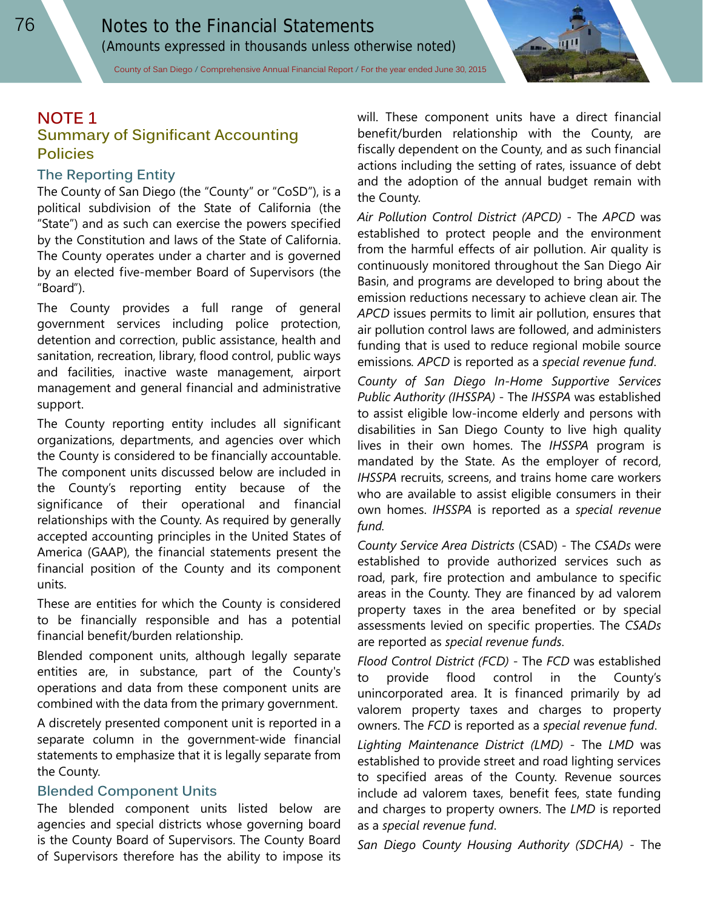# **NOTE 1 Summary of Significant Accounting Policies**

#### **The Reporting Entity**

The County of San Diego (the "County" or "CoSD"), is a political subdivision of the State of California (the "State") and as such can exercise the powers specified by the Constitution and laws of the State of California. The County operates under a charter and is governed by an elected five-member Board of Supervisors (the "Board").

The County provides a full range of general government services including police protection, detention and correction, public assistance, health and sanitation, recreation, library, flood control, public ways and facilities, inactive waste management, airport management and general financial and administrative support.

The County reporting entity includes all significant organizations, departments, and agencies over which the County is considered to be financially accountable. The component units discussed below are included in the County's reporting entity because of the significance of their operational and financial relationships with the County. As required by generally accepted accounting principles in the United States of America (GAAP), the financial statements present the financial position of the County and its component units.

These are entities for which the County is considered to be financially responsible and has a potential financial benefit/burden relationship.

Blended component units, although legally separate entities are, in substance, part of the County's operations and data from these component units are combined with the data from the primary government.

A discretely presented component unit is reported in a separate column in the government-wide financial statements to emphasize that it is legally separate from the County.

#### **Blended Component Units**

The blended component units listed below are agencies and special districts whose governing board is the County Board of Supervisors. The County Board of Supervisors therefore has the ability to impose its will. These component units have a direct financial benefit/burden relationship with the County, are fiscally dependent on the County, and as such financial actions including the setting of rates, issuance of debt and the adoption of the annual budget remain with the County.

*Air Pollution Control District (APCD)* - The *APCD* was established to protect people and the environment from the harmful effects of air pollution. Air quality is continuously monitored throughout the San Diego Air Basin, and programs are developed to bring about the emission reductions necessary to achieve clean air. The *APCD* issues permits to limit air pollution, ensures that air pollution control laws are followed, and administers funding that is used to reduce regional mobile source emissions*. APCD* is reported as a *special revenue fund*.

*County of San Diego In-Home Supportive Services Public Authority (IHSSPA)* - The *IHSSPA* was established to assist eligible low-income elderly and persons with disabilities in San Diego County to live high quality lives in their own homes. The *IHSSPA* program is mandated by the State. As the employer of record, *IHSSPA* recruits, screens, and trains home care workers who are available to assist eligible consumers in their own homes. *IHSSPA* is reported as a *special revenue fund.* 

*County Service Area Districts* (CSAD) - The *CSADs* were established to provide authorized services such as road, park, fire protection and ambulance to specific areas in the County. They are financed by ad valorem property taxes in the area benefited or by special assessments levied on specific properties. The *CSADs* are reported as *special revenue funds*.

*Flood Control District (FCD)* - The *FCD* was established to provide flood control in the County's unincorporated area. It is financed primarily by ad valorem property taxes and charges to property owners. The *FCD* is reported as a *special revenue fund*.

*Lighting Maintenance District (LMD)* - The *LMD* was established to provide street and road lighting services to specified areas of the County. Revenue sources include ad valorem taxes, benefit fees, state funding and charges to property owners. The *LMD* is reported as a *special revenue fund*.

*San Diego County Housing Authority (SDCHA)* - The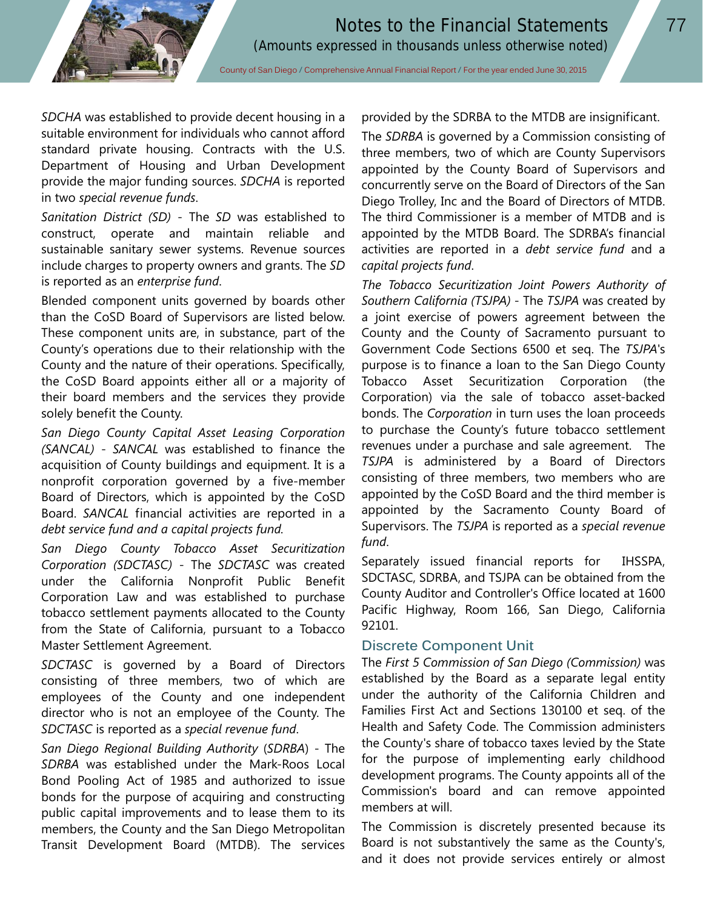

*SDCHA* was established to provide decent housing in a suitable environment for individuals who cannot afford standard private housing. Contracts with the U.S. Department of Housing and Urban Development provide the major funding sources. *SDCHA* is reported in two *special revenue funds*.

*Sanitation District (SD)* - The *SD* was established to construct, operate and maintain reliable and sustainable sanitary sewer systems. Revenue sources include charges to property owners and grants. The *SD* is reported as an *enterprise fund*.

Blended component units governed by boards other than the CoSD Board of Supervisors are listed below. These component units are, in substance, part of the County's operations due to their relationship with the County and the nature of their operations. Specifically, the CoSD Board appoints either all or a majority of their board members and the services they provide solely benefit the County.

*San Diego County Capital Asset Leasing Corporation (SANCAL)* - *SANCAL* was established to finance the acquisition of County buildings and equipment. It is a nonprofit corporation governed by a five-member Board of Directors, which is appointed by the CoSD Board. *SANCAL* financial activities are reported in a *debt service fund and a capital projects fund.*

*San Diego County Tobacco Asset Securitization Corporation (SDCTASC)* - The *SDCTASC* was created under the California Nonprofit Public Benefit Corporation Law and was established to purchase tobacco settlement payments allocated to the County from the State of California, pursuant to a Tobacco Master Settlement Agreement.

*SDCTASC* is governed by a Board of Directors consisting of three members, two of which are employees of the County and one independent director who is not an employee of the County. The *SDCTASC* is reported as a *special revenue fund*.

*San Diego Regional Building Authority* (*SDRBA*) - The *SDRBA* was established under the Mark-Roos Local Bond Pooling Act of 1985 and authorized to issue bonds for the purpose of acquiring and constructing public capital improvements and to lease them to its members, the County and the San Diego Metropolitan Transit Development Board (MTDB). The services

provided by the SDRBA to the MTDB are insignificant.

The *SDRBA* is governed by a Commission consisting of three members, two of which are County Supervisors appointed by the County Board of Supervisors and concurrently serve on the Board of Directors of the San Diego Trolley, Inc and the Board of Directors of MTDB. The third Commissioner is a member of MTDB and is appointed by the MTDB Board. The SDRBA's financial activities are reported in a *debt service fund* and a *capital projects fund*.

*The Tobacco Securitization Joint Powers Authority of Southern California (TSJPA)* - The *TSJPA* was created by a joint exercise of powers agreement between the County and the County of Sacramento pursuant to Government Code Sections 6500 et seq. The *TSJPA*'s purpose is to finance a loan to the San Diego County Tobacco Asset Securitization Corporation (the Corporation) via the sale of tobacco asset-backed bonds. The *Corporation* in turn uses the loan proceeds to purchase the County's future tobacco settlement revenues under a purchase and sale agreement. The *TSJPA* is administered by a Board of Directors consisting of three members, two members who are appointed by the CoSD Board and the third member is appointed by the Sacramento County Board of Supervisors. The *TSJPA* is reported as a *special revenue fund*.

Separately issued financial reports for IHSSPA, SDCTASC, SDRBA, and TSJPA can be obtained from the County Auditor and Controller's Office located at 1600 Pacific Highway, Room 166, San Diego, California 92101.

#### **Discrete Component Unit**

The *First 5 Commission of San Diego (Commission)* was established by the Board as a separate legal entity under the authority of the California Children and Families First Act and Sections 130100 et seq. of the Health and Safety Code. The Commission administers the County's share of tobacco taxes levied by the State for the purpose of implementing early childhood development programs. The County appoints all of the Commission's board and can remove appointed members at will.

The Commission is discretely presented because its Board is not substantively the same as the County's, and it does not provide services entirely or almost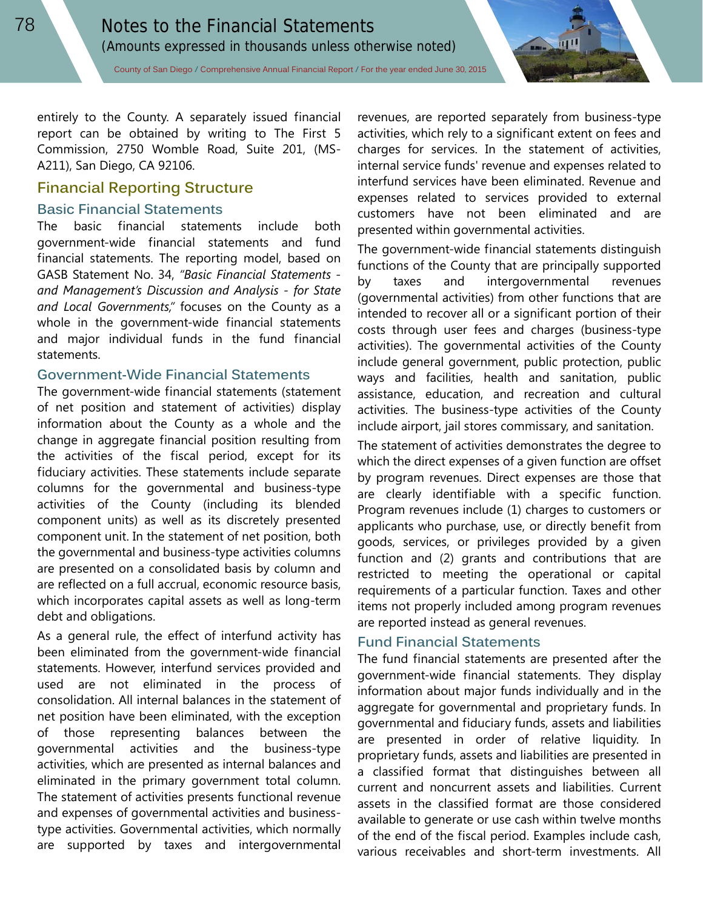entirely to the County. A separately issued financial report can be obtained by writing to The First 5 Commission, 2750 Womble Road, Suite 201, (MS-A211), San Diego, CA 92106.

## **Financial Reporting Structure**

#### **Basic Financial Statements**

The basic financial statements include both government-wide financial statements and fund financial statements. The reporting model, based on GASB Statement No. 34, *"Basic Financial Statements and Management's Discussion and Analysis - for State and Local Governments,"* focuses on the County as a whole in the government-wide financial statements and major individual funds in the fund financial statements.

## **Government-Wide Financial Statements**

The government-wide financial statements (statement of net position and statement of activities) display information about the County as a whole and the change in aggregate financial position resulting from the activities of the fiscal period, except for its fiduciary activities. These statements include separate columns for the governmental and business-type activities of the County (including its blended component units) as well as its discretely presented component unit. In the statement of net position, both the governmental and business-type activities columns are presented on a consolidated basis by column and are reflected on a full accrual, economic resource basis, which incorporates capital assets as well as long-term debt and obligations.

As a general rule, the effect of interfund activity has been eliminated from the government-wide financial statements. However, interfund services provided and used are not eliminated in the process of consolidation. All internal balances in the statement of net position have been eliminated, with the exception of those representing balances between the governmental activities and the business-type activities, which are presented as internal balances and eliminated in the primary government total column. The statement of activities presents functional revenue and expenses of governmental activities and businesstype activities. Governmental activities, which normally are supported by taxes and intergovernmental

revenues, are reported separately from business-type activities, which rely to a significant extent on fees and charges for services. In the statement of activities, internal service funds' revenue and expenses related to interfund services have been eliminated. Revenue and expenses related to services provided to external customers have not been eliminated and are presented within governmental activities.

The government-wide financial statements distinguish functions of the County that are principally supported by taxes and intergovernmental revenues (governmental activities) from other functions that are intended to recover all or a significant portion of their costs through user fees and charges (business-type activities). The governmental activities of the County include general government, public protection, public ways and facilities, health and sanitation, public assistance, education, and recreation and cultural activities. The business-type activities of the County include airport, jail stores commissary, and sanitation.

The statement of activities demonstrates the degree to which the direct expenses of a given function are offset by program revenues. Direct expenses are those that are clearly identifiable with a specific function. Program revenues include (1) charges to customers or applicants who purchase, use, or directly benefit from goods, services, or privileges provided by a given function and (2) grants and contributions that are restricted to meeting the operational or capital requirements of a particular function. Taxes and other items not properly included among program revenues are reported instead as general revenues.

#### **Fund Financial Statements**

The fund financial statements are presented after the government-wide financial statements. They display information about major funds individually and in the aggregate for governmental and proprietary funds. In governmental and fiduciary funds, assets and liabilities are presented in order of relative liquidity. In proprietary funds, assets and liabilities are presented in a classified format that distinguishes between all current and noncurrent assets and liabilities. Current assets in the classified format are those considered available to generate or use cash within twelve months of the end of the fiscal period. Examples include cash, various receivables and short-term investments. All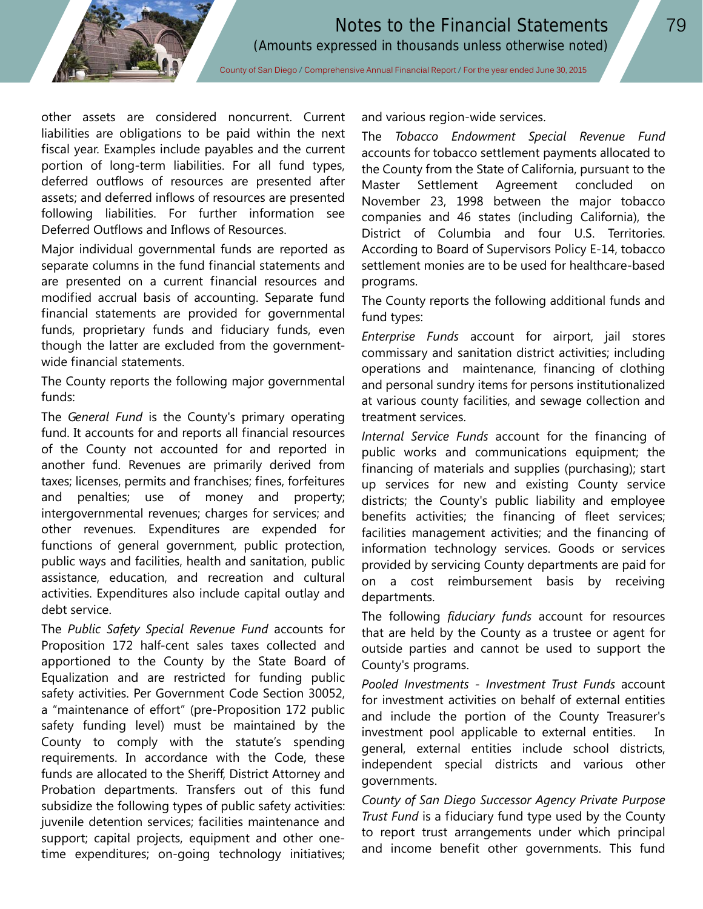

other assets are considered noncurrent. Current liabilities are obligations to be paid within the next fiscal year. Examples include payables and the current portion of long-term liabilities. For all fund types, deferred outflows of resources are presented after assets; and deferred inflows of resources are presented following liabilities. For further information see Deferred Outflows and Inflows of Resources.

Major individual governmental funds are reported as separate columns in the fund financial statements and are presented on a current financial resources and modified accrual basis of accounting. Separate fund financial statements are provided for governmental funds, proprietary funds and fiduciary funds, even though the latter are excluded from the governmentwide financial statements.

The County reports the following major governmental funds:

The *General Fund* is the County's primary operating fund. It accounts for and reports all financial resources of the County not accounted for and reported in another fund. Revenues are primarily derived from taxes; licenses, permits and franchises; fines, forfeitures and penalties; use of money and property; intergovernmental revenues; charges for services; and other revenues. Expenditures are expended for functions of general government, public protection, public ways and facilities, health and sanitation, public assistance, education, and recreation and cultural activities. Expenditures also include capital outlay and debt service.

The *Public Safety Special Revenue Fund* accounts for Proposition 172 half-cent sales taxes collected and apportioned to the County by the State Board of Equalization and are restricted for funding public safety activities. Per Government Code Section 30052, a "maintenance of effort" (pre-Proposition 172 public safety funding level) must be maintained by the County to comply with the statute's spending requirements. In accordance with the Code, these funds are allocated to the Sheriff, District Attorney and Probation departments. Transfers out of this fund subsidize the following types of public safety activities: juvenile detention services; facilities maintenance and support; capital projects, equipment and other onetime expenditures; on-going technology initiatives;

and various region-wide services.

The *Tobacco Endowment Special Revenue Fund* accounts for tobacco settlement payments allocated to the County from the State of California, pursuant to the Master Settlement Agreement concluded on November 23, 1998 between the major tobacco companies and 46 states (including California), the District of Columbia and four U.S. Territories. According to Board of Supervisors Policy E-14, tobacco settlement monies are to be used for healthcare-based programs.

The County reports the following additional funds and fund types:

*Enterprise Funds* account for airport, jail stores commissary and sanitation district activities; including operations and maintenance, financing of clothing and personal sundry items for persons institutionalized at various county facilities, and sewage collection and treatment services.

*Internal Service Funds* account for the financing of public works and communications equipment; the financing of materials and supplies (purchasing); start up services for new and existing County service districts; the County's public liability and employee benefits activities; the financing of fleet services; facilities management activities; and the financing of information technology services. Goods or services provided by servicing County departments are paid for on a cost reimbursement basis by receiving departments.

The following *fiduciary funds* account for resources that are held by the County as a trustee or agent for outside parties and cannot be used to support the County's programs.

*Pooled Investments - Investment Trust Funds* account for investment activities on behalf of external entities and include the portion of the County Treasurer's investment pool applicable to external entities. In general, external entities include school districts, independent special districts and various other governments.

*County of San Diego Successor Agency Private Purpose Trust Fund* is a fiduciary fund type used by the County to report trust arrangements under which principal and income benefit other governments. This fund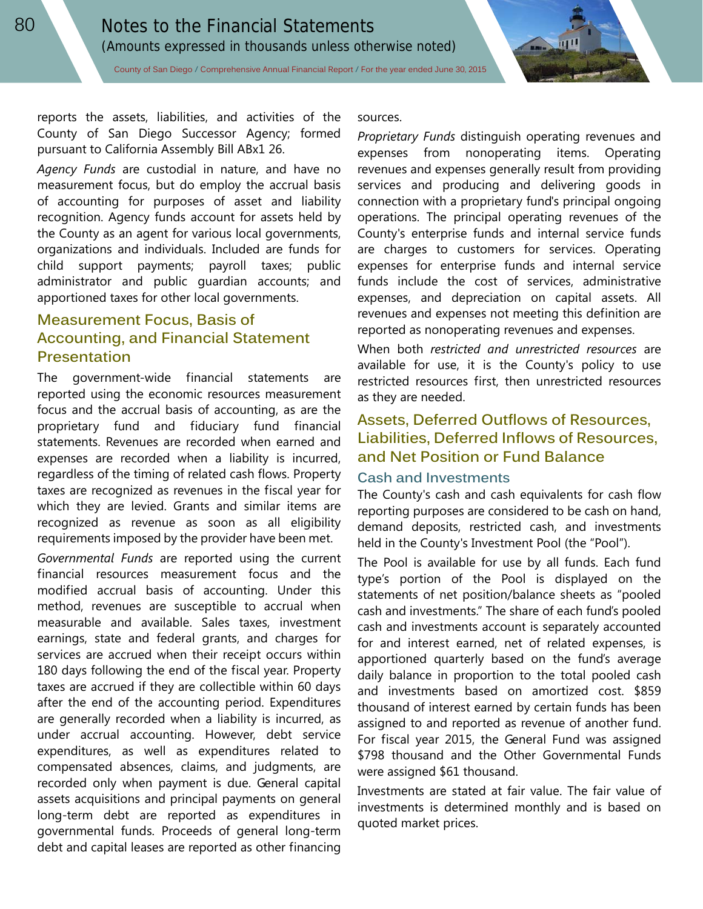reports the assets, liabilities, and activities of the County of San Diego Successor Agency; formed pursuant to California Assembly Bill ABx1 26.

*Agency Funds* are custodial in nature, and have no measurement focus, but do employ the accrual basis of accounting for purposes of asset and liability recognition. Agency funds account for assets held by the County as an agent for various local governments, organizations and individuals. Included are funds for child support payments; payroll taxes; public administrator and public guardian accounts; and apportioned taxes for other local governments.

# **Measurement Focus, Basis of Accounting, and Financial Statement Presentation**

The government-wide financial statements are reported using the economic resources measurement focus and the accrual basis of accounting, as are the proprietary fund and fiduciary fund financial statements. Revenues are recorded when earned and expenses are recorded when a liability is incurred, regardless of the timing of related cash flows. Property taxes are recognized as revenues in the fiscal year for which they are levied. Grants and similar items are recognized as revenue as soon as all eligibility requirements imposed by the provider have been met.

*Governmental Funds* are reported using the current financial resources measurement focus and the modified accrual basis of accounting. Under this method, revenues are susceptible to accrual when measurable and available. Sales taxes, investment earnings, state and federal grants, and charges for services are accrued when their receipt occurs within 180 days following the end of the fiscal year. Property taxes are accrued if they are collectible within 60 days after the end of the accounting period. Expenditures are generally recorded when a liability is incurred, as under accrual accounting. However, debt service expenditures, as well as expenditures related to compensated absences, claims, and judgments, are recorded only when payment is due. General capital assets acquisitions and principal payments on general long-term debt are reported as expenditures in governmental funds. Proceeds of general long-term debt and capital leases are reported as other financing

sources.

*Proprietary Funds* distinguish operating revenues and expenses from nonoperating items. Operating revenues and expenses generally result from providing services and producing and delivering goods in connection with a proprietary fund's principal ongoing operations. The principal operating revenues of the County's enterprise funds and internal service funds are charges to customers for services. Operating expenses for enterprise funds and internal service funds include the cost of services, administrative expenses, and depreciation on capital assets. All revenues and expenses not meeting this definition are reported as nonoperating revenues and expenses.

When both *restricted and unrestricted resources* are available for use, it is the County's policy to use restricted resources first, then unrestricted resources as they are needed.

# **Assets, Deferred Outflows of Resources, Liabilities, Deferred Inflows of Resources, and Net Position or Fund Balance**

#### **Cash and Investments**

The County's cash and cash equivalents for cash flow reporting purposes are considered to be cash on hand, demand deposits, restricted cash, and investments held in the County's Investment Pool (the "Pool").

The Pool is available for use by all funds. Each fund type's portion of the Pool is displayed on the statements of net position/balance sheets as "pooled cash and investments." The share of each fund's pooled cash and investments account is separately accounted for and interest earned, net of related expenses, is apportioned quarterly based on the fund's average daily balance in proportion to the total pooled cash and investments based on amortized cost. \$859 thousand of interest earned by certain funds has been assigned to and reported as revenue of another fund. For fiscal year 2015, the General Fund was assigned \$798 thousand and the Other Governmental Funds were assigned \$61 thousand.

Investments are stated at fair value. The fair value of investments is determined monthly and is based on quoted market prices.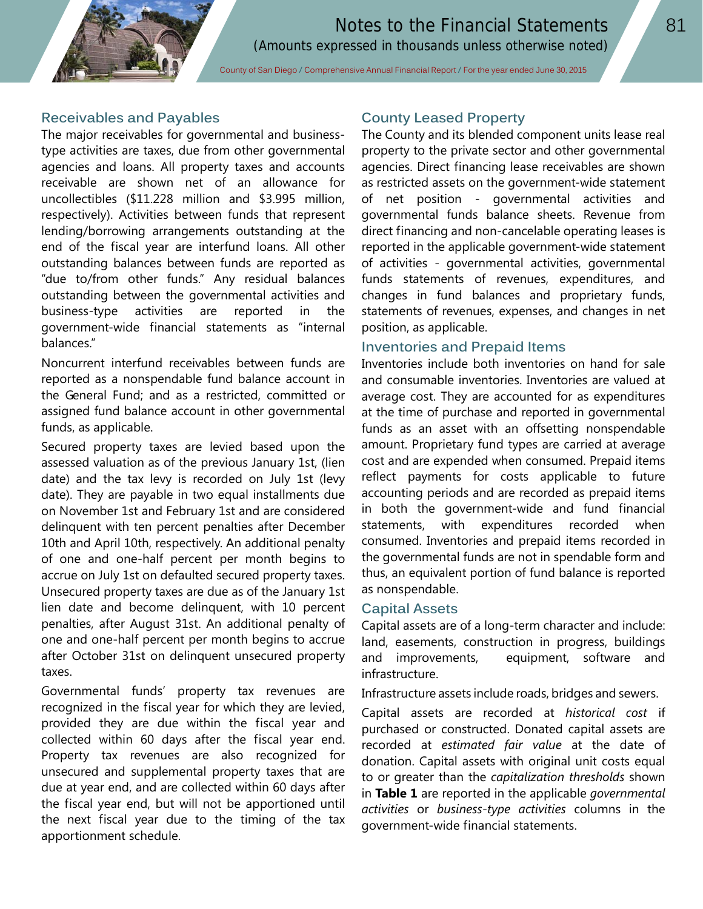County of San Diego **/** Comprehensive Annual Financial Report **/** For the year ended June 30, 2015

#### **Receivables and Payables**

The major receivables for governmental and businesstype activities are taxes, due from other governmental agencies and loans. All property taxes and accounts receivable are shown net of an allowance for uncollectibles (\$11.228 million and \$3.995 million, respectively). Activities between funds that represent lending/borrowing arrangements outstanding at the end of the fiscal year are interfund loans. All other outstanding balances between funds are reported as "due to/from other funds." Any residual balances outstanding between the governmental activities and business-type activities are reported in the government-wide financial statements as "internal balances."

Noncurrent interfund receivables between funds are reported as a nonspendable fund balance account in the General Fund; and as a restricted, committed or assigned fund balance account in other governmental funds, as applicable.

Secured property taxes are levied based upon the assessed valuation as of the previous January 1st, (lien date) and the tax levy is recorded on July 1st (levy date). They are payable in two equal installments due on November 1st and February 1st and are considered delinquent with ten percent penalties after December 10th and April 10th, respectively. An additional penalty of one and one-half percent per month begins to accrue on July 1st on defaulted secured property taxes. Unsecured property taxes are due as of the January 1st lien date and become delinquent, with 10 percent penalties, after August 31st. An additional penalty of one and one-half percent per month begins to accrue after October 31st on delinquent unsecured property taxes.

Governmental funds' property tax revenues are recognized in the fiscal year for which they are levied, provided they are due within the fiscal year and collected within 60 days after the fiscal year end. Property tax revenues are also recognized for unsecured and supplemental property taxes that are due at year end, and are collected within 60 days after the fiscal year end, but will not be apportioned until the next fiscal year due to the timing of the tax apportionment schedule.

#### **County Leased Property**

The County and its blended component units lease real property to the private sector and other governmental agencies. Direct financing lease receivables are shown as restricted assets on the government-wide statement of net position - governmental activities and governmental funds balance sheets. Revenue from direct financing and non-cancelable operating leases is reported in the applicable government-wide statement of activities - governmental activities, governmental funds statements of revenues, expenditures, and changes in fund balances and proprietary funds, statements of revenues, expenses, and changes in net position, as applicable.

#### **Inventories and Prepaid Items**

Inventories include both inventories on hand for sale and consumable inventories. Inventories are valued at average cost. They are accounted for as expenditures at the time of purchase and reported in governmental funds as an asset with an offsetting nonspendable amount. Proprietary fund types are carried at average cost and are expended when consumed. Prepaid items reflect payments for costs applicable to future accounting periods and are recorded as prepaid items in both the government-wide and fund financial statements, with expenditures recorded when consumed. Inventories and prepaid items recorded in the governmental funds are not in spendable form and thus, an equivalent portion of fund balance is reported as nonspendable.

#### **Capital Assets**

Capital assets are of a long-term character and include: land, easements, construction in progress, buildings and improvements, equipment, software and infrastructure.

Infrastructure assets include roads, bridges and sewers.

Capital assets are recorded at *historical cost* if purchased or constructed. Donated capital assets are recorded at *estimated fair value* at the date of donation. Capital assets with original unit costs equal to or greater than the *capitalization thresholds* shown in **Table 1** are reported in the applicable *governmental activities* or *business-type activities* columns in the government-wide financial statements.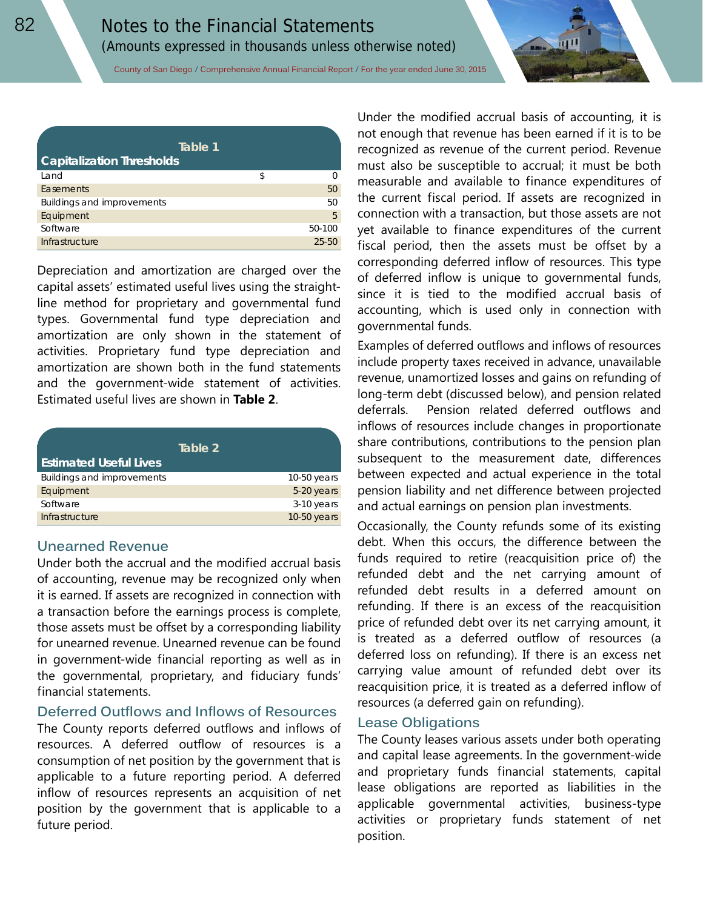| Table 1                           |           |
|-----------------------------------|-----------|
| <b>Capitalization Thresholds</b>  |           |
| Land                              | \$        |
| Easements                         | 50        |
| <b>Buildings and improvements</b> | 50        |
| Equipment                         | 5         |
| Software                          | 50-100    |
| Infrastructure                    | $25 - 50$ |

Depreciation and amortization are charged over the capital assets' estimated useful lives using the straightline method for proprietary and governmental fund types. Governmental fund type depreciation and amortization are only shown in the statement of activities. Proprietary fund type depreciation and amortization are shown both in the fund statements and the government-wide statement of activities. Estimated useful lives are shown in **Table 2**.

|                                   | Table 2       |
|-----------------------------------|---------------|
| <b>Estimated Useful Lives</b>     |               |
| <b>Buildings and improvements</b> | $10-50$ years |
| Equipment                         | 5-20 years    |
| Software                          | 3-10 years    |
| Infrastructure                    | $10-50$ years |

#### **Unearned Revenue**

Under both the accrual and the modified accrual basis of accounting, revenue may be recognized only when it is earned. If assets are recognized in connection with a transaction before the earnings process is complete, those assets must be offset by a corresponding liability for unearned revenue. Unearned revenue can be found in government-wide financial reporting as well as in the governmental, proprietary, and fiduciary funds' financial statements.

#### **Deferred Outflows and Inflows of Resources**

The County reports deferred outflows and inflows of resources. A deferred outflow of resources is a consumption of net position by the government that is applicable to a future reporting period. A deferred inflow of resources represents an acquisition of net position by the government that is applicable to a future period.

Under the modified accrual basis of accounting, it is not enough that revenue has been earned if it is to be recognized as revenue of the current period. Revenue must also be susceptible to accrual; it must be both measurable and available to finance expenditures of the current fiscal period. If assets are recognized in connection with a transaction, but those assets are not yet available to finance expenditures of the current fiscal period, then the assets must be offset by a corresponding deferred inflow of resources. This type of deferred inflow is unique to governmental funds, since it is tied to the modified accrual basis of accounting, which is used only in connection with governmental funds.

Examples of deferred outflows and inflows of resources include property taxes received in advance, unavailable revenue, unamortized losses and gains on refunding of long-term debt (discussed below), and pension related deferrals. Pension related deferred outflows and inflows of resources include changes in proportionate share contributions, contributions to the pension plan subsequent to the measurement date, differences between expected and actual experience in the total pension liability and net difference between projected and actual earnings on pension plan investments.

Occasionally, the County refunds some of its existing debt. When this occurs, the difference between the funds required to retire (reacquisition price of) the refunded debt and the net carrying amount of refunded debt results in a deferred amount on refunding. If there is an excess of the reacquisition price of refunded debt over its net carrying amount, it is treated as a deferred outflow of resources (a deferred loss on refunding). If there is an excess net carrying value amount of refunded debt over its reacquisition price, it is treated as a deferred inflow of resources (a deferred gain on refunding).

## **Lease Obligations**

The County leases various assets under both operating and capital lease agreements. In the government-wide and proprietary funds financial statements, capital lease obligations are reported as liabilities in the applicable governmental activities, business-type activities or proprietary funds statement of net position.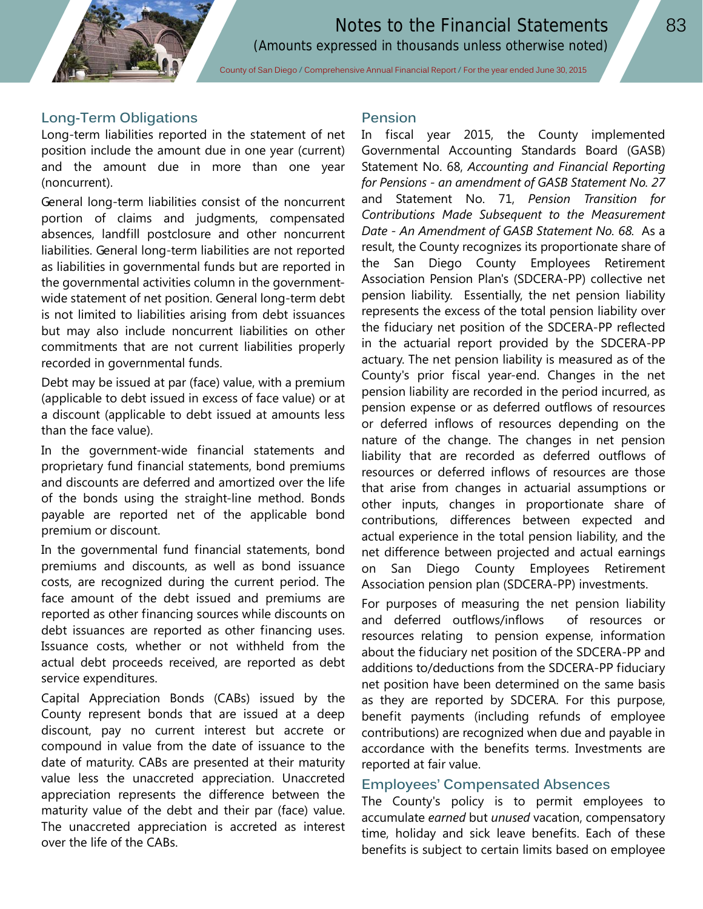County of San Diego **/** Comprehensive Annual Financial Report **/** For the year ended June 30, 2015

#### **Long-Term Obligations**

Long-term liabilities reported in the statement of net position include the amount due in one year (current) and the amount due in more than one year (noncurrent).

General long-term liabilities consist of the noncurrent portion of claims and judgments, compensated absences, landfill postclosure and other noncurrent liabilities. General long-term liabilities are not reported as liabilities in governmental funds but are reported in the governmental activities column in the governmentwide statement of net position. General long-term debt is not limited to liabilities arising from debt issuances but may also include noncurrent liabilities on other commitments that are not current liabilities properly recorded in governmental funds.

Debt may be issued at par (face) value, with a premium (applicable to debt issued in excess of face value) or at a discount (applicable to debt issued at amounts less than the face value).

In the government-wide financial statements and proprietary fund financial statements, bond premiums and discounts are deferred and amortized over the life of the bonds using the straight-line method. Bonds payable are reported net of the applicable bond premium or discount.

In the governmental fund financial statements, bond premiums and discounts, as well as bond issuance costs, are recognized during the current period. The face amount of the debt issued and premiums are reported as other financing sources while discounts on debt issuances are reported as other financing uses. Issuance costs, whether or not withheld from the actual debt proceeds received, are reported as debt service expenditures.

Capital Appreciation Bonds (CABs) issued by the County represent bonds that are issued at a deep discount, pay no current interest but accrete or compound in value from the date of issuance to the date of maturity. CABs are presented at their maturity value less the unaccreted appreciation. Unaccreted appreciation represents the difference between the maturity value of the debt and their par (face) value. The unaccreted appreciation is accreted as interest over the life of the CABs.

## **Pension**

In fiscal year 2015, the County implemented Governmental Accounting Standards Board (GASB) Statement No. 68, *Accounting and Financial Reporting for Pensions - an amendment of GASB Statement No. 27* and Statement No. 71, *Pension Transition for Contributions Made Subsequent to the Measurement Date - An Amendment of GASB Statement No. 68.* As a result, the County recognizes its proportionate share of the San Diego County Employees Retirement Association Pension Plan's (SDCERA-PP) collective net pension liability. Essentially, the net pension liability represents the excess of the total pension liability over the fiduciary net position of the SDCERA-PP reflected in the actuarial report provided by the SDCERA-PP actuary. The net pension liability is measured as of the County's prior fiscal year-end. Changes in the net pension liability are recorded in the period incurred, as pension expense or as deferred outflows of resources or deferred inflows of resources depending on the nature of the change. The changes in net pension liability that are recorded as deferred outflows of resources or deferred inflows of resources are those that arise from changes in actuarial assumptions or other inputs, changes in proportionate share of contributions, differences between expected and actual experience in the total pension liability, and the net difference between projected and actual earnings on San Diego County Employees Retirement Association pension plan (SDCERA-PP) investments.

For purposes of measuring the net pension liability and deferred outflows/inflows of resources or resources relating to pension expense, information about the fiduciary net position of the SDCERA-PP and additions to/deductions from the SDCERA-PP fiduciary net position have been determined on the same basis as they are reported by SDCERA. For this purpose, benefit payments (including refunds of employee contributions) are recognized when due and payable in accordance with the benefits terms. Investments are reported at fair value.

#### **Employees' Compensated Absences**

The County's policy is to permit employees to accumulate *earned* but *unused* vacation, compensatory time, holiday and sick leave benefits. Each of these benefits is subject to certain limits based on employee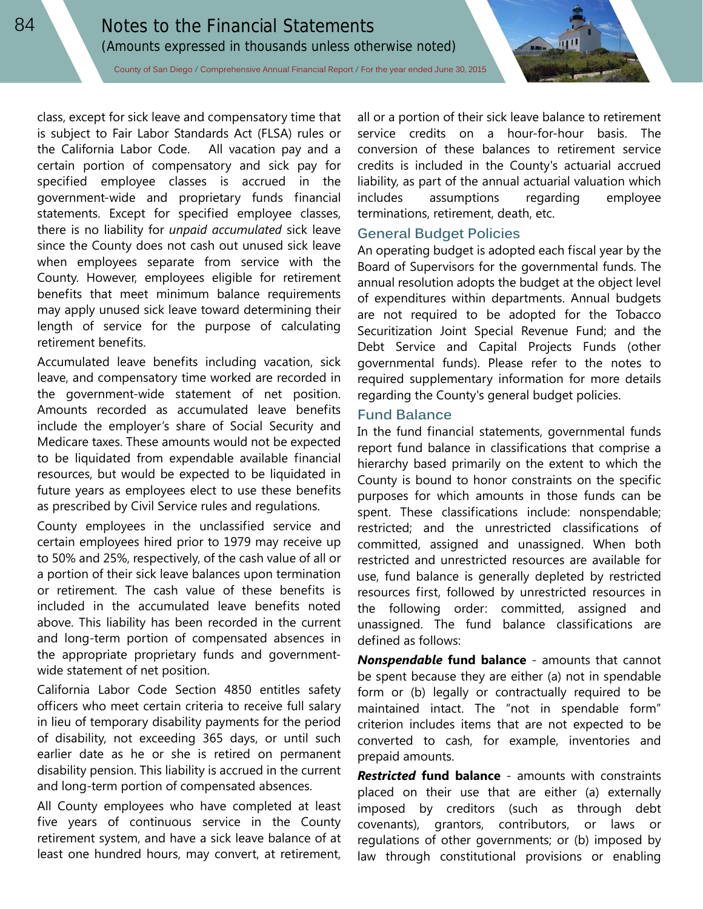class, except for sick leave and compensatory time that is subject to Fair Labor Standards Act (FLSA) rules or the California Labor Code. All vacation pay and a certain portion of compensatory and sick pay for specified employee classes is accrued in the government-wide and proprietary funds financial statements. Except for specified employee classes, there is no liability for *unpaid accumulated* sick leave since the County does not cash out unused sick leave when employees separate from service with the County. However, employees eligible for retirement benefits that meet minimum balance requirements may apply unused sick leave toward determining their length of service for the purpose of calculating retirement benefits.

Accumulated leave benefits including vacation, sick leave, and compensatory time worked are recorded in the government-wide statement of net position. Amounts recorded as accumulated leave benefits include the employer's share of Social Security and Medicare taxes. These amounts would not be expected to be liquidated from expendable available financial resources, but would be expected to be liquidated in future years as employees elect to use these benefits as prescribed by Civil Service rules and regulations.

County employees in the unclassified service and certain employees hired prior to 1979 may receive up to 50% and 25%, respectively, of the cash value of all or a portion of their sick leave balances upon termination or retirement. The cash value of these benefits is included in the accumulated leave benefits noted above. This liability has been recorded in the current and long-term portion of compensated absences in the appropriate proprietary funds and governmentwide statement of net position.

California Labor Code Section 4850 entitles safety officers who meet certain criteria to receive full salary in lieu of temporary disability payments for the period of disability, not exceeding 365 days, or until such earlier date as he or she is retired on permanent disability pension. This liability is accrued in the current and long-term portion of compensated absences.

All County employees who have completed at least five years of continuous service in the County retirement system, and have a sick leave balance of at least one hundred hours, may convert, at retirement,

all or a portion of their sick leave balance to retirement service credits on a hour-for-hour basis. The conversion of these balances to retirement service credits is included in the County's actuarial accrued liability, as part of the annual actuarial valuation which includes assumptions regarding employee terminations, retirement, death, etc.

#### **General Budget Policies**

An operating budget is adopted each fiscal year by the Board of Supervisors for the governmental funds. The annual resolution adopts the budget at the object level of expenditures within departments. Annual budgets are not required to be adopted for the Tobacco Securitization Joint Special Revenue Fund; and the Debt Service and Capital Projects Funds (other governmental funds). Please refer to the notes to required supplementary information for more details regarding the County's general budget policies.

#### **Fund Balance**

In the fund financial statements, governmental funds report fund balance in classifications that comprise a hierarchy based primarily on the extent to which the County is bound to honor constraints on the specific purposes for which amounts in those funds can be spent. These classifications include: nonspendable; restricted; and the unrestricted classifications of committed, assigned and unassigned. When both restricted and unrestricted resources are available for use, fund balance is generally depleted by restricted resources first, followed by unrestricted resources in the following order: committed, assigned and unassigned. The fund balance classifications are defined as follows:

*Nonspendable* **fund balance** - amounts that cannot be spent because they are either (a) not in spendable form or (b) legally or contractually required to be maintained intact. The "not in spendable form" criterion includes items that are not expected to be converted to cash, for example, inventories and prepaid amounts.

*Restricted* **fund balance** - amounts with constraints placed on their use that are either (a) externally imposed by creditors (such as through debt covenants), grantors, contributors, or laws or regulations of other governments; or (b) imposed by law through constitutional provisions or enabling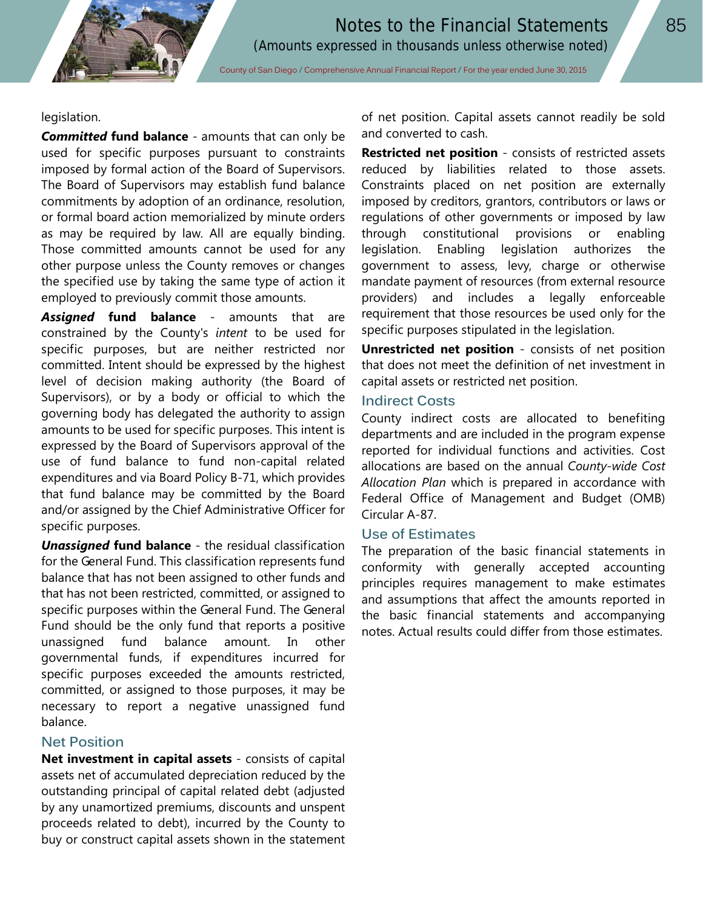County of San Diego **/** Comprehensive Annual Financial Report **/** For the year ended June 30, 2015

legislation.

*Committed* **fund balance** - amounts that can only be used for specific purposes pursuant to constraints imposed by formal action of the Board of Supervisors. The Board of Supervisors may establish fund balance commitments by adoption of an ordinance, resolution, or formal board action memorialized by minute orders as may be required by law. All are equally binding. Those committed amounts cannot be used for any other purpose unless the County removes or changes the specified use by taking the same type of action it employed to previously commit those amounts.

*Assigned* **fund balance** - amounts that are constrained by the County's *intent* to be used for specific purposes, but are neither restricted nor committed. Intent should be expressed by the highest level of decision making authority (the Board of Supervisors), or by a body or official to which the governing body has delegated the authority to assign amounts to be used for specific purposes. This intent is expressed by the Board of Supervisors approval of the use of fund balance to fund non-capital related expenditures and via Board Policy B-71, which provides that fund balance may be committed by the Board and/or assigned by the Chief Administrative Officer for specific purposes.

*Unassigned* **fund balance** - the residual classification for the General Fund. This classification represents fund balance that has not been assigned to other funds and that has not been restricted, committed, or assigned to specific purposes within the General Fund. The General Fund should be the only fund that reports a positive unassigned fund balance amount. In other governmental funds, if expenditures incurred for specific purposes exceeded the amounts restricted, committed, or assigned to those purposes, it may be necessary to report a negative unassigned fund balance.

#### **Net Position**

**Net investment in capital assets** - consists of capital assets net of accumulated depreciation reduced by the outstanding principal of capital related debt (adjusted by any unamortized premiums, discounts and unspent proceeds related to debt), incurred by the County to buy or construct capital assets shown in the statement

of net position. Capital assets cannot readily be sold and converted to cash.

**Restricted net position** - consists of restricted assets reduced by liabilities related to those assets. Constraints placed on net position are externally imposed by creditors, grantors, contributors or laws or regulations of other governments or imposed by law through constitutional provisions or enabling legislation. Enabling legislation authorizes the government to assess, levy, charge or otherwise mandate payment of resources (from external resource providers) and includes a legally enforceable requirement that those resources be used only for the specific purposes stipulated in the legislation.

**Unrestricted net position** - consists of net position that does not meet the definition of net investment in capital assets or restricted net position.

#### **Indirect Costs**

County indirect costs are allocated to benefiting departments and are included in the program expense reported for individual functions and activities. Cost allocations are based on the annual *County-wide Cost Allocation Plan* which is prepared in accordance with Federal Office of Management and Budget (OMB) Circular A-87.

#### **Use of Estimates**

The preparation of the basic financial statements in conformity with generally accepted accounting principles requires management to make estimates and assumptions that affect the amounts reported in the basic financial statements and accompanying notes. Actual results could differ from those estimates.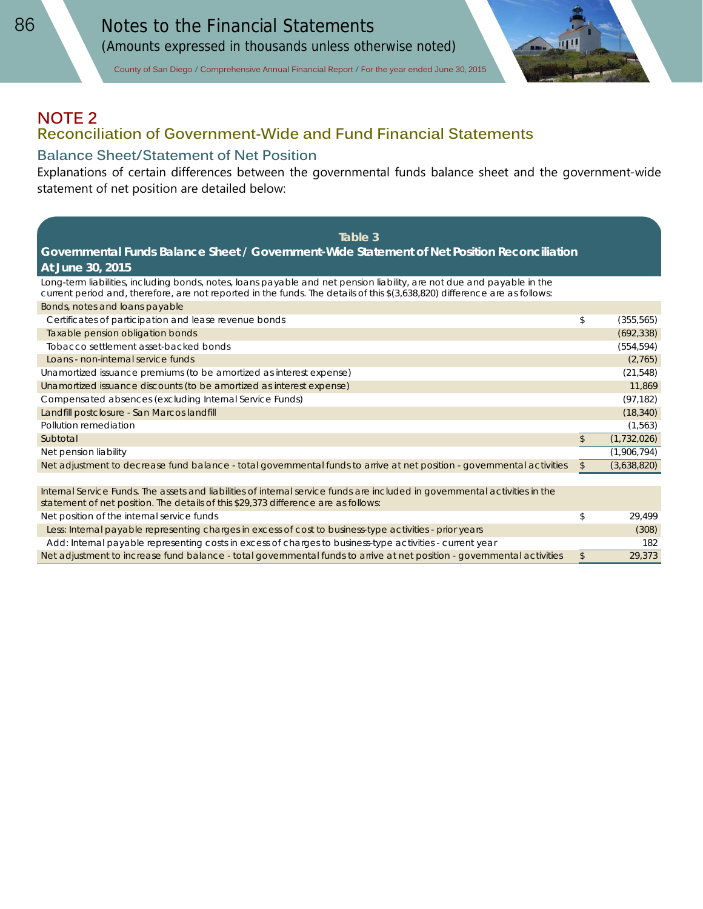County of San Diego **/** Comprehensive Annual Financial Report **/** For the year ended June 30, 2015



# **NOTE 2 Reconciliation of Government-Wide and Fund Financial Statements**

# **Balance Sheet/Statement of Net Position**

Explanations of certain differences between the governmental funds balance sheet and the government-wide statement of net position are detailed below:

| Table 3                                                                                                                                                                                                                                              |                |             |
|------------------------------------------------------------------------------------------------------------------------------------------------------------------------------------------------------------------------------------------------------|----------------|-------------|
| Governmental Funds Balance Sheet / Government-Wide Statement of Net Position Reconciliation                                                                                                                                                          |                |             |
| At June 30, 2015                                                                                                                                                                                                                                     |                |             |
| Long-term liabilities, including bonds, notes, loans payable and net pension liability, are not due and payable in the<br>current period and, therefore, are not reported in the funds. The details of this \$(3,638,820) difference are as follows: |                |             |
| Bonds, notes and loans payable                                                                                                                                                                                                                       |                |             |
| Certificates of participation and lease revenue bonds                                                                                                                                                                                                | \$             | (355, 565)  |
| Taxable pension obligation bonds                                                                                                                                                                                                                     |                | (692, 338)  |
| Tobacco settlement asset-backed bonds                                                                                                                                                                                                                |                | (554, 594)  |
| Loans - non-internal service funds                                                                                                                                                                                                                   |                | (2,765)     |
| Unamortized issuance premiums (to be amortized as interest expense)                                                                                                                                                                                  |                | (21, 548)   |
| Unamortized issuance discounts (to be amortized as interest expense)                                                                                                                                                                                 |                | 11,869      |
| Compensated absences (excluding Internal Service Funds)                                                                                                                                                                                              |                | (97, 182)   |
| Landfill postclosure - San Marcos landfill                                                                                                                                                                                                           |                | (18, 340)   |
| Pollution remediation                                                                                                                                                                                                                                |                | (1, 563)    |
| Subtotal                                                                                                                                                                                                                                             | $\mathfrak{L}$ | (1,732,026) |
| Net pension liability                                                                                                                                                                                                                                |                | (1,906,794) |
| Net adjustment to decrease fund balance - total governmental funds to arrive at net position - governmental activities                                                                                                                               | $\mathfrak{D}$ | (3,638,820) |
|                                                                                                                                                                                                                                                      |                |             |
| Internal Service Funds. The assets and liabilities of internal service funds are included in governmental activities in the<br>statement of net position. The details of this \$29,373 difference are as follows:                                    |                |             |
| Net position of the internal service funds                                                                                                                                                                                                           | \$             | 29,499      |
| Less: Internal payable representing charges in excess of cost to business-type activities - prior years                                                                                                                                              |                | (308)       |
| Add: Internal payable representing costs in excess of charges to business-type activities - current year                                                                                                                                             |                | 182         |
| Net adjustment to increase fund balance - total governmental funds to arrive at net position - governmental activities                                                                                                                               | \$             | 29,373      |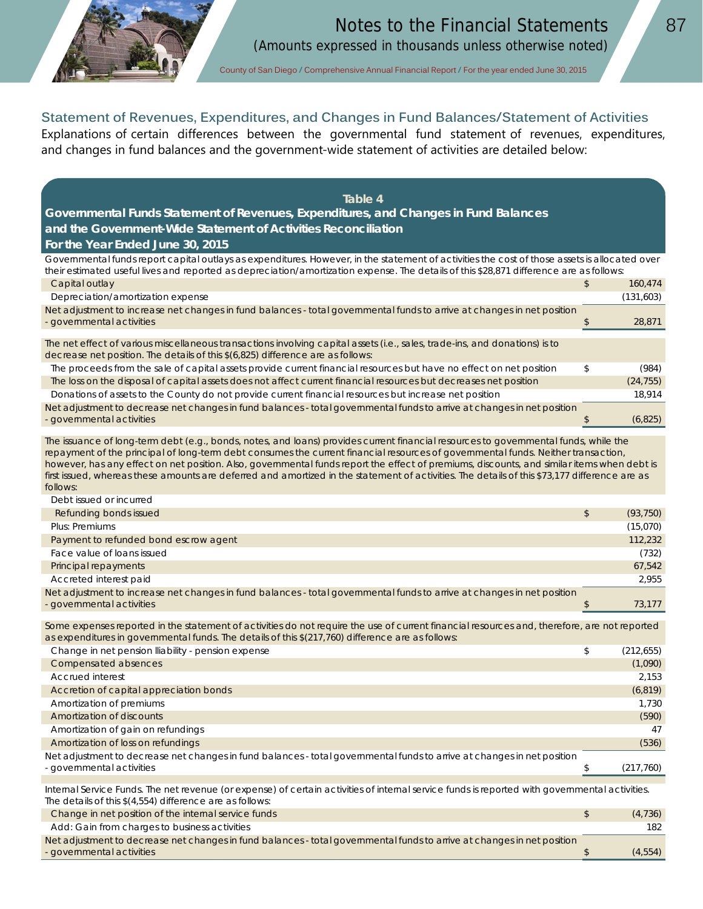

#### **Statement of Revenues, Expenditures, and Changes in Fund Balances/Statement of Activities**

Explanations of certain differences between the governmental fund statement of revenues, expenditures, and changes in fund balances and the government-wide statement of activities are detailed below:

| Table 4<br>Governmental Funds Statement of Revenues, Expenditures, and Changes in Fund Balances<br>and the Government-Wide Statement of Activities Reconciliation<br>For the Year Ended June 30, 2015                                                                                    |               |
|------------------------------------------------------------------------------------------------------------------------------------------------------------------------------------------------------------------------------------------------------------------------------------------|---------------|
| Governmental funds report capital outlays as expenditures. However, in the statement of activities the cost of those assets is allocated over<br>their estimated useful lives and reported as depreciation/amortization expense. The details of this \$28,871 difference are as follows: |               |
| Capital outlay                                                                                                                                                                                                                                                                           | \$<br>160,474 |
| Depreciation/amortization expense                                                                                                                                                                                                                                                        | (131,603)     |
| Net adjustment to increase net changes in fund balances - total governmental funds to arrive at changes in net position<br>- governmental activities                                                                                                                                     | 28,871        |
| The net effect of various miscellaneous transactions involving capital assets (i.e., sales, trade-ins, and donations) is to<br>decrease net position. The details of this \$(6,825) difference are as follows:                                                                           |               |
| The proceeds from the sale of capital assets provide current financial resources but have no effect on net position                                                                                                                                                                      | \$<br>(984)   |
| The loss on the disposal of capital assets does not affect current financial resources but decreases net position                                                                                                                                                                        | (24, 755)     |
| Donations of assets to the County do not provide current financial resources but increase net position                                                                                                                                                                                   | 18,914        |
| Net adjustment to decrease net changes in fund balances - total governmental funds to arrive at changes in net position                                                                                                                                                                  |               |
| - governmental activities                                                                                                                                                                                                                                                                | (6, 825)      |
| The issuance of long-term debt (e.g., bonds, notes, and loans) provides current financial resources to governmental funds, while the                                                                                                                                                     |               |

repayment of the principal of long-term debt consumes the current financial resources of governmental funds. Neither transaction, however, has any effect on net position. Also, governmental funds report the effect of premiums, discounts, and similar items when debt is first issued, whereas these amounts are deferred and amortized in the statement of activities. The details of this \$73,177 difference are as follows:

| Debt issued or incurred                                                                                                 |           |
|-------------------------------------------------------------------------------------------------------------------------|-----------|
| Refunding bonds issued                                                                                                  | (93, 750) |
| Plus: Premiums                                                                                                          | (15,070)  |
| Payment to refunded bond escrow agent                                                                                   | 112,232   |
| Face value of loans issued                                                                                              | (732)     |
| Principal repayments                                                                                                    | 67,542    |
| Accreted interest paid                                                                                                  | 2.955     |
| Net adjustment to increase net changes in fund balances - total governmental funds to arrive at changes in net position |           |
| - governmental activities                                                                                               | 73.177    |

Some expenses reported in the statement of activities do not require the use of current financial resources and, therefore, are not reported as expenditures in governmental funds. The details of this \$(217,760) difference are as follows:

| Change in net pension lliability - pension expense                                                                                            | (212, 655) |
|-----------------------------------------------------------------------------------------------------------------------------------------------|------------|
| Compensated absences                                                                                                                          | (1,090)    |
| <b>Accrued interest</b>                                                                                                                       | 2.153      |
| Accretion of capital appreciation bonds                                                                                                       | (6, 819)   |
| Amortization of premiums                                                                                                                      | 1.730      |
| Amortization of discounts                                                                                                                     | (590)      |
| Amortization of gain on refundings                                                                                                            | 47         |
| Amortization of loss on refundings                                                                                                            | (536)      |
| Net adjustment to decrease net changes in fund balances - total governmental funds to arrive at changes in net position                       |            |
| - governmental activities                                                                                                                     | (217,760)  |
|                                                                                                                                               |            |
| Internal Service Eunds. The net revenue (or expense) of certain activities of internal service funds is reported with governmental activities |            |

in activities of internal service funds is reported with governmental activities. The details of this \$(4,554) difference are as follows:

| Change in net position of the internal service funds                                                                    | (4.736) |
|-------------------------------------------------------------------------------------------------------------------------|---------|
| Add: Gain from charges to business activities                                                                           |         |
| Net adjustment to decrease net changes in fund balances - total governmental funds to arrive at changes in net position |         |
| - governmental activities                                                                                               | (4,554) |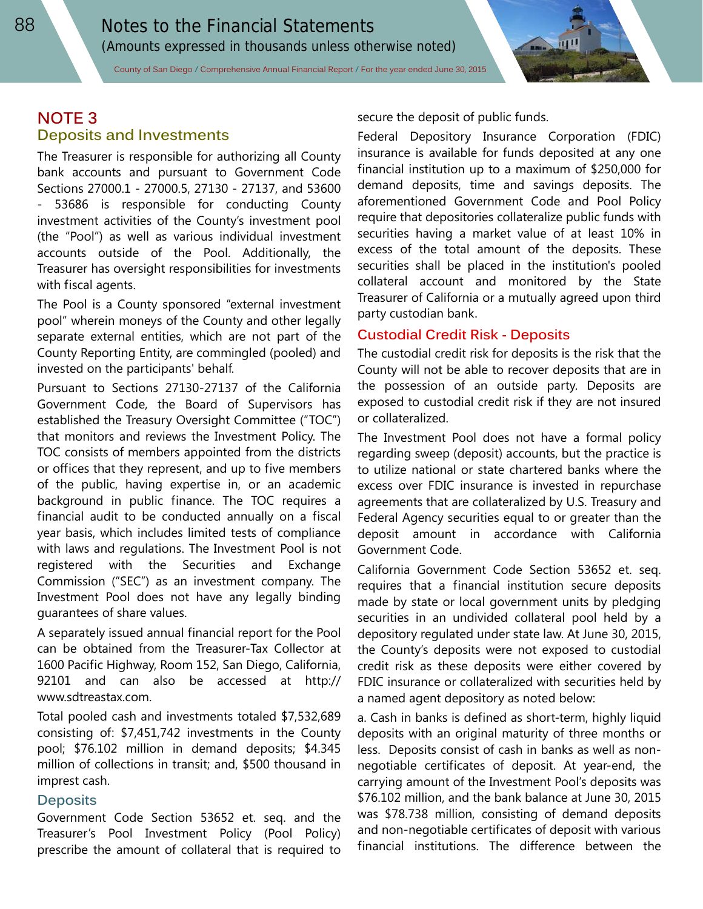# **NOTE 3 Deposits and Investments**

The Treasurer is responsible for authorizing all County bank accounts and pursuant to Government Code Sections 27000.1 - 27000.5, 27130 - 27137, and 53600 53686 is responsible for conducting County investment activities of the County's investment pool (the "Pool") as well as various individual investment accounts outside of the Pool. Additionally, the Treasurer has oversight responsibilities for investments with fiscal agents.

The Pool is a County sponsored "external investment pool" wherein moneys of the County and other legally separate external entities, which are not part of the County Reporting Entity, are commingled (pooled) and invested on the participants' behalf.

Pursuant to Sections 27130-27137 of the California Government Code, the Board of Supervisors has established the Treasury Oversight Committee ("TOC") that monitors and reviews the Investment Policy. The TOC consists of members appointed from the districts or offices that they represent, and up to five members of the public, having expertise in, or an academic background in public finance. The TOC requires a financial audit to be conducted annually on a fiscal year basis, which includes limited tests of compliance with laws and regulations. The Investment Pool is not registered with the Securities and Exchange Commission ("SEC") as an investment company. The Investment Pool does not have any legally binding guarantees of share values.

A separately issued annual financial report for the Pool can be obtained from the Treasurer-Tax Collector at 1600 Pacific Highway, Room 152, San Diego, California, 92101 and can also be accessed at http:// www.sdtreastax.com.

Total pooled cash and investments totaled \$7,532,689 consisting of: \$7,451,742 investments in the County pool; \$76.102 million in demand deposits; \$4.345 million of collections in transit; and, \$500 thousand in imprest cash.

#### **Deposits**

Government Code Section 53652 et. seq. and the Treasurer's Pool Investment Policy (Pool Policy) prescribe the amount of collateral that is required to

secure the deposit of public funds.

Federal Depository Insurance Corporation (FDIC) insurance is available for funds deposited at any one financial institution up to a maximum of \$250,000 for demand deposits, time and savings deposits. The aforementioned Government Code and Pool Policy require that depositories collateralize public funds with securities having a market value of at least 10% in excess of the total amount of the deposits. These securities shall be placed in the institution's pooled collateral account and monitored by the State Treasurer of California or a mutually agreed upon third party custodian bank.

#### **Custodial Credit Risk - Deposits**

The custodial credit risk for deposits is the risk that the County will not be able to recover deposits that are in the possession of an outside party. Deposits are exposed to custodial credit risk if they are not insured or collateralized.

The Investment Pool does not have a formal policy regarding sweep (deposit) accounts, but the practice is to utilize national or state chartered banks where the excess over FDIC insurance is invested in repurchase agreements that are collateralized by U.S. Treasury and Federal Agency securities equal to or greater than the deposit amount in accordance with California Government Code.

California Government Code Section 53652 et. seq. requires that a financial institution secure deposits made by state or local government units by pledging securities in an undivided collateral pool held by a depository regulated under state law. At June 30, 2015, the County's deposits were not exposed to custodial credit risk as these deposits were either covered by FDIC insurance or collateralized with securities held by a named agent depository as noted below:

a. Cash in banks is defined as short-term, highly liquid deposits with an original maturity of three months or less. Deposits consist of cash in banks as well as nonnegotiable certificates of deposit. At year-end, the carrying amount of the Investment Pool's deposits was \$76.102 million, and the bank balance at June 30, 2015 was \$78.738 million, consisting of demand deposits and non-negotiable certificates of deposit with various financial institutions. The difference between the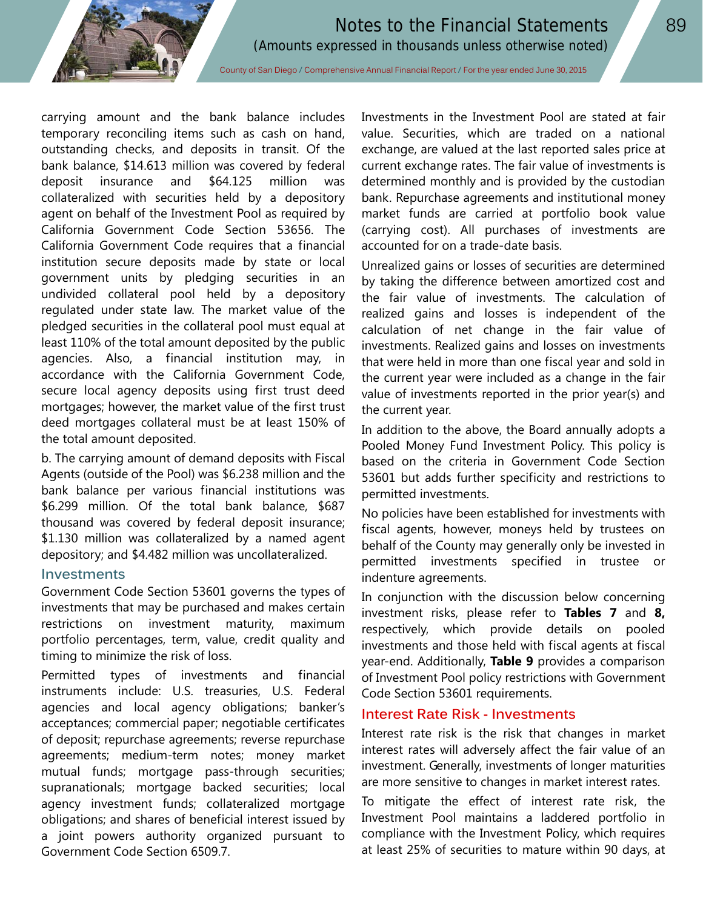

carrying amount and the bank balance includes temporary reconciling items such as cash on hand, outstanding checks, and deposits in transit. Of the bank balance, \$14.613 million was covered by federal deposit insurance and \$64.125 million was collateralized with securities held by a depository agent on behalf of the Investment Pool as required by California Government Code Section 53656. The California Government Code requires that a financial institution secure deposits made by state or local government units by pledging securities in an undivided collateral pool held by a depository regulated under state law. The market value of the pledged securities in the collateral pool must equal at least 110% of the total amount deposited by the public agencies. Also, a financial institution may, in accordance with the California Government Code, secure local agency deposits using first trust deed mortgages; however, the market value of the first trust deed mortgages collateral must be at least 150% of the total amount deposited.

b. The carrying amount of demand deposits with Fiscal Agents (outside of the Pool) was \$6.238 million and the bank balance per various financial institutions was \$6.299 million. Of the total bank balance, \$687 thousand was covered by federal deposit insurance; \$1.130 million was collateralized by a named agent depository; and \$4.482 million was uncollateralized.

#### **Investments**

Government Code Section 53601 governs the types of investments that may be purchased and makes certain restrictions on investment maturity, maximum portfolio percentages, term, value, credit quality and timing to minimize the risk of loss.

Permitted types of investments and financial instruments include: U.S. treasuries, U.S. Federal agencies and local agency obligations; banker's acceptances; commercial paper; negotiable certificates of deposit; repurchase agreements; reverse repurchase agreements; medium-term notes; money market mutual funds; mortgage pass-through securities; supranationals; mortgage backed securities; local agency investment funds; collateralized mortgage obligations; and shares of beneficial interest issued by a joint powers authority organized pursuant to Government Code Section 6509.7.

Investments in the Investment Pool are stated at fair value. Securities, which are traded on a national exchange, are valued at the last reported sales price at current exchange rates. The fair value of investments is determined monthly and is provided by the custodian bank. Repurchase agreements and institutional money market funds are carried at portfolio book value (carrying cost). All purchases of investments are accounted for on a trade-date basis.

Unrealized gains or losses of securities are determined by taking the difference between amortized cost and the fair value of investments. The calculation of realized gains and losses is independent of the calculation of net change in the fair value of investments. Realized gains and losses on investments that were held in more than one fiscal year and sold in the current year were included as a change in the fair value of investments reported in the prior year(s) and the current year.

In addition to the above, the Board annually adopts a Pooled Money Fund Investment Policy. This policy is based on the criteria in Government Code Section 53601 but adds further specificity and restrictions to permitted investments.

No policies have been established for investments with fiscal agents, however, moneys held by trustees on behalf of the County may generally only be invested in permitted investments specified in trustee or indenture agreements.

In conjunction with the discussion below concerning investment risks, please refer to **Tables 7** and **8,** respectively, which provide details on pooled investments and those held with fiscal agents at fiscal year-end. Additionally, **Table 9** provides a comparison of Investment Pool policy restrictions with Government Code Section 53601 requirements.

#### **Interest Rate Risk - Investments**

Interest rate risk is the risk that changes in market interest rates will adversely affect the fair value of an investment. Generally, investments of longer maturities are more sensitive to changes in market interest rates.

To mitigate the effect of interest rate risk, the Investment Pool maintains a laddered portfolio in compliance with the Investment Policy, which requires at least 25% of securities to mature within 90 days, at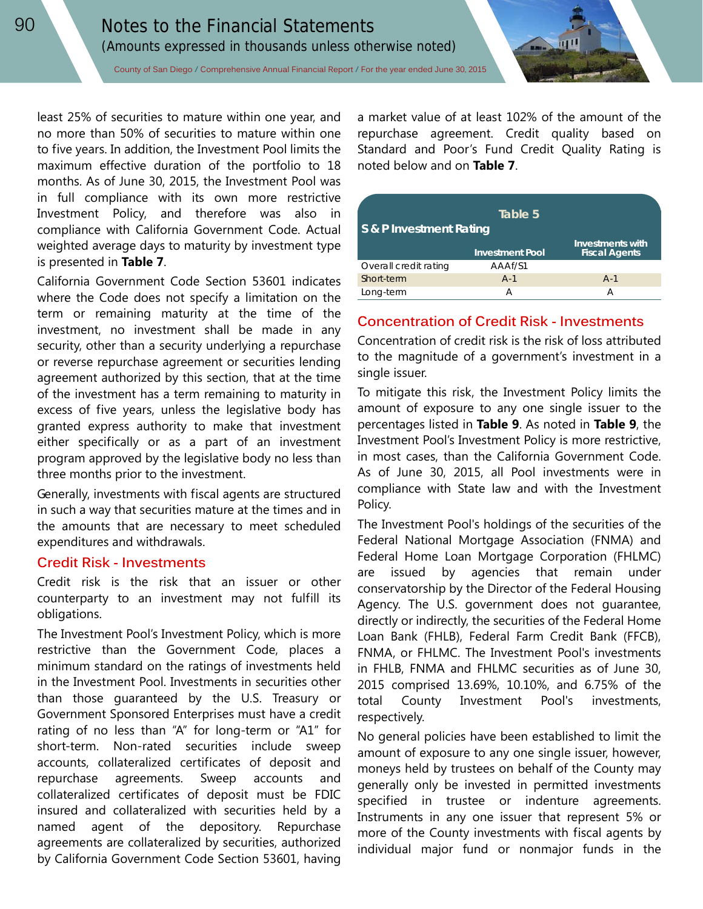least 25% of securities to mature within one year, and no more than 50% of securities to mature within one to five years. In addition, the Investment Pool limits the maximum effective duration of the portfolio to 18 months. As of June 30, 2015, the Investment Pool was in full compliance with its own more restrictive Investment Policy, and therefore was also in compliance with California Government Code. Actual weighted average days to maturity by investment type is presented in **Table 7**.

California Government Code Section 53601 indicates where the Code does not specify a limitation on the term or remaining maturity at the time of the investment, no investment shall be made in any security, other than a security underlying a repurchase or reverse repurchase agreement or securities lending agreement authorized by this section, that at the time of the investment has a term remaining to maturity in excess of five years, unless the legislative body has granted express authority to make that investment either specifically or as a part of an investment program approved by the legislative body no less than three months prior to the investment.

Generally, investments with fiscal agents are structured in such a way that securities mature at the times and in the amounts that are necessary to meet scheduled expenditures and withdrawals.

#### **Credit Risk - Investments**

Credit risk is the risk that an issuer or other counterparty to an investment may not fulfill its obligations.

The Investment Pool's Investment Policy, which is more restrictive than the Government Code, places a minimum standard on the ratings of investments held in the Investment Pool. Investments in securities other than those guaranteed by the U.S. Treasury or Government Sponsored Enterprises must have a credit rating of no less than "A" for long-term or "A1" for short-term. Non-rated securities include sweep accounts, collateralized certificates of deposit and repurchase agreements. Sweep accounts and collateralized certificates of deposit must be FDIC insured and collateralized with securities held by a named agent of the depository. Repurchase agreements are collateralized by securities, authorized by California Government Code Section 53601, having

a market value of at least 102% of the amount of the repurchase agreement. Credit quality based on Standard and Poor's Fund Credit Quality Rating is noted below and on **Table 7**.

| Table 5<br>S & P Investment Rating |                        |                                                 |  |  |  |  |
|------------------------------------|------------------------|-------------------------------------------------|--|--|--|--|
|                                    | <b>Investment Pool</b> | <b>Investments with</b><br><b>Fiscal Agents</b> |  |  |  |  |
| Overall credit rating              | AAAf/S1                |                                                 |  |  |  |  |
| Short-term                         | $A-1$                  | $A-1$                                           |  |  |  |  |
| Long-term                          | А                      | А                                               |  |  |  |  |

#### **Concentration of Credit Risk - Investments**

Concentration of credit risk is the risk of loss attributed to the magnitude of a government's investment in a single issuer.

To mitigate this risk, the Investment Policy limits the amount of exposure to any one single issuer to the percentages listed in **Table 9**. As noted in **Table 9**, the Investment Pool's Investment Policy is more restrictive, in most cases, than the California Government Code. As of June 30, 2015, all Pool investments were in compliance with State law and with the Investment Policy.

The Investment Pool's holdings of the securities of the Federal National Mortgage Association (FNMA) and Federal Home Loan Mortgage Corporation (FHLMC) are issued by agencies that remain under conservatorship by the Director of the Federal Housing Agency. The U.S. government does not guarantee, directly or indirectly, the securities of the Federal Home Loan Bank (FHLB), Federal Farm Credit Bank (FFCB), FNMA, or FHLMC. The Investment Pool's investments in FHLB, FNMA and FHLMC securities as of June 30, 2015 comprised 13.69%, 10.10%, and 6.75% of the total County Investment Pool's investments, respectively.

No general policies have been established to limit the amount of exposure to any one single issuer, however, moneys held by trustees on behalf of the County may generally only be invested in permitted investments specified in trustee or indenture agreements. Instruments in any one issuer that represent 5% or more of the County investments with fiscal agents by individual major fund or nonmajor funds in the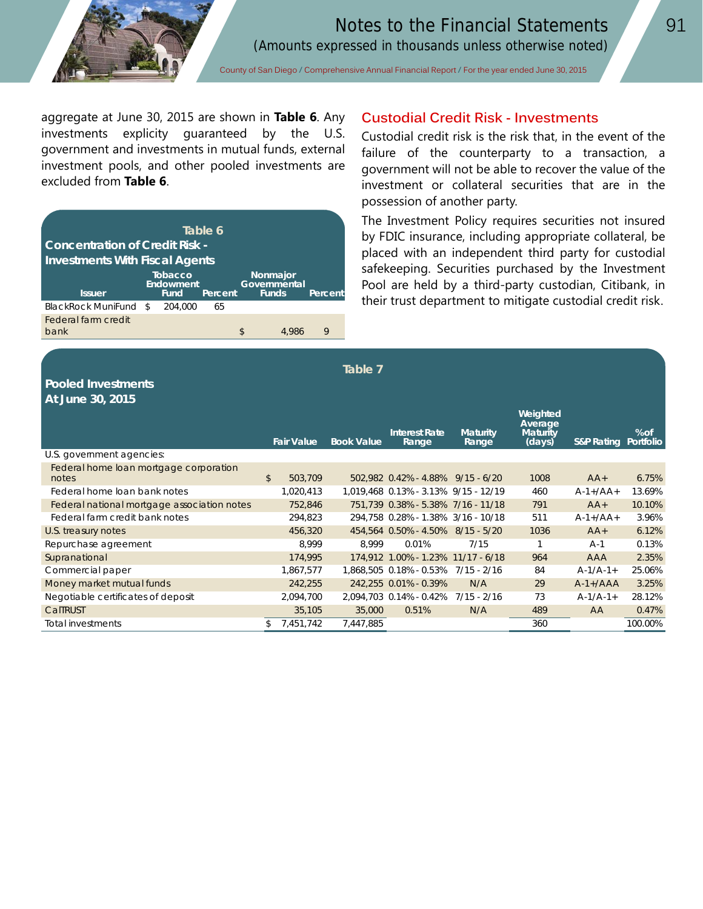

aggregate at June 30, 2015 are shown in **Table 6**. Any investments explicity guaranteed by the U.S. government and investments in mutual funds, external investment pools, and other pooled investments are excluded from **Table 6**.

| Table 6<br><b>Concentration of Credit Risk -</b><br><b>Investments With Fiscal Agents</b> |  |                                     |         |               |                                          |         |  |  |
|-------------------------------------------------------------------------------------------|--|-------------------------------------|---------|---------------|------------------------------------------|---------|--|--|
| <b>Issuer</b>                                                                             |  | <b>Tobacco</b><br>Endowment<br>Fund | Percent |               | Nonmajor<br>Governmental<br><b>Funds</b> | Percent |  |  |
| BlackRock MuniFund \$                                                                     |  | 204.000                             | 65      |               |                                          |         |  |  |
| Federal farm credit<br>bank                                                               |  |                                     |         | $\mathcal{S}$ | 4.986                                    | 9       |  |  |

## **Custodial Credit Risk - Investments**

Custodial credit risk is the risk that, in the event of the failure of the counterparty to a transaction, a government will not be able to recover the value of the investment or collateral securities that are in the possession of another party.

The Investment Policy requires securities not insured by FDIC insurance, including appropriate collateral, be placed with an independent third party for custodial safekeeping. Securities purchased by the Investment Pool are held by a third-party custodian, Citibank, in their trust department to mitigate custodial credit risk.

| Table 7                                         |                |                   |                         |                               |  |                                      |                                                  |                                 |         |
|-------------------------------------------------|----------------|-------------------|-------------------------|-------------------------------|--|--------------------------------------|--------------------------------------------------|---------------------------------|---------|
| <b>Pooled Investments</b><br>At June 30, 2015   |                |                   |                         |                               |  |                                      |                                                  |                                 |         |
|                                                 |                | <b>Fair Value</b> | <b>Book Value</b>       | <b>Interest Rate</b><br>Range |  | <b>Maturity</b><br>Range             | Weighted<br>Average<br><b>Maturity</b><br>(days) | <b>S&amp;P Rating Portfolio</b> | $%$ of  |
| U.S. government agencies:                       |                |                   |                         |                               |  |                                      |                                                  |                                 |         |
| Federal home loan mortgage corporation<br>notes | $\mathfrak{L}$ | 503,709           |                         |                               |  | 502,982 0.42% - 4.88% 9/15 - 6/20    | 1008                                             | $AA+$                           | 6.75%   |
| Federal home loan bank notes                    |                | 1,020,413         |                         |                               |  | 1,019,468 0.13% - 3.13% 9/15 - 12/19 | 460                                              | $A-1+/AA+$                      | 13.69%  |
| Federal national mortgage association notes     |                | 752,846           |                         |                               |  | 751,739 0.38% - 5.38% 7/16 - 11/18   | 791                                              | $AA+$                           | 10.10%  |
| Federal farm credit bank notes                  |                | 294,823           |                         |                               |  | 294,758 0.28% - 1.38% 3/16 - 10/18   | 511                                              | $A-1+/AA+$                      | 3.96%   |
| U.S. treasury notes                             |                | 456,320           |                         | 454.564 0.50% - 4.50%         |  | $8/15 - 5/20$                        | 1036                                             | $AA+$                           | 6.12%   |
| Repurchase agreement                            |                | 8,999             | 8,999                   | 0.01%                         |  | 7/15                                 |                                                  | $A-1$                           | 0.13%   |
| Supranational                                   |                | 174,995           |                         | 174.912 1.00% - 1.23%         |  | $11/17 - 6/18$                       | 964                                              | <b>AAA</b>                      | 2.35%   |
| Commercial paper                                |                | 1,867,577         | 1,868,505 0.18% - 0.53% |                               |  | $7/15 - 2/16$                        | 84                                               | $A-1/A-1+$                      | 25.06%  |
| Money market mutual funds                       |                | 242,255           |                         | 242,255 0.01% - 0.39%         |  | N/A                                  | 29                                               | $A-1+/AAA$                      | 3.25%   |
| Negotiable certificates of deposit              |                | 2,094,700         | 2,094,703 0.14% - 0.42% |                               |  | $7/15 - 2/16$                        | 73                                               | $A-1/A-1+$                      | 28.12%  |
| CalTRUST                                        |                | 35,105            | 35,000                  | 0.51%                         |  | N/A                                  | 489                                              | AA                              | 0.47%   |
| <b>Total investments</b>                        | \$             | 7,451,742         | 7,447,885               |                               |  |                                      | 360                                              |                                 | 100.00% |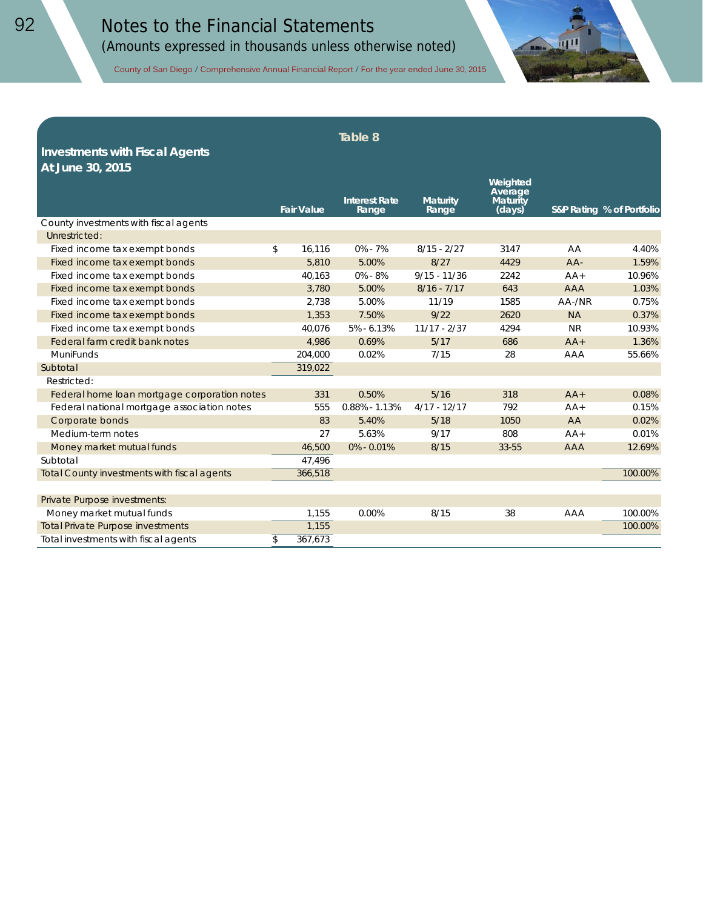County of San Diego **/** Comprehensive Annual Financial Report **/** For the year ended June 30, 2015



|                                                    |                   | Table 8                       |                          |                                                  |            |                           |
|----------------------------------------------------|-------------------|-------------------------------|--------------------------|--------------------------------------------------|------------|---------------------------|
| <b>Investments with Fiscal Agents</b>              |                   |                               |                          |                                                  |            |                           |
|                                                    |                   |                               |                          |                                                  |            |                           |
| At June 30, 2015                                   |                   |                               |                          |                                                  |            |                           |
|                                                    | <b>Fair Value</b> | <b>Interest Rate</b><br>Range | <b>Maturity</b><br>Range | Weighted<br>Average<br><b>Maturity</b><br>(days) |            | S&P Rating % of Portfolio |
| County investments with fiscal agents              |                   |                               |                          |                                                  |            |                           |
| Unrestricted:                                      |                   |                               |                          |                                                  |            |                           |
| Fixed income tax exempt bonds                      | \$<br>16,116      | $0\% - 7\%$                   | $8/15 - 2/27$            | 3147                                             | AA         | 4.40%                     |
| Fixed income tax exempt bonds                      | 5,810             | 5.00%                         | 8/27                     | 4429                                             | AA-        | 1.59%                     |
| Fixed income tax exempt bonds                      | 40,163            | 0% - 8%                       | $9/15 - 11/36$           | 2242                                             | $AA+$      | 10.96%                    |
| Fixed income tax exempt bonds                      | 3,780             | 5.00%                         | $8/16 - 7/17$            | 643                                              | <b>AAA</b> | 1.03%                     |
| Fixed income tax exempt bonds                      | 2,738             | 5.00%                         | 11/19                    | 1585                                             | AA-/NR     | 0.75%                     |
| Fixed income tax exempt bonds                      | 1,353             | 7.50%                         | 9/22                     | 2620                                             | <b>NA</b>  | 0.37%                     |
| Fixed income tax exempt bonds                      | 40,076            | $5\% - 6.13\%$                | $11/17 - 2/37$           | 4294                                             | <b>NR</b>  | 10.93%                    |
| Federal farm credit bank notes                     | 4,986             | 0.69%                         | 5/17                     | 686                                              | $AA+$      | 1.36%                     |
| MuniFunds                                          | 204,000           | 0.02%                         | 7/15                     | 28                                               | AAA        | 55.66%                    |
| Subtotal                                           | 319,022           |                               |                          |                                                  |            |                           |
| Restricted:                                        |                   |                               |                          |                                                  |            |                           |
| Federal home loan mortgage corporation notes       | 331               | 0.50%                         | 5/16                     | 318                                              | $AA+$      | 0.08%                     |
| Federal national mortgage association notes        | 555               | $0.88\% - 1.13\%$             | $4/17 - 12/17$           | 792                                              | $AA+$      | 0.15%                     |
| Corporate bonds                                    | 83                | 5.40%                         | 5/18                     | 1050                                             | AA         | 0.02%                     |
| Medium-term notes                                  | 27                | 5.63%                         | 9/17                     | 808                                              | $AA+$      | 0.01%                     |
| Money market mutual funds                          | 46,500            | $0\% - 0.01\%$                | 8/15                     | 33-55                                            | <b>AAA</b> | 12.69%                    |
| Subtotal                                           | 47,496            |                               |                          |                                                  |            |                           |
| <b>Total County investments with fiscal agents</b> | 366,518           |                               |                          |                                                  |            | 100.00%                   |
|                                                    |                   |                               |                          |                                                  |            |                           |
| Private Purpose investments:                       |                   |                               |                          |                                                  |            |                           |
| Money market mutual funds                          | 1,155             | 0.00%                         | 8/15                     | 38                                               | AAA        | 100.00%                   |
| <b>Total Private Purpose investments</b>           | 1,155             |                               |                          |                                                  |            | 100.00%                   |
| Total investments with fiscal agents               | \$<br>367,673     |                               |                          |                                                  |            |                           |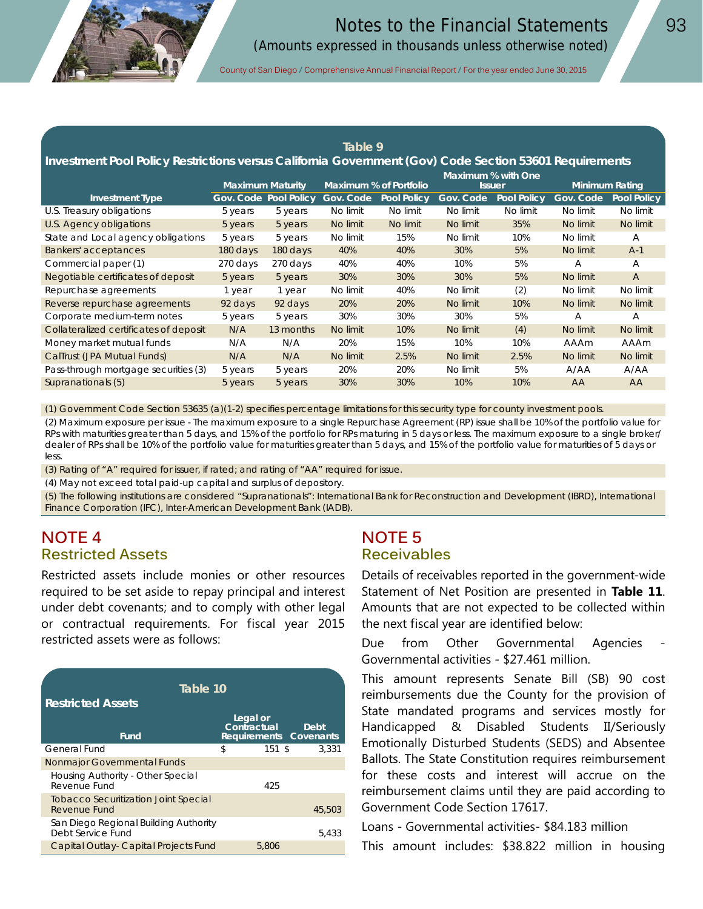

County of San Diego **/** Comprehensive Annual Financial Report **/** For the year ended June 30, 2015

#### **Table 9**

#### **Investment Pool Policy Restrictions versus California Government (Gov) Code Section 53601 Requirements**

|                                        |          | <b>Maximum Maturity</b> | Maximum % of Portfolio |                    | Maximum % with One<br><b>Issuer</b> |                    | Minimum Rating |                    |  |
|----------------------------------------|----------|-------------------------|------------------------|--------------------|-------------------------------------|--------------------|----------------|--------------------|--|
| <b>Investment Type</b>                 |          | Gov. Code Pool Policy   | Gov. Code              | <b>Pool Policy</b> | Gov. Code                           | <b>Pool Policy</b> | Gov. Code      | <b>Pool Policy</b> |  |
| U.S. Treasury obligations              | 5 years  | 5 years                 | No limit               | No limit           | No limit                            | No limit           | No limit       | No limit           |  |
| U.S. Agency obligations                | 5 years  | 5 years                 | No limit               | No limit           | No limit                            | 35%                | No limit       | No limit           |  |
| State and Local agency obligations     | 5 years  | 5 years                 | No limit               | 15%                | No limit                            | 10%                | No limit       | А                  |  |
| <b>Bankers' acceptances</b>            | 180 days | 180 days                | 40%                    | 40%                | 30%                                 | 5%                 | No limit       | $A-1$              |  |
| Commercial paper (1)                   | 270 days | 270 days                | 40%                    | 40%                | 10%                                 | 5%                 | Α              | A                  |  |
| Negotiable certificates of deposit     | 5 years  | 5 years                 | 30%                    | 30%                | 30%                                 | 5%                 | No limit       | $\overline{A}$     |  |
| Repurchase agreements                  | 1 year   | 1 year                  | No limit               | 40%                | No limit                            | (2)                | No limit       | No limit           |  |
| Reverse repurchase agreements          | 92 days  | 92 days                 | 20%                    | 20%                | No limit                            | 10%                | No limit       | No limit           |  |
| Corporate medium-term notes            | 5 years  | 5 years                 | 30%                    | 30%                | 30%                                 | 5%                 | Α              | Α                  |  |
| Collateralized certificates of deposit | N/A      | 13 months               | No limit               | 10%                | No limit                            | (4)                | No limit       | No limit           |  |
| Money market mutual funds              | N/A      | N/A                     | 20%                    | 15%                | 10%                                 | 10%                | AAAm           | AAAm               |  |
| CalTrust (JPA Mutual Funds)            | N/A      | N/A                     | No limit               | 2.5%               | No limit                            | 2.5%               | No limit       | No limit           |  |
| Pass-through mortgage securities (3)   | 5 years  | 5 years                 | 20%                    | 20%                | No limit                            | 5%                 | A/AA           | A/AA               |  |
| Supranationals (5)                     | 5 years  | 5 years                 | 30%                    | 30%                | 10%                                 | 10%                | AA             | <b>AA</b>          |  |

(1) Government Code Section 53635 (a)(1-2) specifies percentage limitations for this security type for county investment pools.

(2) Maximum exposure per issue - The maximum exposure to a single Repurchase Agreement (RP) issue shall be 10% of the portfolio value for RPs with maturities greater than 5 days, and 15% of the portfolio for RPs maturing in 5 days or less. The maximum exposure to a single broker/ dealer of RPs shall be 10% of the portfolio value for maturities greater than 5 days, and 15% of the portfolio value for maturities of 5 days or less.

(3) Rating of "A" required for issuer, if rated; and rating of "AA" required for issue.

(4) May not exceed total paid-up capital and surplus of depository.

(5) The following institutions are considered "Supranationals": International Bank for Reconstruction and Development (IBRD), International Finance Corporation (IFC), Inter-American Development Bank (IADB).

## **NOTE 4 Restricted Assets**

Restricted assets include monies or other resources required to be set aside to repay principal and interest under debt covenants; and to comply with other legal or contractual requirements. For fiscal year 2015 restricted assets were as follows:

| Table 10<br><b>Restricted Assets</b>                        |                                                          |        |
|-------------------------------------------------------------|----------------------------------------------------------|--------|
|                                                             |                                                          |        |
| Fund                                                        | Legal or<br>Contractual<br><b>Requirements Covenants</b> | Debt   |
| General Fund                                                | \$<br>151S                                               | 3.331  |
| Nonmajor Governmental Funds                                 |                                                          |        |
| Housing Authority - Other Special<br>Revenue Fund           | 425                                                      |        |
| <b>Tobacco Securitization Joint Special</b><br>Revenue Fund |                                                          | 45,503 |
| San Diego Regional Building Authority<br>Debt Service Fund  |                                                          | 5,433  |
| Capital Outlay- Capital Projects Fund                       | 5.806                                                    |        |

## **NOTE 5 Receivables**

Details of receivables reported in the government-wide Statement of Net Position are presented in **Table 11**. Amounts that are not expected to be collected within the next fiscal year are identified below:

Due from Other Governmental Agencies Governmental activities - \$27.461 million.

This amount represents Senate Bill (SB) 90 cost reimbursements due the County for the provision of State mandated programs and services mostly for Handicapped & Disabled Students II/Seriously Emotionally Disturbed Students (SEDS) and Absentee Ballots. The State Constitution requires reimbursement for these costs and interest will accrue on the reimbursement claims until they are paid according to Government Code Section 17617.

Loans - Governmental activities- \$84.183 million This amount includes: \$38.822 million in housing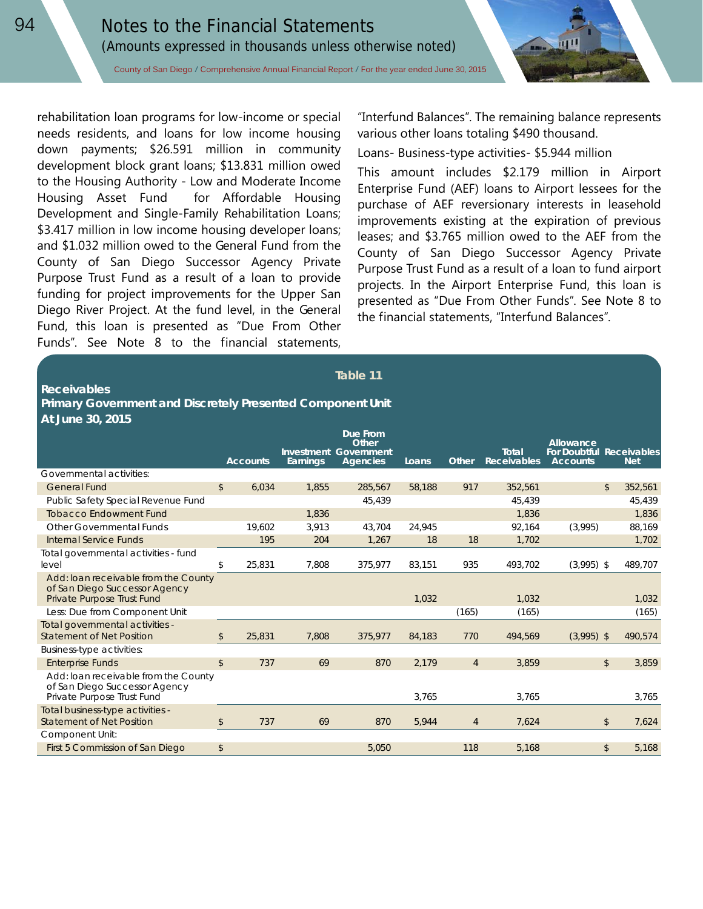rehabilitation loan programs for low-income or special needs residents, and loans for low income housing down payments; \$26.591 million in community development block grant loans; \$13.831 million owed to the Housing Authority - Low and Moderate Income Housing Asset Fund for Affordable Housing Development and Single-Family Rehabilitation Loans; \$3.417 million in low income housing developer loans; and \$1.032 million owed to the General Fund from the County of San Diego Successor Agency Private Purpose Trust Fund as a result of a loan to provide funding for project improvements for the Upper San Diego River Project. At the fund level, in the General Fund, this loan is presented as "Due From Other Funds". See Note 8 to the financial statements,

"Interfund Balances". The remaining balance represents various other loans totaling \$490 thousand.

Loans- Business-type activities- \$5.944 million

This amount includes \$2.179 million in Airport Enterprise Fund (AEF) loans to Airport lessees for the purchase of AEF reversionary interests in leasehold improvements existing at the expiration of previous leases; and \$3.765 million owed to the AEF from the County of San Diego Successor Agency Private Purpose Trust Fund as a result of a loan to fund airport projects. In the Airport Enterprise Fund, this loan is presented as "Due From Other Funds". See Note 8 to the financial statements, "Interfund Balances".

#### **Receivables**

**Primary Government and Discretely Presented Component Unit At June 30, 2015**

|                                                                                                     |               |                 |                        | Due From<br>Other      |        |                |                                    | <b>Allowance</b>                                   |               |            |
|-----------------------------------------------------------------------------------------------------|---------------|-----------------|------------------------|------------------------|--------|----------------|------------------------------------|----------------------------------------------------|---------------|------------|
|                                                                                                     |               | <b>Accounts</b> | Investment<br>Earnings | Government<br>Agencies | Loans  | Other          | <b>Total</b><br><b>Receivables</b> | <b>For Doubtful Receivables</b><br><b>Accounts</b> |               | <b>Net</b> |
| Governmental activities:                                                                            |               |                 |                        |                        |        |                |                                    |                                                    |               |            |
| <b>General Fund</b>                                                                                 | $\frac{2}{3}$ | 6,034           | 1,855                  | 285,567                | 58,188 | 917            | 352,561                            |                                                    | \$            | 352,561    |
| Public Safety Special Revenue Fund                                                                  |               |                 |                        | 45,439                 |        |                | 45.439                             |                                                    |               | 45,439     |
| <b>Tobacco Endowment Fund</b>                                                                       |               |                 | 1,836                  |                        |        |                | 1,836                              |                                                    |               | 1,836      |
| <b>Other Governmental Funds</b>                                                                     |               | 19.602          | 3,913                  | 43.704                 | 24.945 |                | 92,164                             | (3,995)                                            |               | 88,169     |
| <b>Internal Service Funds</b>                                                                       |               | 195             | 204                    | 1,267                  | 18     | 18             | 1,702                              |                                                    |               | 1,702      |
| Total governmental activities - fund<br>level                                                       | \$            | 25,831          | 7,808                  | 375,977                | 83,151 | 935            | 493,702                            | $(3,995)$ \$                                       |               | 489,707    |
| Add: Ioan receivable from the County<br>of San Diego Successor Agency<br>Private Purpose Trust Fund |               |                 |                        |                        | 1,032  |                | 1,032                              |                                                    |               | 1,032      |
| Less: Due from Component Unit                                                                       |               |                 |                        |                        |        | (165)          | (165)                              |                                                    |               | (165)      |
| Total governmental activities -<br><b>Statement of Net Position</b>                                 | \$            | 25,831          | 7,808                  | 375,977                | 84,183 | 770            | 494,569                            | $(3,995)$ \$                                       |               | 490,574    |
| Business-type activities:                                                                           |               |                 |                        |                        |        |                |                                    |                                                    |               |            |
| <b>Enterprise Funds</b>                                                                             | $\frac{2}{3}$ | 737             | 69                     | 870                    | 2,179  | $\overline{4}$ | 3,859                              |                                                    | $\frac{1}{2}$ | 3,859      |
| Add: Ioan receivable from the County<br>of San Diego Successor Agency<br>Private Purpose Trust Fund |               |                 |                        |                        | 3,765  |                | 3,765                              |                                                    |               | 3,765      |
| Total business-type activities -                                                                    |               |                 |                        |                        |        |                |                                    |                                                    |               |            |
| <b>Statement of Net Position</b>                                                                    | $\frac{2}{3}$ | 737             | 69                     | 870                    | 5,944  | $\overline{4}$ | 7,624                              |                                                    | $\frac{1}{2}$ | 7,624      |
| Component Unit:                                                                                     |               |                 |                        |                        |        |                |                                    |                                                    |               |            |
| First 5 Commission of San Diego                                                                     | \$            |                 |                        | 5,050                  |        | 118            | 5,168                              |                                                    | \$            | 5,168      |

**Table 11**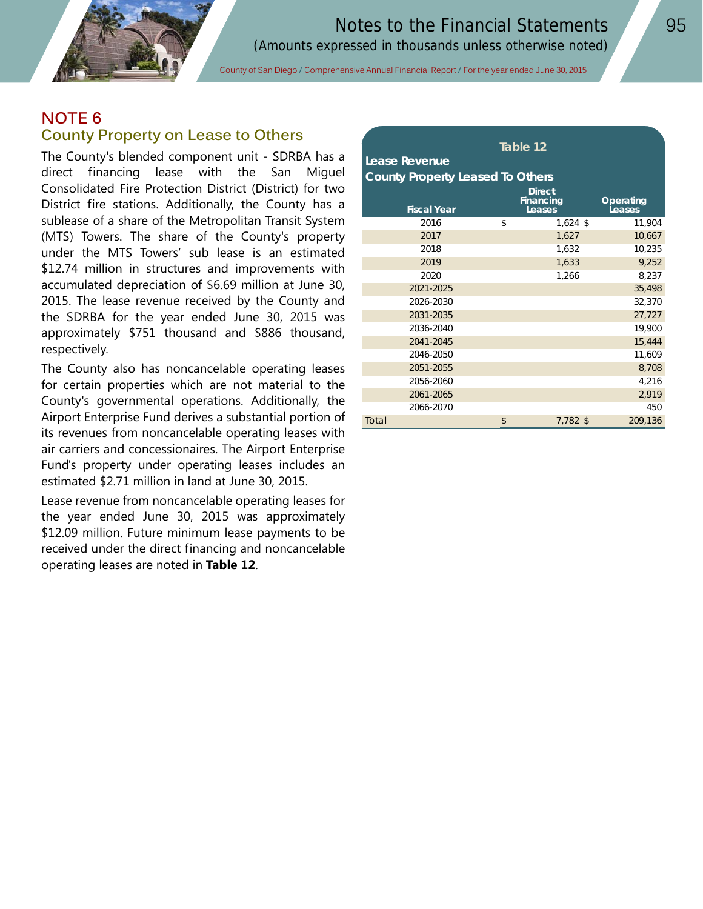County of San Diego **/** Comprehensive Annual Financial Report **/** For the year ended June 30, 2015

# **NOTE 6 County Property on Lease to Others**

The County's blended component unit - SDRBA has a direct financing lease with the San Miguel Consolidated Fire Protection District (District) for two District fire stations. Additionally, the County has a sublease of a share of the Metropolitan Transit System (MTS) Towers. The share of the County's property under the MTS Towers' sub lease is an estimated \$12.74 million in structures and improvements with accumulated depreciation of \$6.69 million at June 30, 2015. The lease revenue received by the County and the SDRBA for the year ended June 30, 2015 was approximately \$751 thousand and \$886 thousand, respectively.

The County also has noncancelable operating leases for certain properties which are not material to the County's governmental operations. Additionally, the Airport Enterprise Fund derives a substantial portion of its revenues from noncancelable operating leases with air carriers and concessionaires. The Airport Enterprise Fund's property under operating leases includes an estimated \$2.71 million in land at June 30, 2015.

Lease revenue from noncancelable operating leases for the year ended June 30, 2015 was approximately \$12.09 million. Future minimum lease payments to be received under the direct financing and noncancelable operating leases are noted in **Table 12**.

|                    | Table 12                                |                                      |                     |  |  |  |  |  |  |  |  |  |  |  |
|--------------------|-----------------------------------------|--------------------------------------|---------------------|--|--|--|--|--|--|--|--|--|--|--|
| Lease Revenue      |                                         |                                      |                     |  |  |  |  |  |  |  |  |  |  |  |
|                    | <b>County Property Leased To Others</b> |                                      |                     |  |  |  |  |  |  |  |  |  |  |  |
| <b>Fiscal Year</b> |                                         | <b>Direct</b><br>Financing<br>Leases | Operating<br>Leases |  |  |  |  |  |  |  |  |  |  |  |
| 2016               | \$                                      | $1,624$ \$                           | 11,904              |  |  |  |  |  |  |  |  |  |  |  |
| 2017               |                                         | 1,627                                | 10,667              |  |  |  |  |  |  |  |  |  |  |  |
| 2018               |                                         | 1,632                                | 10,235              |  |  |  |  |  |  |  |  |  |  |  |
| 2019               |                                         | 1,633                                | 9,252               |  |  |  |  |  |  |  |  |  |  |  |
| 2020               |                                         | 1,266                                | 8,237               |  |  |  |  |  |  |  |  |  |  |  |
| 2021-2025          |                                         |                                      | 35,498              |  |  |  |  |  |  |  |  |  |  |  |
| 2026-2030          |                                         |                                      | 32,370              |  |  |  |  |  |  |  |  |  |  |  |
| 2031-2035          |                                         |                                      | 27,727              |  |  |  |  |  |  |  |  |  |  |  |
| 2036-2040          |                                         |                                      | 19,900              |  |  |  |  |  |  |  |  |  |  |  |
| 2041-2045          |                                         |                                      | 15,444              |  |  |  |  |  |  |  |  |  |  |  |
| 2046-2050          |                                         |                                      | 11,609              |  |  |  |  |  |  |  |  |  |  |  |
| 2051-2055          |                                         |                                      | 8,708               |  |  |  |  |  |  |  |  |  |  |  |
| 2056-2060          |                                         |                                      | 4,216               |  |  |  |  |  |  |  |  |  |  |  |
| 2061-2065          |                                         |                                      | 2,919               |  |  |  |  |  |  |  |  |  |  |  |
| 2066-2070          |                                         |                                      | 450                 |  |  |  |  |  |  |  |  |  |  |  |
| Total              | \$                                      | 7,782 \$                             | 209,136             |  |  |  |  |  |  |  |  |  |  |  |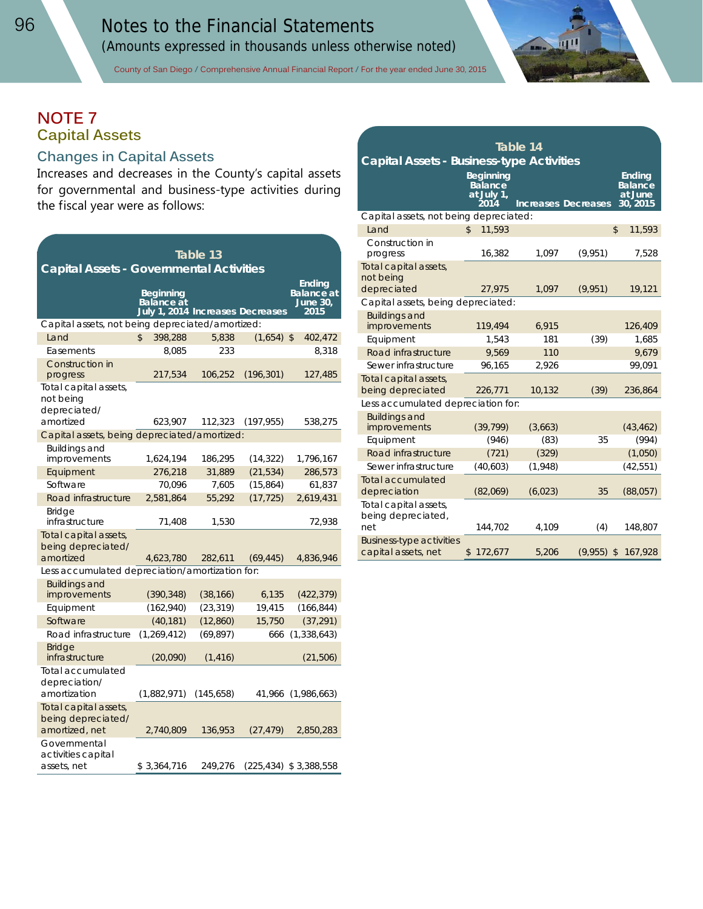County of San Diego **/** Comprehensive Annual Financial Report **/** For the year ended June 30, 2015

# **NOTE 7 Capital Assets**

## **Changes in Capital Assets**

Increases and decreases in the County's capital assets for governmental and business-type activities during the fiscal year were as follows:

| <b>Capital Assets - Governmental Activities</b>                 | <b>Beginning</b><br>Balance at<br>July 1, 2014 Increases Decreases |            |              | <b>Ending</b><br><b>Balance</b> at<br><b>June 30,</b><br>2015 |
|-----------------------------------------------------------------|--------------------------------------------------------------------|------------|--------------|---------------------------------------------------------------|
| Capital assets, not being depreciated/amortized:                |                                                                    |            |              |                                                               |
| Land                                                            | \$<br>398.288                                                      | 5,838      | $(1,654)$ \$ | 402,472                                                       |
| Easements                                                       | 8,085                                                              | 233        |              | 8,318                                                         |
| Construction in<br>progress                                     | 217,534                                                            | 106,252    | (196, 301)   | 127,485                                                       |
| Total capital assets,<br>not being<br>depreciated/<br>amortized | 623,907                                                            | 112,323    | (197, 955)   | 538,275                                                       |
| Capital assets, being depreciated/amortized:                    |                                                                    |            |              |                                                               |
| <b>Buildings and</b><br>improvements                            | 1,624,194                                                          | 186,295    | (14, 322)    | 1,796,167                                                     |
| Equipment                                                       | 276,218                                                            | 31,889     | (21, 534)    | 286,573                                                       |
| Software                                                        | 70,096                                                             | 7,605      | (15, 864)    | 61,837                                                        |
| Road infrastructure                                             | 2,581,864                                                          | 55,292     | (17, 725)    | 2,619,431                                                     |
| <b>Bridge</b><br>infrastructure                                 | 71,408                                                             | 1,530      |              | 72,938                                                        |
| Total capital assets,<br>being depreciated/<br>amortized        | 4,623,780                                                          | 282,611    | (69, 445)    | 4,836,946                                                     |
| Less accumulated depreciation/amortization for:                 |                                                                    |            |              |                                                               |
| <b>Buildings and</b><br>improvements                            | (390, 348)                                                         | (38, 166)  | 6,135        | (422, 379)                                                    |
| Equipment                                                       | (162, 940)                                                         | (23, 319)  | 19,415       | (166, 844)                                                    |
| Software                                                        | (40, 181)                                                          | (12, 860)  | 15,750       | (37, 291)                                                     |
| Road infrastructure                                             | (1, 269, 412)                                                      | (69, 897)  | 666          | (1, 338, 643)                                                 |
| <b>Bridge</b><br>infrastructure                                 | (20,090)                                                           | (1, 416)   |              | (21, 506)                                                     |
| Total accumulated<br>depreciation/<br>amortization              | (1,882,971)                                                        | (145, 658) | 41,966       | (1,986,663)                                                   |
| Total capital assets,<br>being depreciated/<br>amortized, net   | 2,740,809                                                          | 136,953    | (27, 479)    | 2,850,283                                                     |
| Governmental<br>activities capital<br>assets, net               | \$3,364,716                                                        | 249.276    |              | $(225, 434)$ \$ 3,388,558                                     |

|                                                        |                                                          | Table 14       |                            |                                          |
|--------------------------------------------------------|----------------------------------------------------------|----------------|----------------------------|------------------------------------------|
| <b>Capital Assets - Business-type Activities</b>       |                                                          |                |                            |                                          |
|                                                        | <b>Beginning</b><br><b>Balance</b><br>at July 1,<br>2014 |                | <b>Increases Decreases</b> | Ending<br>Balance<br>at June<br>30, 2015 |
| Capital assets, not being depreciated:                 |                                                          |                |                            |                                          |
| Land                                                   | \$<br>11,593                                             |                |                            | \$<br>11,593                             |
| Construction in<br>progress                            | 16,382                                                   | 1,097          | (9,951)                    | 7,528                                    |
| Total capital assets,<br>not being                     |                                                          |                |                            |                                          |
| depreciated                                            | 27,975                                                   | 1,097          | (9,951)                    | 19,121                                   |
| Capital assets, being depreciated:                     |                                                          |                |                            |                                          |
| <b>Buildings and</b><br>improvements                   | 119,494                                                  | 6,915          |                            | 126,409                                  |
| Equipment                                              |                                                          | 1,543<br>181   | (39)                       | 1,685                                    |
| Road infrastructure                                    |                                                          | 110<br>9.569   |                            | 9.679                                    |
| Sewer infrastructure                                   | 96,165                                                   | 2,926          |                            | 99,091                                   |
| Total capital assets,<br>being depreciated             | 226,771                                                  | 10,132         | (39)                       | 236,864                                  |
| Less accumulated depreciation for:                     |                                                          |                |                            |                                          |
| <b>Buildings and</b><br>improvements                   | (39, 799)                                                | (3,663)        |                            | (43, 462)                                |
| Equipment                                              |                                                          | (946)<br>(83)  | 35                         | (994)                                    |
| Road infrastructure                                    |                                                          | (721)<br>(329) |                            | (1,050)                                  |
| Sewer infrastructure                                   | (40, 603)                                                | (1,948)        |                            | (42, 551)                                |
| <b>Total accumulated</b><br>depreciation               | (82,069)                                                 | (6,023)        | 35                         | (88,057)                                 |
| Total capital assets,<br>being depreciated,<br>net     | 144,702                                                  | 4,109          | (4)                        | 148,807                                  |
| <b>Business-type activities</b><br>capital assets, net | \$<br>172,677                                            | 5,206          | $(9,955)$ \$               | 167,928                                  |

**Ball**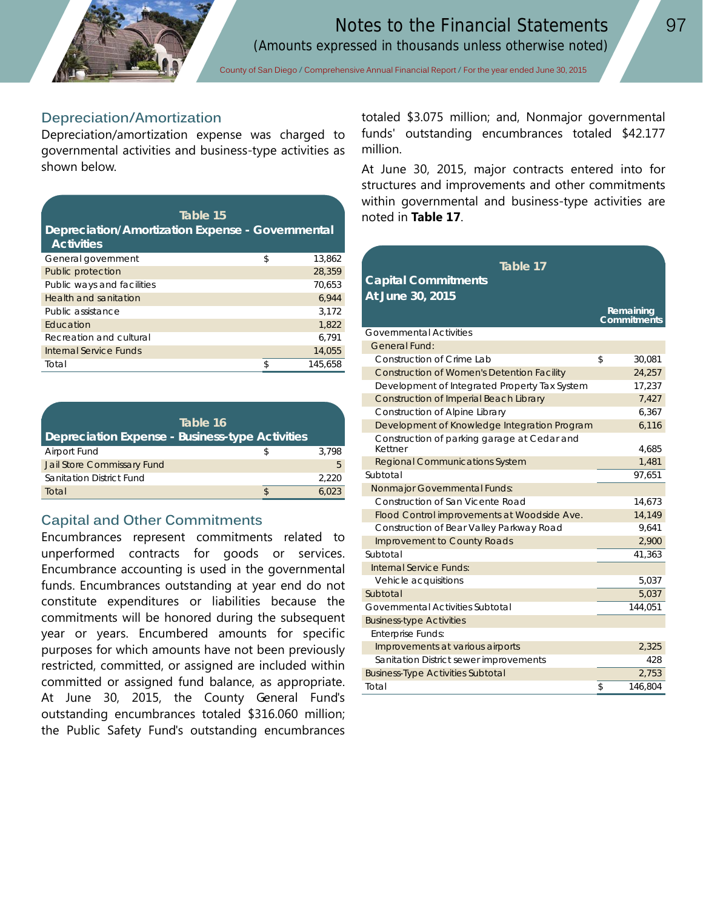

County of San Diego **/** Comprehensive Annual Financial Report **/** For the year ended June 30, 2015

#### **Depreciation/Amortization**

Depreciation/amortization expense was charged to governmental activities and business-type activities as shown below.

| Table 15<br>Depreciation/Amortization Expense - Governmental<br><b>Activities</b> |              |
|-----------------------------------------------------------------------------------|--------------|
| General government                                                                | \$<br>13,862 |
| Public protection                                                                 | 28.359       |
| Public ways and facilities                                                        | 70.653       |
| <b>Health and sanitation</b>                                                      | 6.944        |
| Public assistance                                                                 | 3,172        |
| Education                                                                         | 1.822        |
| Recreation and cultural                                                           | 6.791        |
| Internal Service Funds                                                            | 14,055       |
| Total                                                                             | 145.658      |

| Table 16<br>Depreciation Expense - Business-type Activities |       |
|-------------------------------------------------------------|-------|
| Airport Fund                                                | 3.798 |
| Jail Store Commissary Fund                                  | 5     |
| Sanitation District Fund                                    | 2.220 |
| Total                                                       | 6.023 |

## **Capital and Other Commitments**

Encumbrances represent commitments related to unperformed contracts for goods or services. Encumbrance accounting is used in the governmental funds. Encumbrances outstanding at year end do not constitute expenditures or liabilities because the commitments will be honored during the subsequent year or years. Encumbered amounts for specific purposes for which amounts have not been previously restricted, committed, or assigned are included within committed or assigned fund balance, as appropriate. At June 30, 2015, the County General Fund's outstanding encumbrances totaled \$316.060 million; the Public Safety Fund's outstanding encumbrances totaled \$3.075 million; and, Nonmajor governmental funds' outstanding encumbrances totaled \$42.177 million.

At June 30, 2015, major contracts entered into for structures and improvements and other commitments within governmental and business-type activities are **Table 15** noted in **Table 17**.

| Table 17                                          |               |
|---------------------------------------------------|---------------|
| <b>Capital Commitments</b>                        |               |
| At June 30, 2015                                  |               |
|                                                   | Remaining     |
|                                                   | Commitments   |
| <b>Governmental Activities</b>                    |               |
| General Fund:                                     |               |
| Construction of Crime Lab                         | \$<br>30,081  |
| <b>Construction of Women's Detention Facility</b> | 24,257        |
| Development of Integrated Property Tax System     | 17,237        |
| <b>Construction of Imperial Beach Library</b>     | 7,427         |
| Construction of Alpine Library                    | 6,367         |
| Development of Knowledge Integration Program      | 6,116         |
| Construction of parking garage at Cedar and       |               |
| Kettner                                           | 4,685         |
| <b>Regional Communications System</b>             | 1,481         |
| Subtotal                                          | 97.651        |
| <b>Nonmajor Governmental Funds:</b>               |               |
| Construction of San Vicente Road                  | 14,673        |
| Flood Control improvements at Woodside Ave.       | 14,149        |
| Construction of Bear Valley Parkway Road          | 9.641         |
| <b>Improvement to County Roads</b>                | 2,900         |
| Subtotal                                          | 41,363        |
| Internal Service Funds:                           |               |
| Vehicle acquisitions                              | 5,037         |
| Subtotal                                          | 5,037         |
| Governmental Activities Subtotal                  | 144,051       |
| <b>Business-type Activities</b>                   |               |
| <b>Enterprise Funds:</b>                          |               |
| Improvements at various airports                  | 2,325         |
| Sanitation District sewer improvements            | 428           |
| <b>Business-Type Activities Subtotal</b>          | 2,753         |
| Total                                             | \$<br>146,804 |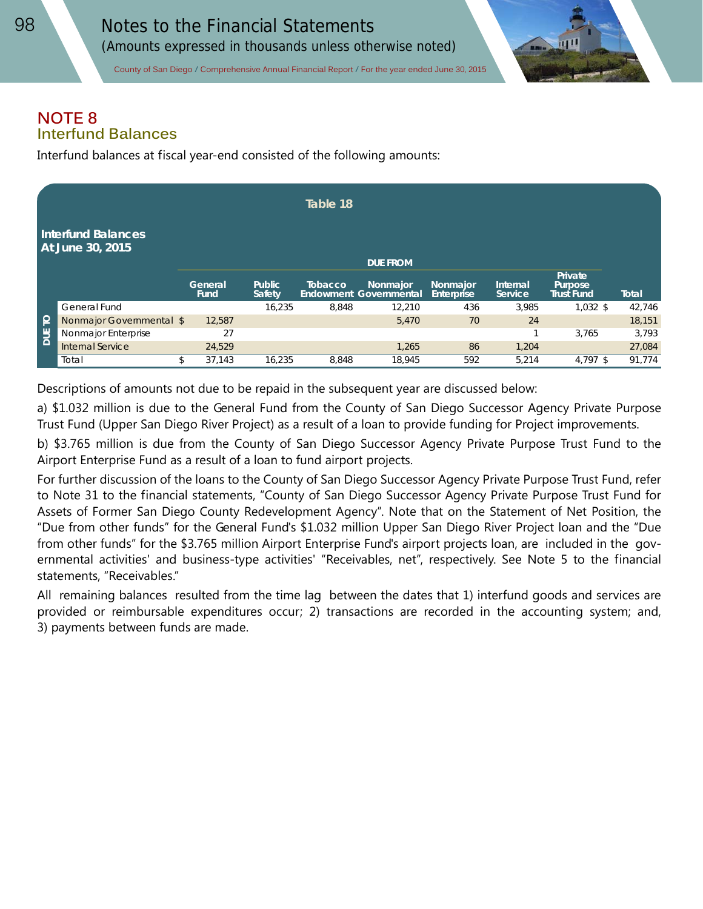County of San Diego **/** Comprehensive Annual Financial Report **/** For the year ended June 30, 2015



# **NOTE 8 Interfund Balances**

Interfund balances at fiscal year-end consisted of the following amounts:

|                | Interfund Balances<br>At June 30, 2015 |                 |                                | Table 18       | <b>DUE FROM</b>                           |                                      |                     |                                         |              |
|----------------|----------------------------------------|-----------------|--------------------------------|----------------|-------------------------------------------|--------------------------------------|---------------------|-----------------------------------------|--------------|
|                |                                        | General<br>Fund | <b>Public</b><br><b>Safety</b> | <b>Tobacco</b> | Nonmajor<br><b>Endowment Governmental</b> | <b>Nonmaior</b><br><b>Enterprise</b> | Internal<br>Service | Private<br>Purpose<br><b>Trust Fund</b> | <b>Total</b> |
|                | General Fund                           |                 | 16.235                         | 8.848          | 12.210                                    | 436                                  | 3.985               | $1.032$ \$                              | 42.746       |
| $\overline{C}$ | Nonmajor Governmental \$               | 12.587          |                                |                | 5.470                                     | 70                                   | 24                  |                                         | 18,151       |
| DUE            | Nonmajor Enterprise                    | 27              |                                |                |                                           |                                      |                     | 3.765                                   | 3,793        |
|                | <b>Internal Service</b>                | 24,529          |                                |                | 1.265                                     | 86                                   | 1.204               |                                         | 27,084       |
|                | Total                                  | \$<br>37,143    | 16,235                         | 8,848          | 18,945                                    | 592                                  | 5,214               | 4.797 \$                                | 91.774       |

Descriptions of amounts not due to be repaid in the subsequent year are discussed below:

a) \$1.032 million is due to the General Fund from the County of San Diego Successor Agency Private Purpose Trust Fund (Upper San Diego River Project) as a result of a loan to provide funding for Project improvements.

b) \$3.765 million is due from the County of San Diego Successor Agency Private Purpose Trust Fund to the Airport Enterprise Fund as a result of a loan to fund airport projects.

For further discussion of the loans to the County of San Diego Successor Agency Private Purpose Trust Fund, refer to Note 31 to the financial statements, "County of San Diego Successor Agency Private Purpose Trust Fund for Assets of Former San Diego County Redevelopment Agency". Note that on the Statement of Net Position, the "Due from other funds" for the General Fund's \$1.032 million Upper San Diego River Project loan and the "Due from other funds" for the \$3.765 million Airport Enterprise Fund's airport projects loan, are included in the governmental activities' and business-type activities' "Receivables, net", respectively. See Note 5 to the financial statements, "Receivables."

All remaining balances resulted from the time lag between the dates that 1) interfund goods and services are provided or reimbursable expenditures occur; 2) transactions are recorded in the accounting system; and, 3) payments between funds are made.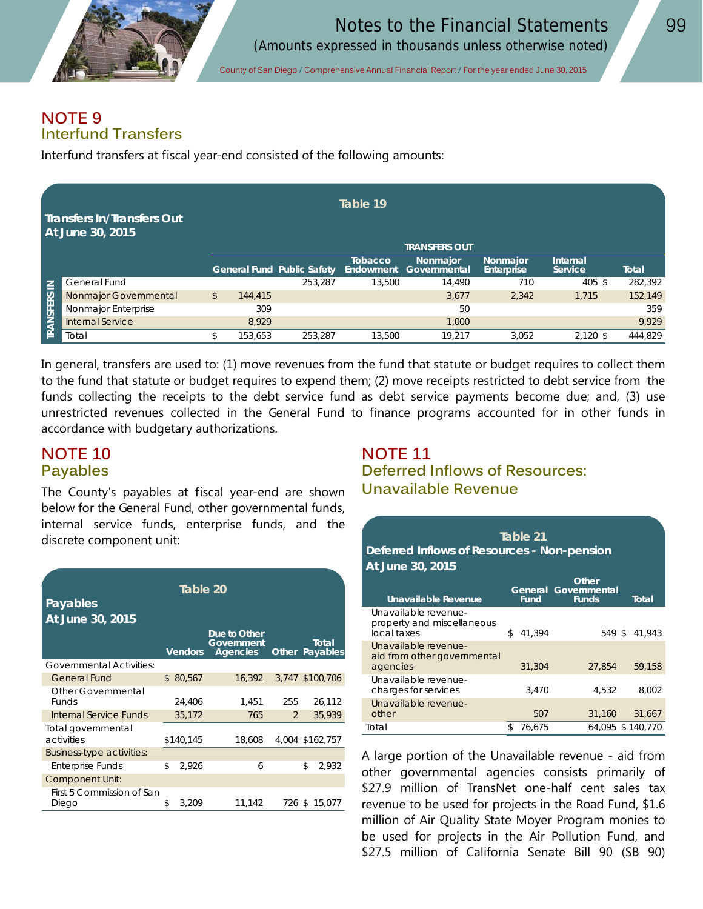

# **NOTE 9 Interfund Transfers**

Interfund transfers at fiscal year-end consisted of the following amounts:

|                  | Transfers In/Transfers Out<br>At June 30, 2015 |               |                                   | Table 19             |                          |                               |                     |         |
|------------------|------------------------------------------------|---------------|-----------------------------------|----------------------|--------------------------|-------------------------------|---------------------|---------|
|                  |                                                |               |                                   |                      | <b>TRANSFERS OUT</b>     |                               |                     |         |
|                  |                                                |               | <b>General Fund Public Safety</b> | Tobacco<br>Endowment | Nonmajor<br>Governmental | Nonmaior<br><b>Enterprise</b> | Internal<br>Service | Total   |
| $\leq$           | General Fund                                   |               | 253.287                           | 13,500               | 14.490                   | 710                           | 405 \$              | 282,392 |
|                  | Nonmajor Governmental                          | \$<br>144,415 |                                   |                      | 3.677                    | 2.342                         | 1.715               | 152.149 |
|                  | Nonmajor Enterprise                            | 309           |                                   |                      | 50                       |                               |                     | 359     |
| <b>TRANSFERS</b> | <b>Internal Service</b>                        | 8.929         |                                   |                      | 1,000                    |                               |                     | 9.929   |
|                  | Total                                          | \$<br>153.653 | 253.287                           | 13,500               | 19.217                   | 3.052                         | $2.120$ \$          | 444.829 |

In general, transfers are used to: (1) move revenues from the fund that statute or budget requires to collect them to the fund that statute or budget requires to expend them; (2) move receipts restricted to debt service from the funds collecting the receipts to the debt service fund as debt service payments become due; and, (3) use unrestricted revenues collected in the General Fund to finance programs accounted for in other funds in accordance with budgetary authorizations.

# **NOTE 10 Payables**

The County's payables at fiscal year-end are shown below for the General Fund, other governmental funds, internal service funds, enterprise funds, and the discrete component unit:

| Payables<br>At June 30, 2015              |              | Table 20       |                                               |               |                   |
|-------------------------------------------|--------------|----------------|-----------------------------------------------|---------------|-------------------|
|                                           |              | <b>Vendors</b> | Due to Other<br>Government<br><b>Agencies</b> | Other         | Total<br>Payables |
| Governmental Activities:                  |              |                |                                               |               |                   |
| <b>General Fund</b>                       | $\mathbb{S}$ | 80,567         | 16,392                                        |               | 3,747 \$100,706   |
| <b>Other Governmental</b><br><b>Funds</b> |              | 24,406         | 1,451                                         | 255           | 26,112            |
| Internal Service Funds                    |              | 35,172         | 765                                           | $\mathcal{P}$ | 35,939            |
| Total governmental<br>activities          |              | \$140,145      | 18,608                                        |               | 4,004 \$162,757   |
| Business-type activities:                 |              |                |                                               |               |                   |
| <b>Enterprise Funds</b>                   | \$           | 2,926          | 6                                             |               | \$<br>2,932       |
| <b>Component Unit:</b>                    |              |                |                                               |               |                   |
| First 5 Commission of San<br>Diego        | \$           | 3,209          | 11,142                                        | 726\$         | 15,077            |

# **NOTE 11 Deferred Inflows of Resources: Unavailable Revenue**

| Table 21                                                          |     |        |                                               |  |                  |  |  |  |  |
|-------------------------------------------------------------------|-----|--------|-----------------------------------------------|--|------------------|--|--|--|--|
| Deferred Inflows of Resources - Non-pension                       |     |        |                                               |  |                  |  |  |  |  |
| At June 30, 2015                                                  |     |        |                                               |  |                  |  |  |  |  |
| Unavailable Revenue                                               |     | Fund   | Other<br>General Governmental<br><b>Funds</b> |  | Total            |  |  |  |  |
| Unavailable revenue-<br>property and miscellaneous<br>local taxes | \$. | 41.394 | 549 \$                                        |  | 41.943           |  |  |  |  |
| Unavailable revenue-<br>aid from other governmental<br>agencies   |     | 31,304 | 27,854                                        |  | 59,158           |  |  |  |  |
| Unavailable revenue-<br>charges for services                      |     | 3,470  | 4,532                                         |  | 8,002            |  |  |  |  |
| Unavailable revenue-<br>other                                     |     | 507    | 31,160                                        |  | 31,667           |  |  |  |  |
| Total                                                             | \$  | 76.675 |                                               |  | 64.095 \$140.770 |  |  |  |  |

A large portion of the Unavailable revenue - aid from other governmental agencies consists primarily of \$27.9 million of TransNet one-half cent sales tax revenue to be used for projects in the Road Fund, \$1.6 million of Air Quality State Moyer Program monies to be used for projects in the Air Pollution Fund, and \$27.5 million of California Senate Bill 90 (SB 90)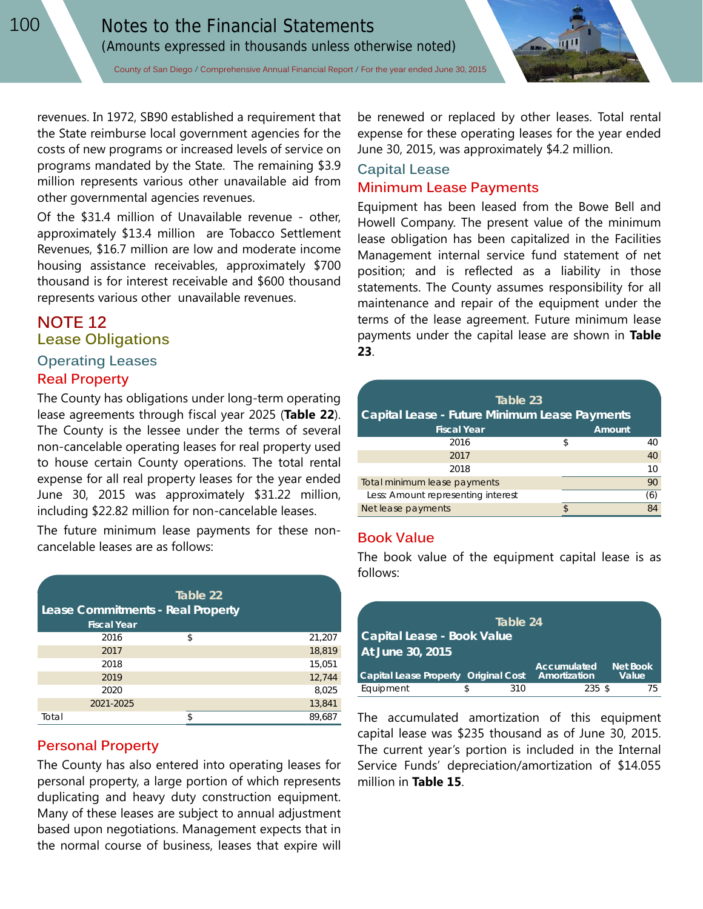revenues. In 1972, SB90 established a requirement that the State reimburse local government agencies for the costs of new programs or increased levels of service on programs mandated by the State. The remaining \$3.9 million represents various other unavailable aid from other governmental agencies revenues.

Of the \$31.4 million of Unavailable revenue - other, approximately \$13.4 million are Tobacco Settlement Revenues, \$16.7 million are low and moderate income housing assistance receivables, approximately \$700 thousand is for interest receivable and \$600 thousand represents various other unavailable revenues.

# **NOTE 12 Lease Obligations**

# **Operating Leases Real Property**

The County has obligations under long-term operating lease agreements through fiscal year 2025 (**Table 22**). The County is the lessee under the terms of several non-cancelable operating leases for real property used to house certain County operations. The total rental expense for all real property leases for the year ended June 30, 2015 was approximately \$31.22 million, including \$22.82 million for non-cancelable leases.

The future minimum lease payments for these noncancelable leases are as follows:

| Table 22<br><b>Lease Commitments - Real Property</b><br><b>Fiscal Year</b> |    |        |  |  |  |  |
|----------------------------------------------------------------------------|----|--------|--|--|--|--|
| 2016                                                                       | \$ | 21,207 |  |  |  |  |
| 2017                                                                       |    | 18,819 |  |  |  |  |
| 2018                                                                       |    | 15,051 |  |  |  |  |
| 2019                                                                       |    | 12,744 |  |  |  |  |
| 2020                                                                       |    | 8,025  |  |  |  |  |
| 2021-2025                                                                  |    | 13,841 |  |  |  |  |
| Total                                                                      | ¢  | 89,687 |  |  |  |  |

## **Personal Property**

The County has also entered into operating leases for personal property, a large portion of which represents duplicating and heavy duty construction equipment. Many of these leases are subject to annual adjustment based upon negotiations. Management expects that in the normal course of business, leases that expire will

be renewed or replaced by other leases. Total rental expense for these operating leases for the year ended June 30, 2015, was approximately \$4.2 million.

# **Capital Lease**

#### **Minimum Lease Payments**

Equipment has been leased from the Bowe Bell and Howell Company. The present value of the minimum lease obligation has been capitalized in the Facilities Management internal service fund statement of net position; and is reflected as a liability in those statements. The County assumes responsibility for all maintenance and repair of the equipment under the terms of the lease agreement. Future minimum lease payments under the capital lease are shown in **Table 23**.

| Table 23<br>Capital Lease - Future Minimum Lease Payments |    |        |  |  |  |  |
|-----------------------------------------------------------|----|--------|--|--|--|--|
| <b>Fiscal Year</b>                                        |    | Amount |  |  |  |  |
| 2016                                                      | \$ | 40     |  |  |  |  |
| 2017                                                      |    | 40     |  |  |  |  |
| 2018                                                      |    | 10     |  |  |  |  |
| Total minimum lease payments                              |    | 90     |  |  |  |  |
| Less: Amount representing interest                        |    | (6)    |  |  |  |  |
| Net lease payments                                        | ፍ  | 84     |  |  |  |  |

## **Book Value**

The book value of the equipment capital lease is as follows:

| Capital Lease - Book Value<br>At June 30, 2015 | Table 24 |                             |                          |
|------------------------------------------------|----------|-----------------------------|--------------------------|
| Capital Lease Property Original Cost           |          | Accumulated<br>Amortization | <b>Net Book</b><br>Value |
| Equipment                                      | 310      | $235$ \$                    | $\overline{1}$           |

The accumulated amortization of this equipment capital lease was \$235 thousand as of June 30, 2015. The current year's portion is included in the Internal Service Funds' depreciation/amortization of \$14.055 million in **Table 15**.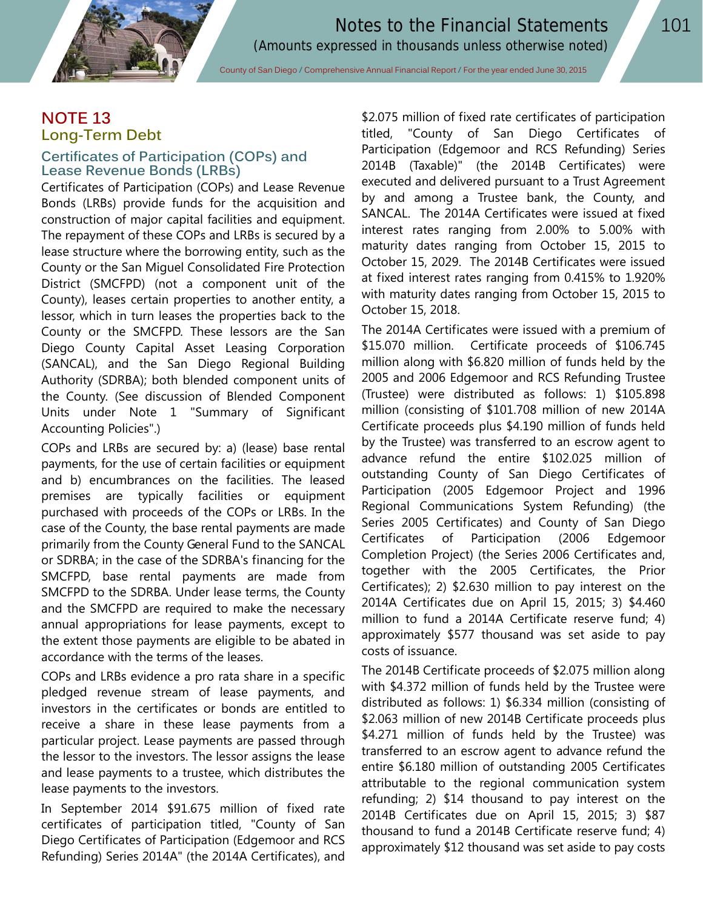

County of San Diego **/** Comprehensive Annual Financial Report **/** For the year ended June 30, 2015

# **NOTE 13 Long-Term Debt**

## **Certificates of Participation (COPs) and Lease Revenue Bonds (LRBs)**

Certificates of Participation (COPs) and Lease Revenue Bonds (LRBs) provide funds for the acquisition and construction of major capital facilities and equipment. The repayment of these COPs and LRBs is secured by a lease structure where the borrowing entity, such as the County or the San Miguel Consolidated Fire Protection District (SMCFPD) (not a component unit of the County), leases certain properties to another entity, a lessor, which in turn leases the properties back to the County or the SMCFPD. These lessors are the San Diego County Capital Asset Leasing Corporation (SANCAL), and the San Diego Regional Building Authority (SDRBA); both blended component units of the County. (See discussion of Blended Component Units under Note 1 "Summary of Significant Accounting Policies".)

COPs and LRBs are secured by: a) (lease) base rental payments, for the use of certain facilities or equipment and b) encumbrances on the facilities. The leased premises are typically facilities or equipment purchased with proceeds of the COPs or LRBs. In the case of the County, the base rental payments are made primarily from the County General Fund to the SANCAL or SDRBA; in the case of the SDRBA's financing for the SMCFPD, base rental payments are made from SMCFPD to the SDRBA. Under lease terms, the County and the SMCFPD are required to make the necessary annual appropriations for lease payments, except to the extent those payments are eligible to be abated in accordance with the terms of the leases.

COPs and LRBs evidence a pro rata share in a specific pledged revenue stream of lease payments, and investors in the certificates or bonds are entitled to receive a share in these lease payments from a particular project. Lease payments are passed through the lessor to the investors. The lessor assigns the lease and lease payments to a trustee, which distributes the lease payments to the investors.

In September 2014 \$91.675 million of fixed rate certificates of participation titled, "County of San Diego Certificates of Participation (Edgemoor and RCS Refunding) Series 2014A" (the 2014A Certificates), and \$2.075 million of fixed rate certificates of participation titled, "County of San Diego Certificates of Participation (Edgemoor and RCS Refunding) Series 2014B (Taxable)" (the 2014B Certificates) were executed and delivered pursuant to a Trust Agreement by and among a Trustee bank, the County, and SANCAL. The 2014A Certificates were issued at fixed interest rates ranging from 2.00% to 5.00% with maturity dates ranging from October 15, 2015 to October 15, 2029. The 2014B Certificates were issued at fixed interest rates ranging from 0.415% to 1.920% with maturity dates ranging from October 15, 2015 to October 15, 2018.

The 2014A Certificates were issued with a premium of \$15.070 million. Certificate proceeds of \$106.745 million along with \$6.820 million of funds held by the 2005 and 2006 Edgemoor and RCS Refunding Trustee (Trustee) were distributed as follows: 1) \$105.898 million (consisting of \$101.708 million of new 2014A Certificate proceeds plus \$4.190 million of funds held by the Trustee) was transferred to an escrow agent to advance refund the entire \$102.025 million of outstanding County of San Diego Certificates of Participation (2005 Edgemoor Project and 1996 Regional Communications System Refunding) (the Series 2005 Certificates) and County of San Diego Certificates of Participation (2006 Edgemoor Completion Project) (the Series 2006 Certificates and, together with the 2005 Certificates, the Prior Certificates); 2) \$2.630 million to pay interest on the 2014A Certificates due on April 15, 2015; 3) \$4.460 million to fund a 2014A Certificate reserve fund; 4) approximately \$577 thousand was set aside to pay costs of issuance.

The 2014B Certificate proceeds of \$2.075 million along with \$4.372 million of funds held by the Trustee were distributed as follows: 1) \$6.334 million (consisting of \$2.063 million of new 2014B Certificate proceeds plus \$4.271 million of funds held by the Trustee) was transferred to an escrow agent to advance refund the entire \$6.180 million of outstanding 2005 Certificates attributable to the regional communication system refunding; 2) \$14 thousand to pay interest on the 2014B Certificates due on April 15, 2015; 3) \$87 thousand to fund a 2014B Certificate reserve fund; 4) approximately \$12 thousand was set aside to pay costs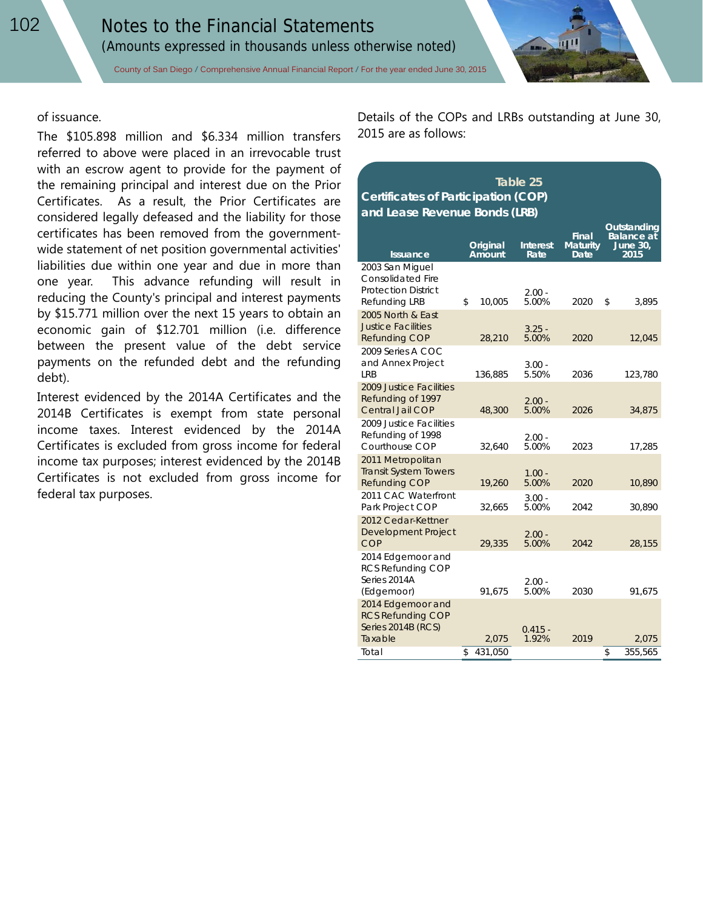#### of issuance.

The \$105.898 million and \$6.334 million transfers referred to above were placed in an irrevocable trust with an escrow agent to provide for the payment of the remaining principal and interest due on the Prior Certificates. As a result, the Prior Certificates are considered legally defeased and the liability for those certificates has been removed from the governmentwide statement of net position governmental activities' liabilities due within one year and due in more than one year. This advance refunding will result in reducing the County's principal and interest payments by \$15.771 million over the next 15 years to obtain an economic gain of \$12.701 million (i.e. difference between the present value of the debt service payments on the refunded debt and the refunding debt).

Interest evidenced by the 2014A Certificates and the 2014B Certificates is exempt from state personal income taxes. Interest evidenced by the 2014A Certificates is excluded from gross income for federal income tax purposes; interest evidenced by the 2014B Certificates is not excluded from gross income for federal tax purposes.

Details of the COPs and LRBs outstanding at June 30, 2015 are as follows:

|                                            |                               | Table 25          |                          |                               |  |  |  |  |  |  |  |
|--------------------------------------------|-------------------------------|-------------------|--------------------------|-------------------------------|--|--|--|--|--|--|--|
| <b>Certificates of Participation (COP)</b> |                               |                   |                          |                               |  |  |  |  |  |  |  |
|                                            |                               |                   |                          |                               |  |  |  |  |  |  |  |
|                                            | and Lease Revenue Bonds (LRB) |                   |                          |                               |  |  |  |  |  |  |  |
|                                            |                               |                   |                          | Outstanding                   |  |  |  |  |  |  |  |
|                                            | Original                      | <b>Interest</b>   | Final<br><b>Maturity</b> | <b>Balance</b> at<br>June 30, |  |  |  |  |  |  |  |
| <b>Issuance</b>                            | Amount                        | Rate              | Date                     | 2015                          |  |  |  |  |  |  |  |
| 2003 San Miguel                            |                               |                   |                          |                               |  |  |  |  |  |  |  |
| <b>Consolidated Fire</b>                   |                               |                   |                          |                               |  |  |  |  |  |  |  |
| <b>Protection District</b>                 |                               | $2.00 -$          |                          |                               |  |  |  |  |  |  |  |
| Refunding LRB                              | \$<br>10,005                  | 5.00%             | 2020                     | \$<br>3,895                   |  |  |  |  |  |  |  |
| 2005 North & East                          |                               |                   |                          |                               |  |  |  |  |  |  |  |
| <b>Justice Facilities</b>                  |                               | $3.25 -$          |                          |                               |  |  |  |  |  |  |  |
| <b>Refunding COP</b>                       | 28,210                        | 5.00%             | 2020                     | 12,045                        |  |  |  |  |  |  |  |
| 2009 Series A COC                          |                               |                   |                          |                               |  |  |  |  |  |  |  |
| and Annex Project                          |                               | $3.00 -$          |                          |                               |  |  |  |  |  |  |  |
| LRB                                        | 136,885                       | 5.50%             | 2036                     | 123,780                       |  |  |  |  |  |  |  |
| 2009 Justice Facilities                    |                               |                   |                          |                               |  |  |  |  |  |  |  |
| Refunding of 1997                          |                               | $2.00 -$          |                          |                               |  |  |  |  |  |  |  |
| <b>Central Jail COP</b>                    | 48,300                        | 5.00%             | 2026                     | 34,875                        |  |  |  |  |  |  |  |
| 2009 Justice Facilities                    |                               |                   |                          |                               |  |  |  |  |  |  |  |
| Refunding of 1998<br>Courthouse COP        | 32,640                        | $2.00 -$<br>5.00% | 2023                     | 17.285                        |  |  |  |  |  |  |  |
| 2011 Metropolitan                          |                               |                   |                          |                               |  |  |  |  |  |  |  |
| <b>Transit System Towers</b>               |                               |                   |                          |                               |  |  |  |  |  |  |  |
| <b>Refunding COP</b>                       | 19,260                        | $1.00 -$<br>5.00% | 2020                     | 10,890                        |  |  |  |  |  |  |  |
| 2011 CAC Waterfront                        |                               | $3.00 -$          |                          |                               |  |  |  |  |  |  |  |
| Park Project COP                           | 32,665                        | 5.00%             | 2042                     | 30,890                        |  |  |  |  |  |  |  |
| 2012 Cedar-Kettner                         |                               |                   |                          |                               |  |  |  |  |  |  |  |
| <b>Development Project</b>                 |                               | $2.00 -$          |                          |                               |  |  |  |  |  |  |  |
| COP                                        | 29,335                        | 5.00%             | 2042                     | 28,155                        |  |  |  |  |  |  |  |
| 2014 Edgemoor and                          |                               |                   |                          |                               |  |  |  |  |  |  |  |
| RCS Refunding COP                          |                               |                   |                          |                               |  |  |  |  |  |  |  |
| Series 2014A                               |                               | $2.00 -$          |                          |                               |  |  |  |  |  |  |  |
| (Edgemoor)                                 | 91,675                        | 5.00%             | 2030                     | 91,675                        |  |  |  |  |  |  |  |
| 2014 Edgemoor and                          |                               |                   |                          |                               |  |  |  |  |  |  |  |
| <b>RCS Refunding COP</b>                   |                               |                   |                          |                               |  |  |  |  |  |  |  |
| Series 2014B (RCS)                         |                               | $0.415 -$         |                          |                               |  |  |  |  |  |  |  |
| Taxable                                    | 2,075                         | 1.92%             | 2019                     | 2,075                         |  |  |  |  |  |  |  |
| Total                                      | \$<br>431,050                 |                   |                          | 355,565<br>\$                 |  |  |  |  |  |  |  |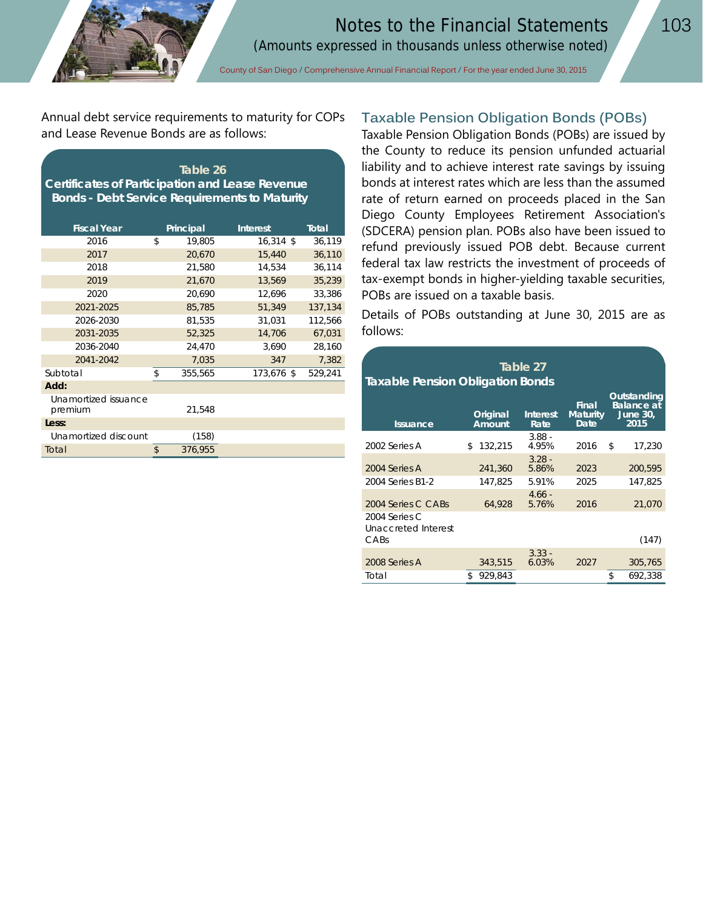County of San Diego **/** Comprehensive Annual Financial Report **/** For the year ended June 30, 2015

Annual debt service requirements to maturity for COPs and Lease Revenue Bonds are as follows:

#### **Table 26 Certificates of Participation and Lease Revenue Bonds - Debt Service Requirements to Maturity**

| <b>Fiscal Year</b>              | Principal     | <b>Interest</b> | Total   |
|---------------------------------|---------------|-----------------|---------|
| 2016                            | \$<br>19,805  | 16,314 \$       | 36,119  |
| 2017                            | 20,670        | 15,440          | 36,110  |
| 2018                            | 21,580        | 14,534          | 36,114  |
| 2019                            | 21,670        | 13,569          | 35,239  |
| 2020                            | 20.690        | 12.696          | 33,386  |
| 2021-2025                       | 85,785        | 51,349          | 137,134 |
| 2026-2030                       | 81,535        | 31,031          | 112,566 |
| 2031-2035                       | 52,325        | 14,706          | 67,031  |
| 2036-2040                       | 24,470        | 3,690           | 28,160  |
| 2041-2042                       | 7,035         | 347             | 7,382   |
| Subtotal                        | \$<br>355,565 | 173,676 \$      | 529,241 |
| Add:                            |               |                 |         |
| Unamortized issuance<br>premium | 21,548        |                 |         |
| Less:                           |               |                 |         |
| Unamortized discount            | (158)         |                 |         |
| Total                           | \$<br>376,955 |                 |         |

## **Taxable Pension Obligation Bonds (POBs)**

Taxable Pension Obligation Bonds (POBs) are issued by the County to reduce its pension unfunded actuarial liability and to achieve interest rate savings by issuing bonds at interest rates which are less than the assumed rate of return earned on proceeds placed in the San Diego County Employees Retirement Association's (SDCERA) pension plan. POBs also have been issued to refund previously issued POB debt. Because current federal tax law restricts the investment of proceeds of tax-exempt bonds in higher-yielding taxable securities, POBs are issued on a taxable basis.

Details of POBs outstanding at June 30, 2015 are as follows:

| Table 27<br><b>Taxable Pension Obligation Bonds</b> |                    |                         |                                         |                                                      |  |  |  |  |  |
|-----------------------------------------------------|--------------------|-------------------------|-----------------------------------------|------------------------------------------------------|--|--|--|--|--|
| <b>Issuance</b>                                     | Original<br>Amount | <b>Interest</b><br>Rate | Final<br><b>Maturity</b><br><b>Date</b> | Outstanding<br>Balance at<br><b>June 30,</b><br>2015 |  |  |  |  |  |
| 2002 Series A                                       | 132,215<br>\$.     | $3.88 -$<br>4.95%       | 2016                                    | \$<br>17,230                                         |  |  |  |  |  |
| 2004 Series A                                       | 241,360            | $3.28 -$<br>5.86%       | 2023                                    | 200,595                                              |  |  |  |  |  |
| 2004 Series B1-2                                    | 147.825            | 5.91%                   | 2025                                    | 147.825                                              |  |  |  |  |  |
| 2004 Series C CABs                                  | 64,928             | $4.66 -$<br>5.76%       | 2016                                    | 21,070                                               |  |  |  |  |  |
| 2004 Series C<br>Unaccreted Interest<br>CABs        |                    |                         |                                         | (147)                                                |  |  |  |  |  |
|                                                     |                    | $3.33 -$                |                                         |                                                      |  |  |  |  |  |
| 2008 Series A                                       | 343,515            | 6.03%                   | 2027                                    | 305,765                                              |  |  |  |  |  |
| Total                                               | 929.843<br>\$      |                         |                                         | \$<br>692,338                                        |  |  |  |  |  |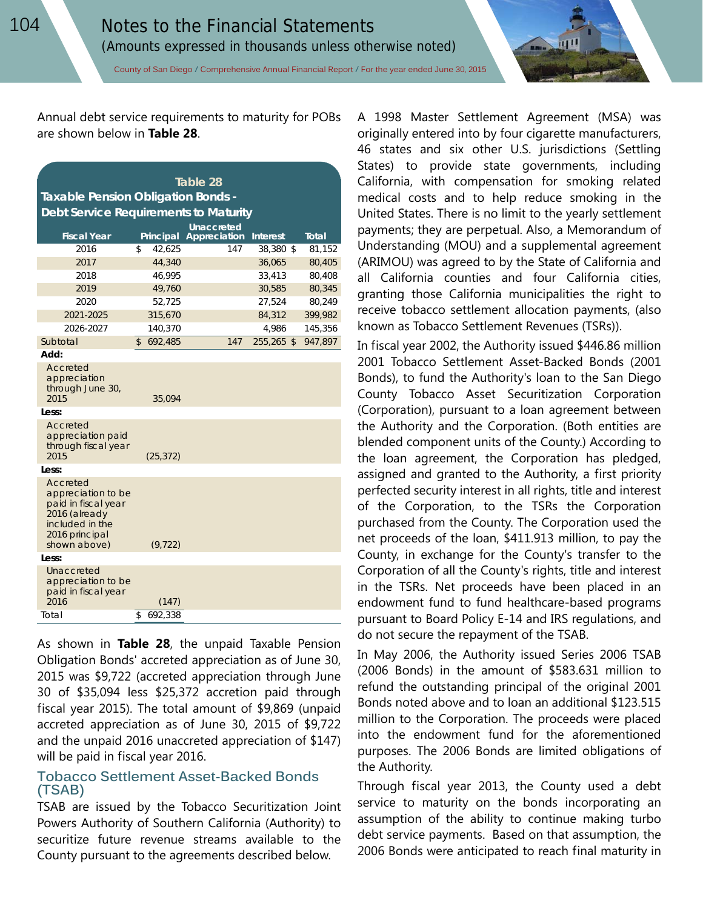Annual debt service requirements to maturity for POBs are shown below in **Table 28**.

| Table 28                                                                                                                    |               |           |                               |                 |  |         |  |  |  |
|-----------------------------------------------------------------------------------------------------------------------------|---------------|-----------|-------------------------------|-----------------|--|---------|--|--|--|
| <b>Taxable Pension Obligation Bonds -</b>                                                                                   |               |           |                               |                 |  |         |  |  |  |
| Debt Service Requirements to Maturity                                                                                       |               |           |                               |                 |  |         |  |  |  |
|                                                                                                                             |               |           | <b>Unaccreted</b>             |                 |  |         |  |  |  |
| <b>Fiscal Year</b>                                                                                                          |               |           | <b>Principal Appreciation</b> | <b>Interest</b> |  | Total   |  |  |  |
| 2016                                                                                                                        | \$            | 42.625    | 147                           | 38,380 \$       |  | 81,152  |  |  |  |
| 2017                                                                                                                        |               | 44,340    |                               | 36,065          |  | 80,405  |  |  |  |
| 2018                                                                                                                        |               | 46,995    |                               | 33,413          |  | 80,408  |  |  |  |
| 2019                                                                                                                        |               | 49.760    |                               | 30,585          |  | 80,345  |  |  |  |
| 2020                                                                                                                        |               | 52,725    |                               | 27.524          |  | 80.249  |  |  |  |
| 2021-2025                                                                                                                   |               | 315,670   |                               | 84,312          |  | 399,982 |  |  |  |
| 2026-2027                                                                                                                   |               | 140,370   |                               | 4,986           |  | 145,356 |  |  |  |
| Subtotal                                                                                                                    | $\frac{1}{2}$ | 692,485   | 147                           | 255,265 \$      |  | 947,897 |  |  |  |
| Add:                                                                                                                        |               |           |                               |                 |  |         |  |  |  |
| Accreted<br>appreciation<br>through June 30,<br>2015                                                                        |               | 35,094    |                               |                 |  |         |  |  |  |
| Less:                                                                                                                       |               |           |                               |                 |  |         |  |  |  |
| Accreted<br>appreciation paid<br>through fiscal year<br>2015                                                                |               | (25, 372) |                               |                 |  |         |  |  |  |
| Less:                                                                                                                       |               |           |                               |                 |  |         |  |  |  |
| Accreted<br>appreciation to be<br>paid in fiscal year<br>2016 (already<br>included in the<br>2016 principal<br>shown above) |               | (9, 722)  |                               |                 |  |         |  |  |  |
| Less:                                                                                                                       |               |           |                               |                 |  |         |  |  |  |
| Unaccreted<br>appreciation to be<br>paid in fiscal year<br>2016                                                             |               | (147)     |                               |                 |  |         |  |  |  |
| Total                                                                                                                       | \$            | 692,338   |                               |                 |  |         |  |  |  |

As shown in **Table 28**, the unpaid Taxable Pension Obligation Bonds' accreted appreciation as of June 30, 2015 was \$9,722 (accreted appreciation through June 30 of \$35,094 less \$25,372 accretion paid through fiscal year 2015). The total amount of \$9,869 (unpaid accreted appreciation as of June 30, 2015 of \$9,722 and the unpaid 2016 unaccreted appreciation of \$147) will be paid in fiscal year 2016.

## **Tobacco Settlement Asset-Backed Bonds (TSAB)**

TSAB are issued by the Tobacco Securitization Joint Powers Authority of Southern California (Authority) to securitize future revenue streams available to the County pursuant to the agreements described below.

A 1998 Master Settlement Agreement (MSA) was originally entered into by four cigarette manufacturers, 46 states and six other U.S. jurisdictions (Settling States) to provide state governments, including California, with compensation for smoking related medical costs and to help reduce smoking in the United States. There is no limit to the yearly settlement payments; they are perpetual. Also, a Memorandum of Understanding (MOU) and a supplemental agreement (ARIMOU) was agreed to by the State of California and all California counties and four California cities, granting those California municipalities the right to receive tobacco settlement allocation payments, (also known as Tobacco Settlement Revenues (TSRs)).

In fiscal year 2002, the Authority issued \$446.86 million 2001 Tobacco Settlement Asset-Backed Bonds (2001 Bonds), to fund the Authority's loan to the San Diego County Tobacco Asset Securitization Corporation (Corporation), pursuant to a loan agreement between the Authority and the Corporation. (Both entities are blended component units of the County.) According to the loan agreement, the Corporation has pledged, assigned and granted to the Authority, a first priority perfected security interest in all rights, title and interest of the Corporation, to the TSRs the Corporation purchased from the County. The Corporation used the net proceeds of the loan, \$411.913 million, to pay the County, in exchange for the County's transfer to the Corporation of all the County's rights, title and interest in the TSRs. Net proceeds have been placed in an endowment fund to fund healthcare-based programs pursuant to Board Policy E-14 and IRS regulations, and do not secure the repayment of the TSAB.

In May 2006, the Authority issued Series 2006 TSAB (2006 Bonds) in the amount of \$583.631 million to refund the outstanding principal of the original 2001 Bonds noted above and to loan an additional \$123.515 million to the Corporation. The proceeds were placed into the endowment fund for the aforementioned purposes. The 2006 Bonds are limited obligations of the Authority.

Through fiscal year 2013, the County used a debt service to maturity on the bonds incorporating an assumption of the ability to continue making turbo debt service payments. Based on that assumption, the 2006 Bonds were anticipated to reach final maturity in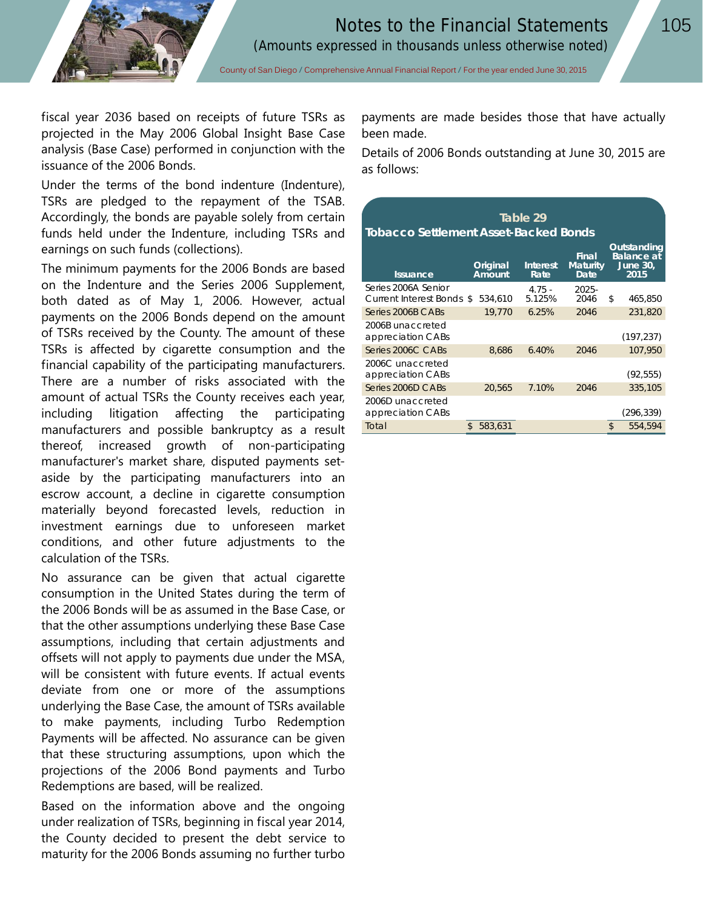

fiscal year 2036 based on receipts of future TSRs as projected in the May 2006 Global Insight Base Case analysis (Base Case) performed in conjunction with the issuance of the 2006 Bonds.

Under the terms of the bond indenture (Indenture), TSRs are pledged to the repayment of the TSAB. Accordingly, the bonds are payable solely from certain funds held under the Indenture, including TSRs and earnings on such funds (collections).

The minimum payments for the 2006 Bonds are based on the Indenture and the Series 2006 Supplement, both dated as of May 1, 2006. However, actual payments on the 2006 Bonds depend on the amount of TSRs received by the County. The amount of these TSRs is affected by cigarette consumption and the financial capability of the participating manufacturers. There are a number of risks associated with the amount of actual TSRs the County receives each year, including litigation affecting the participating manufacturers and possible bankruptcy as a result thereof, increased growth of non-participating manufacturer's market share, disputed payments setaside by the participating manufacturers into an escrow account, a decline in cigarette consumption materially beyond forecasted levels, reduction in investment earnings due to unforeseen market conditions, and other future adjustments to the calculation of the TSRs.

No assurance can be given that actual cigarette consumption in the United States during the term of the 2006 Bonds will be as assumed in the Base Case, or that the other assumptions underlying these Base Case assumptions, including that certain adjustments and offsets will not apply to payments due under the MSA, will be consistent with future events. If actual events deviate from one or more of the assumptions underlying the Base Case, the amount of TSRs available to make payments, including Turbo Redemption Payments will be affected. No assurance can be given that these structuring assumptions, upon which the projections of the 2006 Bond payments and Turbo Redemptions are based, will be realized.

Based on the information above and the ongoing under realization of TSRs, beginning in fiscal year 2014, the County decided to present the debt service to maturity for the 2006 Bonds assuming no further turbo payments are made besides those that have actually been made.

Details of 2006 Bonds outstanding at June 30, 2015 are as follows:

| Table 29<br><b>Tobacco Settlement Asset-Backed Bonds</b> |                |                    |                    |                                         |                |                                                                    |  |  |  |
|----------------------------------------------------------|----------------|--------------------|--------------------|-----------------------------------------|----------------|--------------------------------------------------------------------|--|--|--|
| <b>Issuance</b>                                          |                | Original<br>Amount | Interest<br>Rate   | <b>Final</b><br><b>Maturity</b><br>Date |                | <b>Outstanding</b><br><b>Balance</b> at<br><b>June 30,</b><br>2015 |  |  |  |
| Series 2006A Senior<br>Current Interest Bonds \$         |                | 534,610            | $4.75 -$<br>5.125% | $2025 -$<br>2046                        | \$             | 465,850                                                            |  |  |  |
| Series 2006B CABs                                        |                | 19,770             | 6.25%              | 2046                                    |                | 231,820                                                            |  |  |  |
| 2006B unaccreted<br>appreciation CABs                    |                |                    |                    |                                         |                | (197, 237)                                                         |  |  |  |
| Series 2006C CABs                                        |                | 8.686              | 6.40%              | 2046                                    |                | 107.950                                                            |  |  |  |
| 2006C unaccreted<br>appreciation CABs                    |                |                    |                    |                                         |                | (92, 555)                                                          |  |  |  |
| Series 2006D CABs                                        |                | 20.565             | 7.10%              | 2046                                    |                | 335,105                                                            |  |  |  |
| 2006D unaccreted<br>appreciation CABs                    |                |                    |                    |                                         |                | (296, 339)                                                         |  |  |  |
| Total                                                    | $\mathfrak{F}$ | 583.631            |                    |                                         | $\mathfrak{L}$ | 554,594                                                            |  |  |  |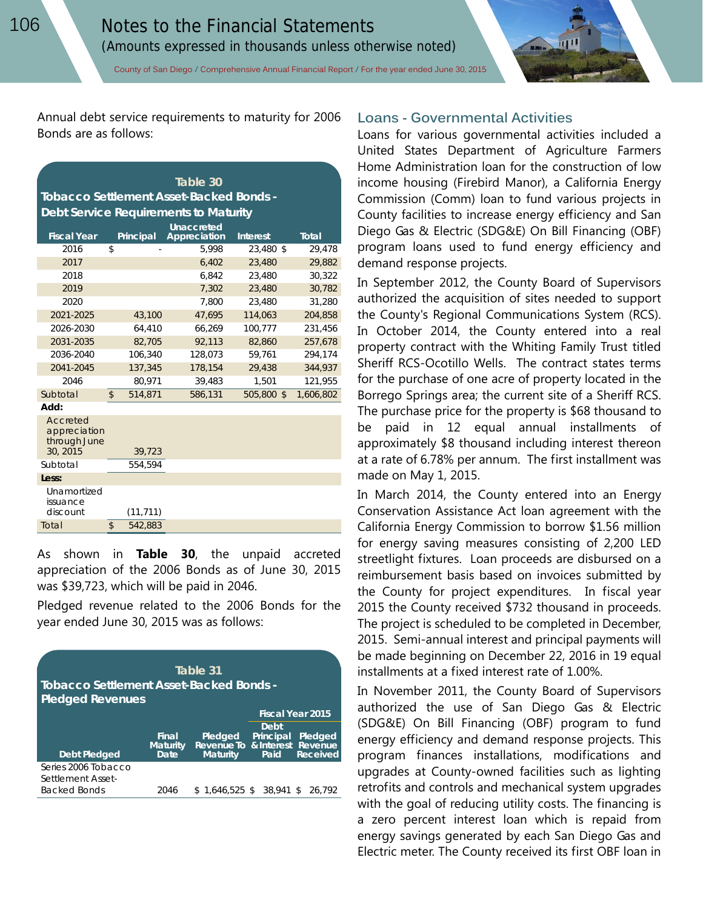Annual debt service requirements to maturity for 2006 Bonds are as follows:

|                                                      |                |           | Table 30     |                 |                |              |  |  |  |
|------------------------------------------------------|----------------|-----------|--------------|-----------------|----------------|--------------|--|--|--|
| Tobacco Settlement Asset-Backed Bonds -              |                |           |              |                 |                |              |  |  |  |
| Debt Service Requirements to Maturity                |                |           |              |                 |                |              |  |  |  |
| <b>Unaccreted</b>                                    |                |           |              |                 |                |              |  |  |  |
| <b>Fiscal Year</b>                                   |                | Principal | Appreciation | <b>Interest</b> |                | <b>Total</b> |  |  |  |
| 2016                                                 | \$             |           | 5.998        | 23,480 \$       |                | 29.478       |  |  |  |
| 2017                                                 |                |           | 6.402        | 23,480          |                | 29,882       |  |  |  |
| 2018                                                 |                |           | 6.842        | 23,480          |                | 30.322       |  |  |  |
| 2019                                                 |                |           | 7.302        | 23,480          |                | 30,782       |  |  |  |
| 2020                                                 |                |           | 7,800        | 23,480          |                | 31,280       |  |  |  |
| 2021-2025                                            |                | 43,100    | 47,695       | 114,063         |                | 204,858      |  |  |  |
| 2026-2030                                            |                | 64.410    | 66.269       | 100.777         |                | 231.456      |  |  |  |
| 2031-2035                                            |                | 82,705    | 92,113       | 82,860          |                | 257,678      |  |  |  |
| 2036-2040                                            |                | 106,340   | 128,073      | 59,761          |                | 294,174      |  |  |  |
| 2041-2045                                            |                | 137,345   | 178,154      | 29,438          |                | 344,937      |  |  |  |
| 2046                                                 |                | 80.971    | 39,483       | 1,501           |                | 121,955      |  |  |  |
| Subtotal                                             | $\mathfrak{L}$ | 514.871   | 586,131      | 505,800         | $\mathfrak{L}$ | 1,606,802    |  |  |  |
| Add:                                                 |                |           |              |                 |                |              |  |  |  |
| Accreted<br>appreciation<br>through June<br>30, 2015 |                | 39.723    |              |                 |                |              |  |  |  |
| Subtotal                                             |                | 554.594   |              |                 |                |              |  |  |  |
| Less:                                                |                |           |              |                 |                |              |  |  |  |
| Unamortized<br>issuance<br>discount                  |                | (11, 711) |              |                 |                |              |  |  |  |
| Total                                                | \$             | 542,883   |              |                 |                |              |  |  |  |

As shown in **Table 30**, the unpaid accreted appreciation of the 2006 Bonds as of June 30, 2015 was \$39,723, which will be paid in 2046.

Pledged revenue related to the 2006 Bonds for the year ended June 30, 2015 was as follows:

| Table 31<br><b>Tobacco Settlement Asset-Backed Bonds -</b><br><b>Pledged Revenues</b> |                                  |                                                     |                           |                                       |  |  |  |  |
|---------------------------------------------------------------------------------------|----------------------------------|-----------------------------------------------------|---------------------------|---------------------------------------|--|--|--|--|
|                                                                                       |                                  |                                                     |                           | Fiscal Year 2015                      |  |  |  |  |
| <b>Debt Pledged</b>                                                                   | Final<br><b>Maturity</b><br>Date | Pledged<br>Revenue To & Interest<br><b>Maturity</b> | Debt<br>Principal<br>Paid | Pledged<br>Revenue<br><b>Received</b> |  |  |  |  |
| Series 2006 Tobacco<br>Settlement Asset-<br><b>Backed Bonds</b>                       | 2046                             | $$1.646.525$ \$ 38.941 \$                           |                           | 26.792                                |  |  |  |  |

#### **Loans - Governmental Activities**

Loans for various governmental activities included a United States Department of Agriculture Farmers Home Administration loan for the construction of low income housing (Firebird Manor), a California Energy Commission (Comm) loan to fund various projects in County facilities to increase energy efficiency and San Diego Gas & Electric (SDG&E) On Bill Financing (OBF) program loans used to fund energy efficiency and demand response projects.

In September 2012, the County Board of Supervisors authorized the acquisition of sites needed to support the County's Regional Communications System (RCS). In October 2014, the County entered into a real property contract with the Whiting Family Trust titled Sheriff RCS-Ocotillo Wells. The contract states terms for the purchase of one acre of property located in the Borrego Springs area; the current site of a Sheriff RCS. The purchase price for the property is \$68 thousand to be paid in 12 equal annual installments of approximately \$8 thousand including interest thereon at a rate of 6.78% per annum. The first installment was made on May 1, 2015.

In March 2014, the County entered into an Energy Conservation Assistance Act loan agreement with the California Energy Commission to borrow \$1.56 million for energy saving measures consisting of 2,200 LED streetlight fixtures. Loan proceeds are disbursed on a reimbursement basis based on invoices submitted by the County for project expenditures. In fiscal year 2015 the County received \$732 thousand in proceeds. The project is scheduled to be completed in December, 2015. Semi-annual interest and principal payments will be made beginning on December 22, 2016 in 19 equal installments at a fixed interest rate of 1.00%.

In November 2011, the County Board of Supervisors authorized the use of San Diego Gas & Electric (SDG&E) On Bill Financing (OBF) program to fund energy efficiency and demand response projects. This program finances installations, modifications and upgrades at County-owned facilities such as lighting retrofits and controls and mechanical system upgrades with the goal of reducing utility costs. The financing is a zero percent interest loan which is repaid from energy savings generated by each San Diego Gas and Electric meter. The County received its first OBF loan in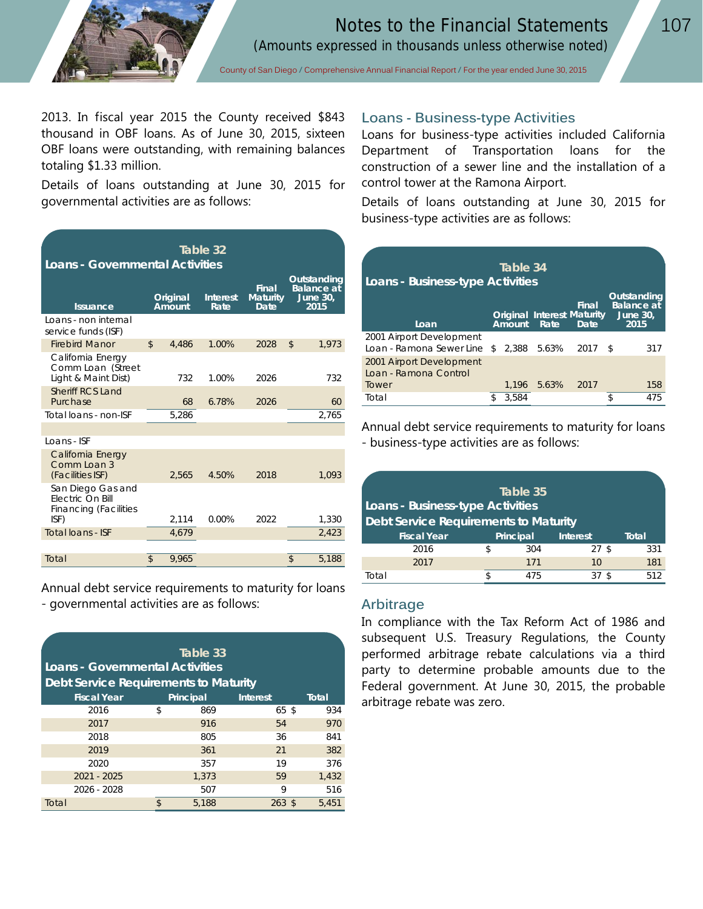

2013. In fiscal year 2015 the County received \$843 thousand in OBF loans. As of June 30, 2015, sixteen OBF loans were outstanding, with remaining balances totaling \$1.33 million.

Details of loans outstanding at June 30, 2015 for governmental activities are as follows:

| Table 32<br><b>Loans - Governmental Activities</b>                                   |                                               |       |                 |      |    |                                                             |  |
|--------------------------------------------------------------------------------------|-----------------------------------------------|-------|-----------------|------|----|-------------------------------------------------------------|--|
| <b>Issuance</b>                                                                      | Original<br><b>Interest</b><br>Amount<br>Rate |       | <b>Maturity</b> |      |    | Outstanding<br><b>Balance</b> at<br><b>June 30,</b><br>2015 |  |
| Loans - non internal<br>service funds (ISF)                                          |                                               |       |                 |      |    |                                                             |  |
| <b>Firebird Manor</b>                                                                | \$                                            | 4.486 | 1.00%           | 2028 | \$ | 1,973                                                       |  |
| California Energy<br>Comm Loan (Street<br>Light & Maint Dist)                        |                                               | 732   | 1.00%           | 2026 |    | 732                                                         |  |
| Sheriff RCS Land<br>Purchase                                                         |                                               | 68    | 6.78%           | 2026 |    | 60                                                          |  |
| Total loans - non-ISF                                                                |                                               | 5.286 |                 |      |    | 2,765                                                       |  |
|                                                                                      |                                               |       |                 |      |    |                                                             |  |
| Loans - ISE                                                                          |                                               |       |                 |      |    |                                                             |  |
| California Energy<br>Comm Loan 3<br>(Facilities ISF)                                 |                                               | 2,565 | 4.50%           | 2018 |    | 1,093                                                       |  |
| San Diego Gas and<br><b>Electric On Bill</b><br><b>Financing (Facilities</b><br>ISF) |                                               | 2,114 | 0.00%           | 2022 |    | 1,330                                                       |  |
| <b>Total loans - ISF</b>                                                             |                                               | 4,679 |                 |      |    | 2,423                                                       |  |
|                                                                                      |                                               |       |                 |      |    |                                                             |  |
| Total                                                                                | \$                                            | 9.965 |                 |      | \$ | 5,188                                                       |  |

Annual debt service requirements to maturity for loans - governmental activities are as follows:

| Table 33<br>Loans - Governmental Activities<br>Debt Service Requirements to Maturity |    |           |                   |       |  |  |  |
|--------------------------------------------------------------------------------------|----|-----------|-------------------|-------|--|--|--|
| <b>Fiscal Year</b>                                                                   |    | Principal | <b>Interest</b>   | Total |  |  |  |
| 2016                                                                                 | \$ | 869       | 65\$              | 934   |  |  |  |
| 2017                                                                                 |    | 916       | 54                | 970   |  |  |  |
| 2018                                                                                 |    | 805       | 36                | 841   |  |  |  |
| 2019                                                                                 |    | 361       | 21                | 382   |  |  |  |
| 2020                                                                                 |    | 357       | 19                | 376   |  |  |  |
| 2021 - 2025                                                                          |    | 1.373     | 59                | 1.432 |  |  |  |
| 2026 - 2028                                                                          |    | 507       | 9                 | 516   |  |  |  |
| Total                                                                                |    | 5,188     | $263 \text{ }$ \$ | 5.451 |  |  |  |

#### **Loans - Business-type Activities**

Loans for business-type activities included California Department of Transportation loans for the construction of a sewer line and the installation of a control tower at the Ramona Airport.

Details of loans outstanding at June 30, 2015 for business-type activities are as follows:

| Table 34<br>Loans - Business-type Activities               |    |               |       |                                             |                                                             |     |  |  |
|------------------------------------------------------------|----|---------------|-------|---------------------------------------------|-------------------------------------------------------------|-----|--|--|
| Loan                                                       |    | <b>Amount</b> | Rate  | Final<br>Original Interest Maturity<br>Date | Outstanding<br><b>Balance</b> at<br><b>June 30,</b><br>2015 |     |  |  |
| 2001 Airport Development<br>Loan - Ramona Sewer Line \$    |    | 2.388         | 5.63% | 2017                                        | S                                                           | 317 |  |  |
| 2001 Airport Development<br>Loan - Ramona Control<br>Tower |    | 1.196         | 5.63% | 2017                                        |                                                             | 158 |  |  |
| Total                                                      | \$ | 3.584         |       |                                             | ¢                                                           | 475 |  |  |

Annual debt service requirements to maturity for loans - business-type activities are as follows:

| Loans - Business-type Activities<br>Debt Service Requirements to Maturity | Table 35  |                 |       |
|---------------------------------------------------------------------------|-----------|-----------------|-------|
| <b>Fiscal Year</b>                                                        | Principal | <b>Interest</b> | Total |
| 2016                                                                      | 304       | 27S             | 331   |
| 2017                                                                      | 171       | 10              | 181   |
| Total                                                                     | 475       | 37 S            | 512   |

#### **Arbitrage**

In compliance with the Tax Reform Act of 1986 and subsequent U.S. Treasury Regulations, the County performed arbitrage rebate calculations via a third party to determine probable amounts due to the Federal government. At June 30, 2015, the probable arbitrage rebate was zero.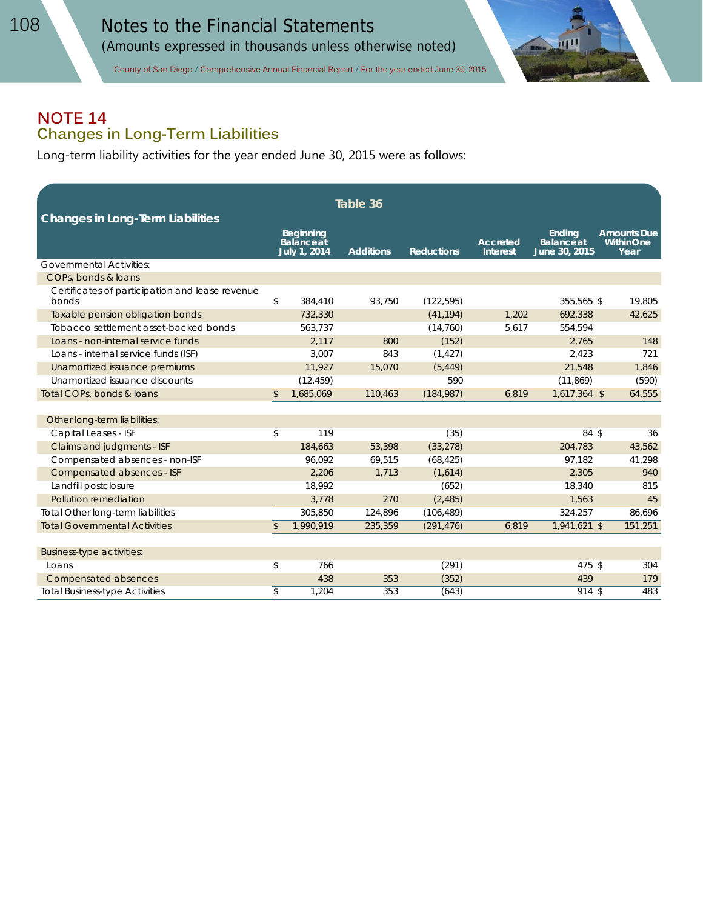County of San Diego **/** Comprehensive Annual Financial Report **/** For the year ended June 30, 2015



# **NOTE 14 Changes in Long-Term Liabilities**

Long-term liability activities for the year ended June 30, 2015 were as follows:

| Table 36                                                 |               |                                               |                  |                   |                                    |                                              |                                                |
|----------------------------------------------------------|---------------|-----------------------------------------------|------------------|-------------------|------------------------------------|----------------------------------------------|------------------------------------------------|
| <b>Changes in Long-Term Liabilities</b>                  |               |                                               |                  |                   |                                    |                                              |                                                |
|                                                          |               | Beginning<br><b>Balanceat</b><br>July 1, 2014 | <b>Additions</b> | <b>Reductions</b> | <b>Accreted</b><br><b>Interest</b> | Ending<br><b>Balance</b> at<br>June 30, 2015 | <b>Amounts Due</b><br><b>WithinOne</b><br>Year |
| <b>Governmental Activities:</b>                          |               |                                               |                  |                   |                                    |                                              |                                                |
| COPs, bonds & loans                                      |               |                                               |                  |                   |                                    |                                              |                                                |
| Certificates of participation and lease revenue<br>bonds | \$            | 384,410                                       | 93,750           | (122, 595)        |                                    | 355,565 \$                                   | 19,805                                         |
| Taxable pension obligation bonds                         |               | 732,330                                       |                  | (41, 194)         | 1,202                              | 692,338                                      | 42,625                                         |
| Tobacco settlement asset-backed bonds                    |               | 563,737                                       |                  | (14, 760)         | 5,617                              | 554,594                                      |                                                |
| Loans - non-internal service funds                       |               | 2,117                                         | 800              | (152)             |                                    | 2,765                                        | 148                                            |
| Loans - internal service funds (ISF)                     |               | 3,007                                         | 843              | (1, 427)          |                                    | 2,423                                        | 721                                            |
| Unamortized issuance premiums                            |               | 11,927                                        | 15,070           | (5, 449)          |                                    | 21,548                                       | 1,846                                          |
| Unamortized issuance discounts                           |               | (12, 459)                                     |                  | 590               |                                    | (11, 869)                                    | (590)                                          |
| Total COPs, bonds & loans                                | $\mathcal{L}$ | 1,685,069                                     | 110,463          | (184, 987)        | 6,819                              | 1,617,364 \$                                 | 64,555                                         |
| Other long-term liabilities:                             |               |                                               |                  |                   |                                    |                                              |                                                |
| Capital Leases - ISF                                     | \$            | 119                                           |                  | (35)              |                                    | 84 \$                                        | 36                                             |
| Claims and judgments - ISF                               |               | 184,663                                       | 53,398           | (33, 278)         |                                    | 204,783                                      | 43,562                                         |
| Compensated absences - non-ISF                           |               | 96,092                                        | 69,515           | (68, 425)         |                                    | 97,182                                       | 41,298                                         |
| Compensated absences - ISF                               |               | 2.206                                         | 1,713            | (1,614)           |                                    | 2,305                                        | 940                                            |
| Landfill postclosure                                     |               | 18,992                                        |                  | (652)             |                                    | 18,340                                       | 815                                            |
| Pollution remediation                                    |               | 3,778                                         | 270              | (2,485)           |                                    | 1,563                                        | 45                                             |
| Total Other long-term liabilities                        |               | 305,850                                       | 124,896          | (106, 489)        |                                    | 324,257                                      | 86.696                                         |
| <b>Total Governmental Activities</b>                     | $\mathcal{L}$ | 1,990,919                                     | 235,359          | (291, 476)        | 6,819                              | 1,941,621 \$                                 | 151,251                                        |
|                                                          |               |                                               |                  |                   |                                    |                                              |                                                |
| <b>Business-type activities:</b>                         |               |                                               |                  |                   |                                    |                                              |                                                |
| Loans                                                    | \$            | 766                                           |                  | (291)             |                                    | 475 \$                                       | 304                                            |
| Compensated absences                                     |               | 438                                           | 353              | (352)             |                                    | 439                                          | 179                                            |
| <b>Total Business-type Activities</b>                    | \$            | 1,204                                         | 353              | (643)             |                                    | 914S                                         | 483                                            |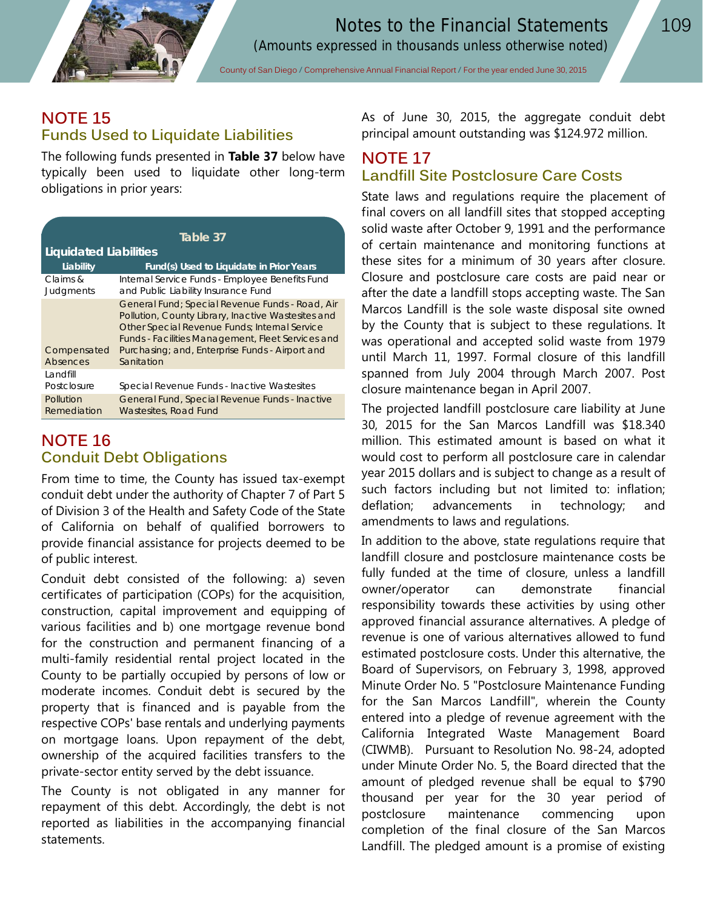

County of San Diego **/** Comprehensive Annual Financial Report **/** For the year ended June 30, 2015

# **NOTE 15 Funds Used to Liquidate Liabilities**

The following funds presented in **Table 37** below have typically been used to liquidate other long-term obligations in prior years:

| Table 37                 |                                                                                                                                                                                                                                                                                     |  |  |  |  |  |  |
|--------------------------|-------------------------------------------------------------------------------------------------------------------------------------------------------------------------------------------------------------------------------------------------------------------------------------|--|--|--|--|--|--|
|                          | <b>Liquidated Liabilities</b>                                                                                                                                                                                                                                                       |  |  |  |  |  |  |
| Liability                | Fund(s) Used to Liquidate in Prior Years                                                                                                                                                                                                                                            |  |  |  |  |  |  |
| Claims &<br>Judgments    | Internal Service Funds - Employee Benefits Fund<br>and Public Liability Insurance Fund                                                                                                                                                                                              |  |  |  |  |  |  |
| Compensated<br>Absences  | General Fund; Special Revenue Funds - Road, Air<br>Pollution, County Library, Inactive Wastesites and<br>Other Special Revenue Funds; Internal Service<br><b>Funds - Facilities Management, Fleet Services and</b><br>Purchasing; and, Enterprise Funds - Airport and<br>Sanitation |  |  |  |  |  |  |
| Landfill<br>Postclosure  | Special Revenue Funds - Inactive Wastesites                                                                                                                                                                                                                                         |  |  |  |  |  |  |
| Pollution<br>Remediation | General Fund, Special Revenue Funds - Inactive<br>Wastesites, Road Fund                                                                                                                                                                                                             |  |  |  |  |  |  |

# **NOTE 16 Conduit Debt Obligations**

From time to time, the County has issued tax-exempt conduit debt under the authority of Chapter 7 of Part 5 of Division 3 of the Health and Safety Code of the State of California on behalf of qualified borrowers to provide financial assistance for projects deemed to be of public interest.

Conduit debt consisted of the following: a) seven certificates of participation (COPs) for the acquisition, construction, capital improvement and equipping of various facilities and b) one mortgage revenue bond for the construction and permanent financing of a multi-family residential rental project located in the County to be partially occupied by persons of low or moderate incomes. Conduit debt is secured by the property that is financed and is payable from the respective COPs' base rentals and underlying payments on mortgage loans. Upon repayment of the debt, ownership of the acquired facilities transfers to the private-sector entity served by the debt issuance.

The County is not obligated in any manner for repayment of this debt. Accordingly, the debt is not reported as liabilities in the accompanying financial statements.

As of June 30, 2015, the aggregate conduit debt principal amount outstanding was \$124.972 million.

# **NOTE 17 Landfill Site Postclosure Care Costs**

State laws and regulations require the placement of final covers on all landfill sites that stopped accepting solid waste after October 9, 1991 and the performance of certain maintenance and monitoring functions at these sites for a minimum of 30 years after closure. Closure and postclosure care costs are paid near or after the date a landfill stops accepting waste. The San Marcos Landfill is the sole waste disposal site owned by the County that is subject to these regulations. It was operational and accepted solid waste from 1979 until March 11, 1997. Formal closure of this landfill spanned from July 2004 through March 2007. Post closure maintenance began in April 2007.

The projected landfill postclosure care liability at June 30, 2015 for the San Marcos Landfill was \$18.340 million. This estimated amount is based on what it would cost to perform all postclosure care in calendar year 2015 dollars and is subject to change as a result of such factors including but not limited to: inflation; deflation; advancements in technology; and amendments to laws and regulations.

In addition to the above, state regulations require that landfill closure and postclosure maintenance costs be fully funded at the time of closure, unless a landfill owner/operator can demonstrate financial responsibility towards these activities by using other approved financial assurance alternatives. A pledge of revenue is one of various alternatives allowed to fund estimated postclosure costs. Under this alternative, the Board of Supervisors, on February 3, 1998, approved Minute Order No. 5 "Postclosure Maintenance Funding for the San Marcos Landfill", wherein the County entered into a pledge of revenue agreement with the California Integrated Waste Management Board (CIWMB). Pursuant to Resolution No. 98-24, adopted under Minute Order No. 5, the Board directed that the amount of pledged revenue shall be equal to \$790 thousand per year for the 30 year period of postclosure maintenance commencing upon completion of the final closure of the San Marcos Landfill. The pledged amount is a promise of existing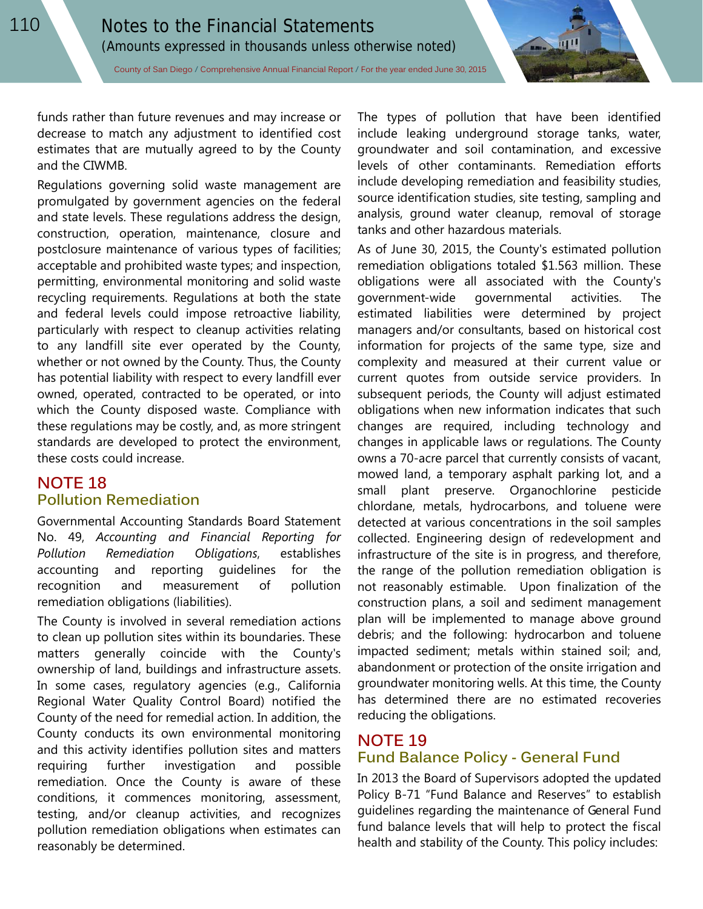funds rather than future revenues and may increase or decrease to match any adjustment to identified cost estimates that are mutually agreed to by the County and the CIWMB.

Regulations governing solid waste management are promulgated by government agencies on the federal and state levels. These regulations address the design, construction, operation, maintenance, closure and postclosure maintenance of various types of facilities; acceptable and prohibited waste types; and inspection, permitting, environmental monitoring and solid waste recycling requirements. Regulations at both the state and federal levels could impose retroactive liability, particularly with respect to cleanup activities relating to any landfill site ever operated by the County, whether or not owned by the County. Thus, the County has potential liability with respect to every landfill ever owned, operated, contracted to be operated, or into which the County disposed waste. Compliance with these regulations may be costly, and, as more stringent standards are developed to protect the environment, these costs could increase.

## **NOTE 18 Pollution Remediation**

Governmental Accounting Standards Board Statement No. 49, *Accounting and Financial Reporting for Pollution Remediation Obligations*, establishes accounting and reporting guidelines for the recognition and measurement of pollution remediation obligations (liabilities).

The County is involved in several remediation actions to clean up pollution sites within its boundaries. These matters generally coincide with the County's ownership of land, buildings and infrastructure assets. In some cases, regulatory agencies (e.g., California Regional Water Quality Control Board) notified the County of the need for remedial action. In addition, the County conducts its own environmental monitoring and this activity identifies pollution sites and matters requiring further investigation and possible remediation. Once the County is aware of these conditions, it commences monitoring, assessment, testing, and/or cleanup activities, and recognizes pollution remediation obligations when estimates can reasonably be determined.

The types of pollution that have been identified include leaking underground storage tanks, water, groundwater and soil contamination, and excessive levels of other contaminants. Remediation efforts include developing remediation and feasibility studies, source identification studies, site testing, sampling and analysis, ground water cleanup, removal of storage tanks and other hazardous materials.

As of June 30, 2015, the County's estimated pollution remediation obligations totaled \$1.563 million. These obligations were all associated with the County's government-wide governmental activities. The estimated liabilities were determined by project managers and/or consultants, based on historical cost information for projects of the same type, size and complexity and measured at their current value or current quotes from outside service providers. In subsequent periods, the County will adjust estimated obligations when new information indicates that such changes are required, including technology and changes in applicable laws or regulations. The County owns a 70-acre parcel that currently consists of vacant, mowed land, a temporary asphalt parking lot, and a small plant preserve. Organochlorine pesticide chlordane, metals, hydrocarbons, and toluene were detected at various concentrations in the soil samples collected. Engineering design of redevelopment and infrastructure of the site is in progress, and therefore, the range of the pollution remediation obligation is not reasonably estimable. Upon finalization of the construction plans, a soil and sediment management plan will be implemented to manage above ground debris; and the following: hydrocarbon and toluene impacted sediment; metals within stained soil; and, abandonment or protection of the onsite irrigation and groundwater monitoring wells. At this time, the County has determined there are no estimated recoveries reducing the obligations.

# **NOTE 19 Fund Balance Policy - General Fund**

In 2013 the Board of Supervisors adopted the updated Policy B-71 "Fund Balance and Reserves" to establish guidelines regarding the maintenance of General Fund fund balance levels that will help to protect the fiscal health and stability of the County. This policy includes: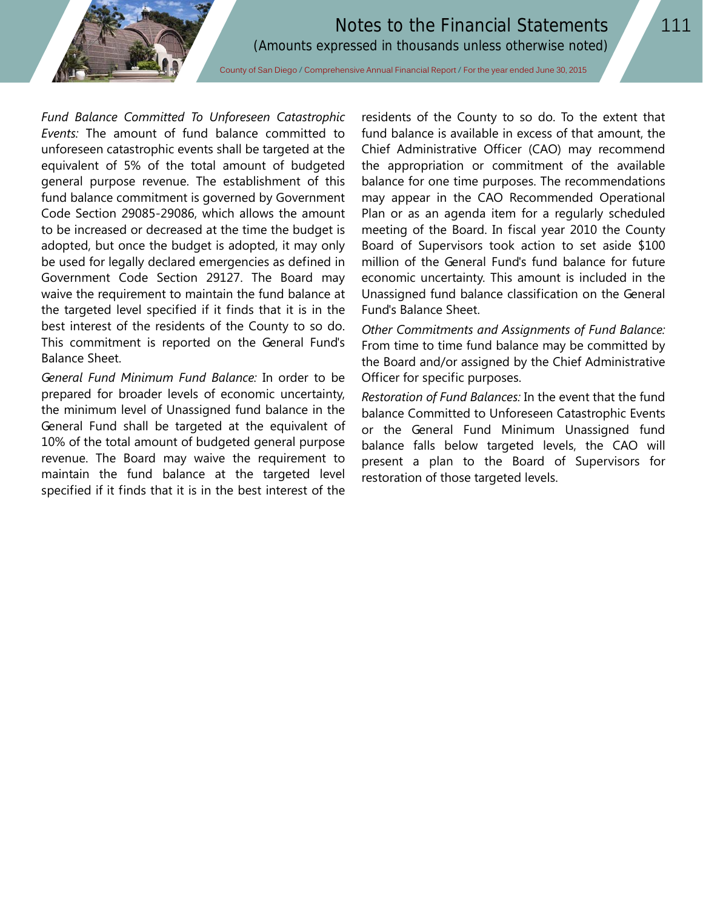

*Fund Balance Committed To Unforeseen Catastrophic Events:* The amount of fund balance committed to unforeseen catastrophic events shall be targeted at the equivalent of 5% of the total amount of budgeted general purpose revenue. The establishment of this fund balance commitment is governed by Government Code Section 29085-29086, which allows the amount to be increased or decreased at the time the budget is adopted, but once the budget is adopted, it may only be used for legally declared emergencies as defined in Government Code Section 29127. The Board may waive the requirement to maintain the fund balance at the targeted level specified if it finds that it is in the best interest of the residents of the County to so do. This commitment is reported on the General Fund's Balance Sheet.

*General Fund Minimum Fund Balance:* In order to be prepared for broader levels of economic uncertainty, the minimum level of Unassigned fund balance in the General Fund shall be targeted at the equivalent of 10% of the total amount of budgeted general purpose revenue. The Board may waive the requirement to maintain the fund balance at the targeted level specified if it finds that it is in the best interest of the residents of the County to so do. To the extent that fund balance is available in excess of that amount, the Chief Administrative Officer (CAO) may recommend the appropriation or commitment of the available balance for one time purposes. The recommendations may appear in the CAO Recommended Operational Plan or as an agenda item for a regularly scheduled meeting of the Board. In fiscal year 2010 the County Board of Supervisors took action to set aside \$100 million of the General Fund's fund balance for future economic uncertainty. This amount is included in the Unassigned fund balance classification on the General Fund's Balance Sheet.

*Other Commitments and Assignments of Fund Balance:* From time to time fund balance may be committed by the Board and/or assigned by the Chief Administrative Officer for specific purposes.

*Restoration of Fund Balances:* In the event that the fund balance Committed to Unforeseen Catastrophic Events or the General Fund Minimum Unassigned fund balance falls below targeted levels, the CAO will present a plan to the Board of Supervisors for restoration of those targeted levels.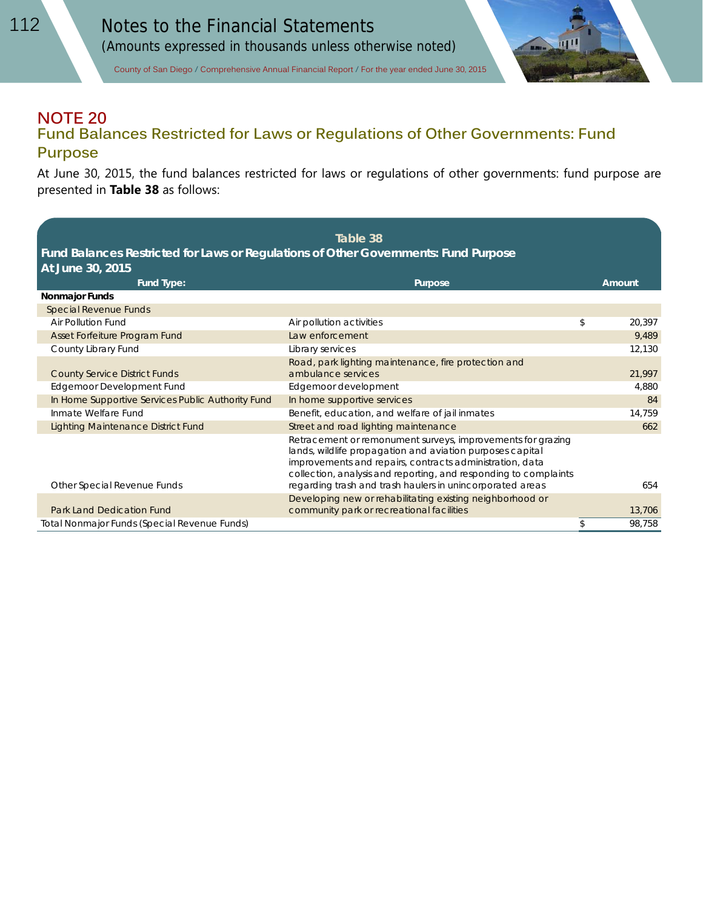# **NOTE 20 Fund Balances Restricted for Laws or Regulations of Other Governments: Fund Purpose**

At June 30, 2015, the fund balances restricted for laws or regulations of other governments: fund purpose are presented in **Table 38** as follows:

|                                                                                     | Table 38                                                                                                                                                                                                                                                                                                              |              |
|-------------------------------------------------------------------------------------|-----------------------------------------------------------------------------------------------------------------------------------------------------------------------------------------------------------------------------------------------------------------------------------------------------------------------|--------------|
| Fund Balances Restricted for Laws or Regulations of Other Governments: Fund Purpose |                                                                                                                                                                                                                                                                                                                       |              |
| At June 30, 2015                                                                    |                                                                                                                                                                                                                                                                                                                       |              |
| Fund Type:                                                                          | Purpose                                                                                                                                                                                                                                                                                                               | Amount       |
| <b>Nonmajor Funds</b>                                                               |                                                                                                                                                                                                                                                                                                                       |              |
| <b>Special Revenue Funds</b>                                                        |                                                                                                                                                                                                                                                                                                                       |              |
| Air Pollution Fund                                                                  | Air pollution activities                                                                                                                                                                                                                                                                                              | \$<br>20,397 |
| Asset Forfeiture Program Fund                                                       | Law enforcement                                                                                                                                                                                                                                                                                                       | 9,489        |
| County Library Fund                                                                 | Library services                                                                                                                                                                                                                                                                                                      | 12,130       |
|                                                                                     | Road, park lighting maintenance, fire protection and                                                                                                                                                                                                                                                                  |              |
| <b>County Service District Funds</b>                                                | ambulance services                                                                                                                                                                                                                                                                                                    | 21,997       |
| <b>Edgemoor Development Fund</b>                                                    | Edgemoor development                                                                                                                                                                                                                                                                                                  | 4,880        |
| In Home Supportive Services Public Authority Fund                                   | In home supportive services                                                                                                                                                                                                                                                                                           | 84           |
| Inmate Welfare Fund                                                                 | Benefit, education, and welfare of jail inmates                                                                                                                                                                                                                                                                       | 14,759       |
| Lighting Maintenance District Fund                                                  | Street and road lighting maintenance                                                                                                                                                                                                                                                                                  | 662          |
| Other Special Revenue Funds                                                         | Retracement or remonument surveys, improvements for grazing<br>lands, wildlife propagation and aviation purposes capital<br>improvements and repairs, contracts administration, data<br>collection, analysis and reporting, and responding to complaints<br>regarding trash and trash haulers in unincorporated areas | 654          |
|                                                                                     | Developing new or rehabilitating existing neighborhood or                                                                                                                                                                                                                                                             |              |
| <b>Park Land Dedication Fund</b>                                                    | community park or recreational facilities                                                                                                                                                                                                                                                                             | 13,706       |
| Total Nonmajor Funds (Special Revenue Funds)                                        |                                                                                                                                                                                                                                                                                                                       | \$<br>98,758 |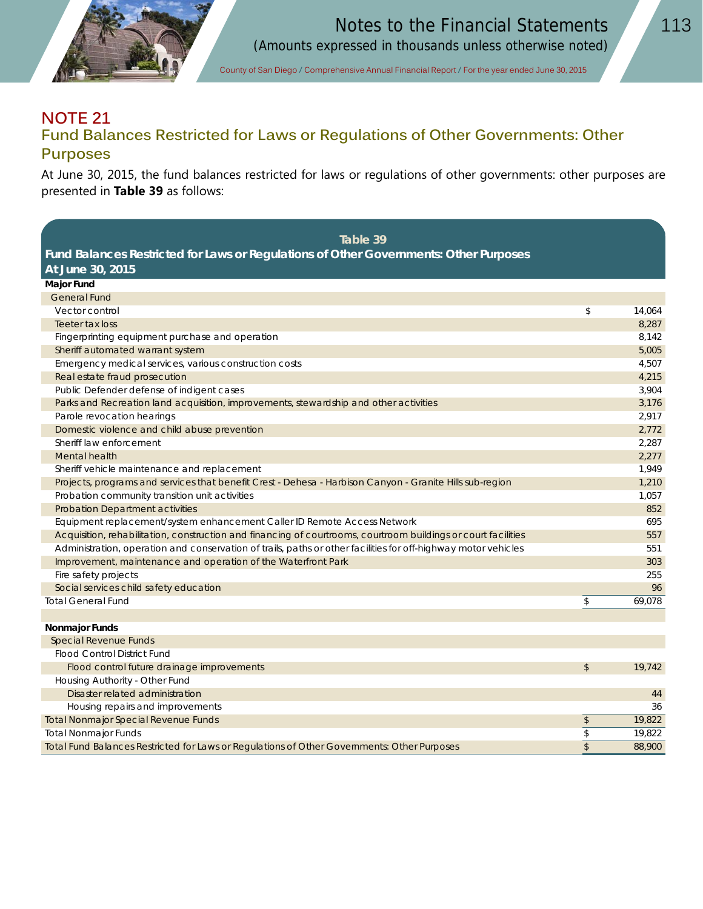

# **NOTE 21 Fund Balances Restricted for Laws or Regulations of Other Governments: Other Purposes**

At June 30, 2015, the fund balances restricted for laws or regulations of other governments: other purposes are presented in **Table 39** as follows:

| Table 39                                                                                                       |                 |        |
|----------------------------------------------------------------------------------------------------------------|-----------------|--------|
|                                                                                                                |                 |        |
| Fund Balances Restricted for Laws or Regulations of Other Governments: Other Purposes                          |                 |        |
| At June 30, 2015                                                                                               |                 |        |
| Major Fund                                                                                                     |                 |        |
| <b>General Fund</b>                                                                                            |                 |        |
| Vector control                                                                                                 | \$              | 14,064 |
| Teeter tax loss                                                                                                |                 | 8,287  |
| Fingerprinting equipment purchase and operation                                                                |                 | 8,142  |
| Sheriff automated warrant system                                                                               |                 | 5,005  |
| Emergency medical services, various construction costs                                                         |                 | 4,507  |
| Real estate fraud prosecution                                                                                  |                 | 4,215  |
| Public Defender defense of indigent cases                                                                      |                 | 3,904  |
| Parks and Recreation land acquisition, improvements, stewardship and other activities                          |                 | 3,176  |
| Parole revocation hearings                                                                                     |                 | 2,917  |
| Domestic violence and child abuse prevention                                                                   |                 | 2,772  |
| Sheriff law enforcement                                                                                        |                 | 2,287  |
| Mental health                                                                                                  |                 | 2,277  |
| Sheriff vehicle maintenance and replacement                                                                    |                 | 1,949  |
| Projects, programs and services that benefit Crest - Dehesa - Harbison Canyon - Granite Hills sub-region       |                 | 1,210  |
| Probation community transition unit activities                                                                 |                 | 1,057  |
| <b>Probation Department activities</b>                                                                         |                 | 852    |
| Equipment replacement/system enhancement Caller ID Remote Access Network                                       |                 | 695    |
| Acquisition, rehabilitation, construction and financing of courtrooms, courtroom buildings or court facilities |                 | 557    |
| Administration, operation and conservation of trails, paths or other facilities for off-highway motor vehicles |                 | 551    |
| Improvement, maintenance and operation of the Waterfront Park                                                  |                 | 303    |
| Fire safety projects                                                                                           |                 | 255    |
| Social services child safety education                                                                         |                 | 96     |
| <b>Total General Fund</b>                                                                                      | \$              | 69,078 |
|                                                                                                                |                 |        |
| Nonmajor Funds                                                                                                 |                 |        |
| <b>Special Revenue Funds</b>                                                                                   |                 |        |
| Flood Control District Fund                                                                                    |                 |        |
| Flood control future drainage improvements                                                                     | $\mathfrak{D}$  | 19,742 |
| Housing Authority - Other Fund                                                                                 |                 |        |
| Disaster related administration                                                                                |                 | 44     |
| Housing repairs and improvements                                                                               |                 | 36     |
| <b>Total Nonmajor Special Revenue Funds</b>                                                                    | \$              | 19,822 |
| <b>Total Nonmajor Funds</b>                                                                                    | $\overline{\$}$ | 19,822 |
| Total Fund Balances Restricted for Laws or Regulations of Other Governments: Other Purposes                    | $\mathsf{\$}$   | 88,900 |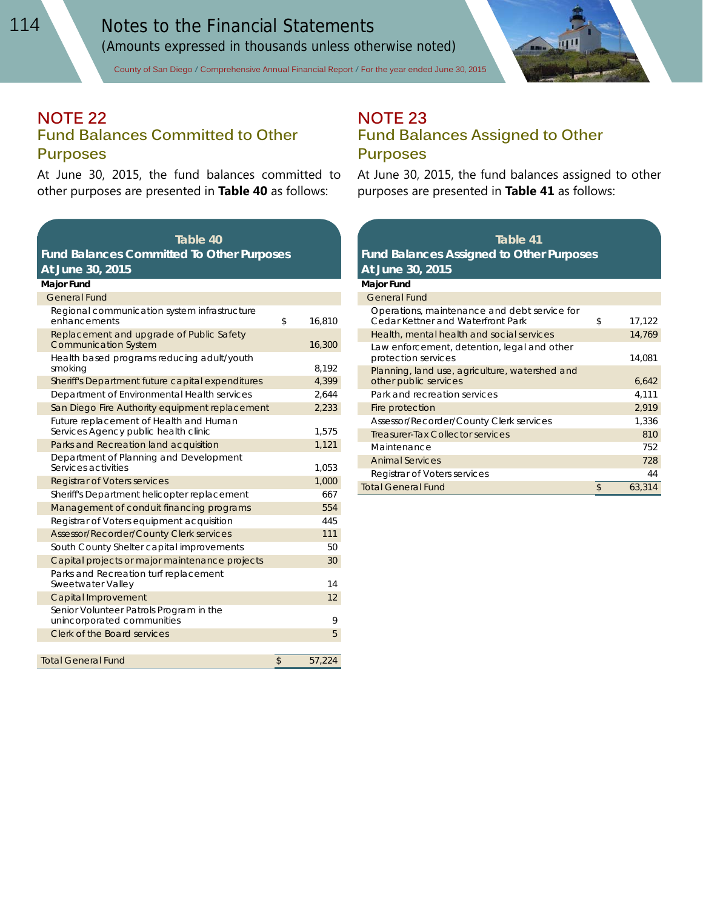County of San Diego **/** Comprehensive Annual Financial Report **/** For the year ended June 30, 2015

# **NOTE 22 Fund Balances Committed to Other Purposes**

At June 30, 2015, the fund balances committed to other purposes are presented in **Table 40** as follows:

#### **Table 40**

**Fund Balances Committed To Other Purposes At June 30, 2015**

| Major Fund                                                                     |              |
|--------------------------------------------------------------------------------|--------------|
| <b>General Fund</b>                                                            |              |
| Regional communication system infrastructure<br>enhancements                   | \$<br>16.810 |
| Replacement and upgrade of Public Safety<br><b>Communication System</b>        | 16,300       |
| Health based programs reducing adult/youth<br>smoking                          | 8,192        |
| Sheriff's Department future capital expenditures                               | 4,399        |
| Department of Environmental Health services                                    | 2.644        |
| San Diego Fire Authority equipment replacement                                 | 2,233        |
| Future replacement of Health and Human<br>Services Agency public health clinic | 1,575        |
| Parks and Recreation land acquisition                                          | 1,121        |
| Department of Planning and Development<br>Services activities                  | 1,053        |
| <b>Registrar of Voters services</b>                                            | 1,000        |
| Sheriff's Department helicopter replacement                                    | 667          |
| Management of conduit financing programs                                       | 554          |
| Registrar of Voters equipment acquisition                                      | 445          |
| Assessor/Recorder/County Clerk services                                        | 111          |
| South County Shelter capital improvements                                      | 50           |
| Capital projects or major maintenance projects                                 | 30           |
| Parks and Recreation turf replacement<br>Sweetwater Valley                     | 14           |
| Capital Improvement                                                            | 12           |
| Senior Volunteer Patrols Program in the<br>unincorporated communities          | 9            |
| Clerk of the Board services                                                    | 5            |
|                                                                                |              |
| <b>Total General Fund</b>                                                      | \$<br>57.224 |

# **NOTE 23 Fund Balances Assigned to Other Purposes**

At June 30, 2015, the fund balances assigned to other purposes are presented in **Table 41** as follows:

## **Table 41 Fund Balances Assigned to Other Purposes At June 30, 2015 Major Fund** General Fund

| Operations, maintenance and debt service for<br>Cedar Kettner and Waterfront Park | \$<br>17,122 |
|-----------------------------------------------------------------------------------|--------------|
| Health, mental health and social services                                         | 14,769       |
| Law enforcement, detention, legal and other<br>protection services                | 14,081       |
| Planning, land use, agriculture, watershed and<br>other public services           | 6,642        |
| Park and recreation services                                                      | 4,111        |
| Fire protection                                                                   | 2,919        |
| Assessor/Recorder/County Clerk services                                           | 1.336        |
| Treasurer-Tax Collector services                                                  | 810          |
| Maintenance                                                                       | 752          |
| <b>Animal Services</b>                                                            | 728          |
| Registrar of Voters services                                                      | 44           |
| <b>Total General Fund</b>                                                         | 63,314       |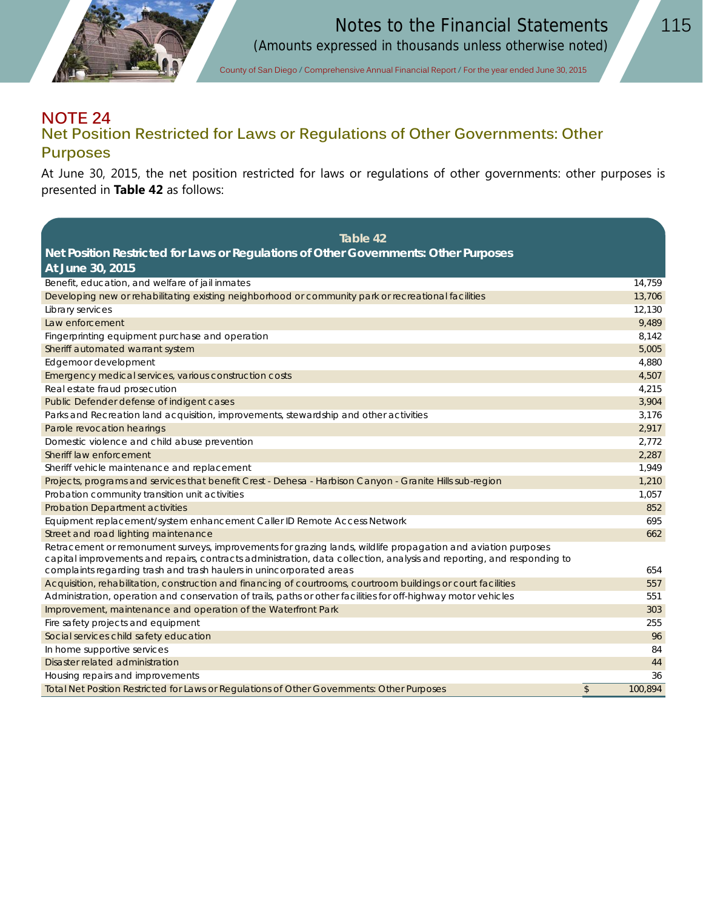

# **NOTE 24 Net Position Restricted for Laws or Regulations of Other Governments: Other Purposes**

At June 30, 2015, the net position restricted for laws or regulations of other governments: other purposes is presented in **Table 42** as follows:

| Table 42                                                                                                               |               |         |
|------------------------------------------------------------------------------------------------------------------------|---------------|---------|
| Net Position Restricted for Laws or Regulations of Other Governments: Other Purposes                                   |               |         |
| At June 30, 2015                                                                                                       |               |         |
| Benefit, education, and welfare of jail inmates                                                                        |               | 14,759  |
| Developing new or rehabilitating existing neighborhood or community park or recreational facilities                    |               | 13,706  |
| Library services                                                                                                       |               | 12,130  |
| Law enforcement                                                                                                        |               | 9,489   |
| Fingerprinting equipment purchase and operation                                                                        |               | 8,142   |
| Sheriff automated warrant system                                                                                       |               | 5,005   |
| Edgemoor development                                                                                                   |               | 4,880   |
| Emergency medical services, various construction costs                                                                 |               | 4,507   |
| Real estate fraud prosecution                                                                                          |               | 4,215   |
| Public Defender defense of indigent cases                                                                              |               | 3,904   |
| Parks and Recreation land acquisition, improvements, stewardship and other activities                                  |               | 3,176   |
| Parole revocation hearings                                                                                             |               | 2,917   |
| Domestic violence and child abuse prevention                                                                           |               | 2,772   |
| Sheriff law enforcement                                                                                                |               | 2,287   |
| Sheriff vehicle maintenance and replacement                                                                            |               | 1,949   |
| Projects, programs and services that benefit Crest - Dehesa - Harbison Canyon - Granite Hills sub-region               |               | 1,210   |
| Probation community transition unit activities                                                                         |               | 1,057   |
| <b>Probation Department activities</b>                                                                                 |               | 852     |
| Equipment replacement/system enhancement Caller ID Remote Access Network                                               |               | 695     |
| Street and road lighting maintenance                                                                                   |               | 662     |
| Retracement or remonument surveys, improvements for grazing lands, wildlife propagation and aviation purposes          |               |         |
| capital improvements and repairs, contracts administration, data collection, analysis and reporting, and responding to |               |         |
| complaints regarding trash and trash haulers in unincorporated areas                                                   |               | 654     |
| Acquisition, rehabilitation, construction and financing of courtrooms, courtroom buildings or court facilities         |               | 557     |
| Administration, operation and conservation of trails, paths or other facilities for off-highway motor vehicles         |               | 551     |
| Improvement, maintenance and operation of the Waterfront Park                                                          |               | 303     |
| Fire safety projects and equipment                                                                                     |               | 255     |
| Social services child safety education                                                                                 |               | 96      |
| In home supportive services                                                                                            |               | 84      |
| Disaster related administration                                                                                        |               | 44      |
| Housing repairs and improvements                                                                                       |               | 36      |
| Total Net Position Restricted for Laws or Regulations of Other Governments: Other Purposes                             | $\mathsf{\$}$ | 100,894 |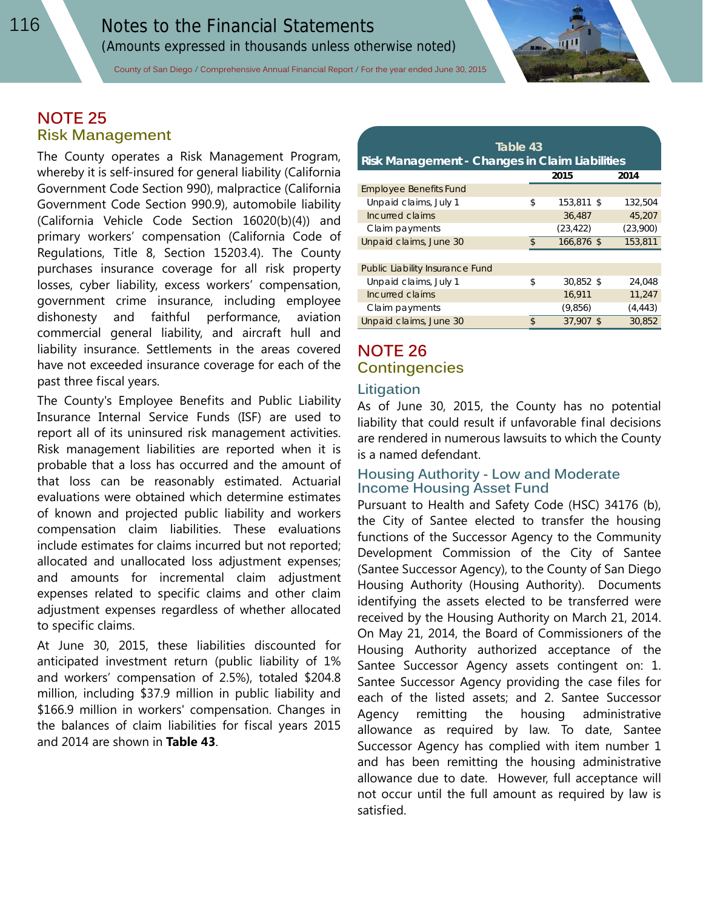County of San Diego **/** Comprehensive Annual Financial Report **/** For the year ended June 30, 2015

# **NOTE 25 Risk Management**

The County operates a Risk Management Program, whereby it is self-insured for general liability (California Government Code Section 990), malpractice (California Government Code Section 990.9), automobile liability (California Vehicle Code Section 16020(b)(4)) and primary workers' compensation (California Code of Regulations, Title 8, Section 15203.4). The County purchases insurance coverage for all risk property losses, cyber liability, excess workers' compensation, government crime insurance, including employee dishonesty and faithful performance, aviation commercial general liability, and aircraft hull and liability insurance. Settlements in the areas covered have not exceeded insurance coverage for each of the past three fiscal years.

The County's Employee Benefits and Public Liability Insurance Internal Service Funds (ISF) are used to report all of its uninsured risk management activities. Risk management liabilities are reported when it is probable that a loss has occurred and the amount of that loss can be reasonably estimated. Actuarial evaluations were obtained which determine estimates of known and projected public liability and workers compensation claim liabilities. These evaluations include estimates for claims incurred but not reported; allocated and unallocated loss adjustment expenses; and amounts for incremental claim adjustment expenses related to specific claims and other claim adjustment expenses regardless of whether allocated to specific claims.

At June 30, 2015, these liabilities discounted for anticipated investment return (public liability of 1% and workers' compensation of 2.5%), totaled \$204.8 million, including \$37.9 million in public liability and \$166.9 million in workers' compensation. Changes in the balances of claim liabilities for fiscal years 2015 and 2014 are shown in **Table 43**.

| Table 43<br>Risk Management - Changes in Claim Liabilities |                      |            |          |  |  |  |
|------------------------------------------------------------|----------------------|------------|----------|--|--|--|
|                                                            |                      | 2015       | 2014     |  |  |  |
| <b>Employee Benefits Fund</b>                              |                      |            |          |  |  |  |
| Unpaid claims, July 1                                      | \$                   | 153,811 \$ | 132,504  |  |  |  |
| Incurred claims                                            |                      | 36,487     | 45,207   |  |  |  |
| Claim payments                                             |                      | (23, 422)  | (23,900) |  |  |  |
| Unpaid claims, June 30                                     | \$                   | 166,876 \$ | 153,811  |  |  |  |
|                                                            |                      |            |          |  |  |  |
| Public Liability Insurance Fund                            |                      |            |          |  |  |  |
| Unpaid claims, July 1                                      | \$                   | 30,852 \$  | 24.048   |  |  |  |
| Incurred claims                                            |                      | 16,911     | 11,247   |  |  |  |
| Claim payments                                             |                      | (9,856)    | (4, 443) |  |  |  |
| Unpaid claims, June 30                                     | $\ddot{\mathcal{L}}$ | 37,907 \$  | 30.852   |  |  |  |

# **NOTE 26 Contingencies**

#### **Litigation**

As of June 30, 2015, the County has no potential liability that could result if unfavorable final decisions are rendered in numerous lawsuits to which the County is a named defendant.

#### **Housing Authority - Low and Moderate Income Housing Asset Fund**

Pursuant to Health and Safety Code (HSC) 34176 (b), the City of Santee elected to transfer the housing functions of the Successor Agency to the Community Development Commission of the City of Santee (Santee Successor Agency), to the County of San Diego Housing Authority (Housing Authority). Documents identifying the assets elected to be transferred were received by the Housing Authority on March 21, 2014. On May 21, 2014, the Board of Commissioners of the Housing Authority authorized acceptance of the Santee Successor Agency assets contingent on: 1. Santee Successor Agency providing the case files for each of the listed assets; and 2. Santee Successor Agency remitting the housing administrative allowance as required by law. To date, Santee Successor Agency has complied with item number 1 and has been remitting the housing administrative allowance due to date. However, full acceptance will not occur until the full amount as required by law is satisfied.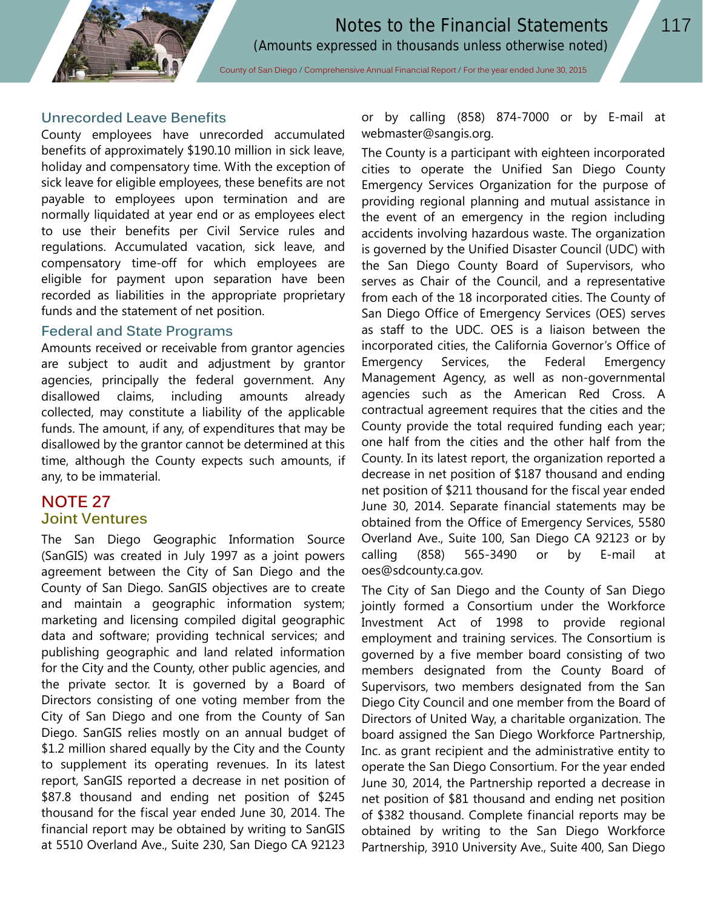County of San Diego **/** Comprehensive Annual Financial Report **/** For the year ended June 30, 2015

#### **Unrecorded Leave Benefits**

County employees have unrecorded accumulated benefits of approximately \$190.10 million in sick leave, holiday and compensatory time. With the exception of sick leave for eligible employees, these benefits are not payable to employees upon termination and are normally liquidated at year end or as employees elect to use their benefits per Civil Service rules and regulations. Accumulated vacation, sick leave, and compensatory time-off for which employees are eligible for payment upon separation have been recorded as liabilities in the appropriate proprietary funds and the statement of net position.

#### **Federal and State Programs**

Amounts received or receivable from grantor agencies are subject to audit and adjustment by grantor agencies, principally the federal government. Any disallowed claims, including amounts already collected, may constitute a liability of the applicable funds. The amount, if any, of expenditures that may be disallowed by the grantor cannot be determined at this time, although the County expects such amounts, if any, to be immaterial.

## **NOTE 27 Joint Ventures**

The San Diego Geographic Information Source (SanGIS) was created in July 1997 as a joint powers agreement between the City of San Diego and the County of San Diego. SanGIS objectives are to create and maintain a geographic information system; marketing and licensing compiled digital geographic data and software; providing technical services; and publishing geographic and land related information for the City and the County, other public agencies, and the private sector. It is governed by a Board of Directors consisting of one voting member from the City of San Diego and one from the County of San Diego. SanGIS relies mostly on an annual budget of \$1.2 million shared equally by the City and the County to supplement its operating revenues. In its latest report, SanGIS reported a decrease in net position of \$87.8 thousand and ending net position of \$245 thousand for the fiscal year ended June 30, 2014. The financial report may be obtained by writing to SanGIS at 5510 Overland Ave., Suite 230, San Diego CA 92123 or by calling (858) 874-7000 or by E-mail at webmaster@sangis.org.

The County is a participant with eighteen incorporated cities to operate the Unified San Diego County Emergency Services Organization for the purpose of providing regional planning and mutual assistance in the event of an emergency in the region including accidents involving hazardous waste. The organization is governed by the Unified Disaster Council (UDC) with the San Diego County Board of Supervisors, who serves as Chair of the Council, and a representative from each of the 18 incorporated cities. The County of San Diego Office of Emergency Services (OES) serves as staff to the UDC. OES is a liaison between the incorporated cities, the California Governor's Office of Emergency Services, the Federal Emergency Management Agency, as well as non-governmental agencies such as the American Red Cross. A contractual agreement requires that the cities and the County provide the total required funding each year; one half from the cities and the other half from the County. In its latest report, the organization reported a decrease in net position of \$187 thousand and ending net position of \$211 thousand for the fiscal year ended June 30, 2014. Separate financial statements may be obtained from the Office of Emergency Services, 5580 Overland Ave., Suite 100, San Diego CA 92123 or by calling (858) 565-3490 or by E-mail at oes@sdcounty.ca.gov.

The City of San Diego and the County of San Diego jointly formed a Consortium under the Workforce Investment Act of 1998 to provide regional employment and training services. The Consortium is governed by a five member board consisting of two members designated from the County Board of Supervisors, two members designated from the San Diego City Council and one member from the Board of Directors of United Way, a charitable organization. The board assigned the San Diego Workforce Partnership, Inc. as grant recipient and the administrative entity to operate the San Diego Consortium. For the year ended June 30, 2014, the Partnership reported a decrease in net position of \$81 thousand and ending net position of \$382 thousand. Complete financial reports may be obtained by writing to the San Diego Workforce Partnership, 3910 University Ave., Suite 400, San Diego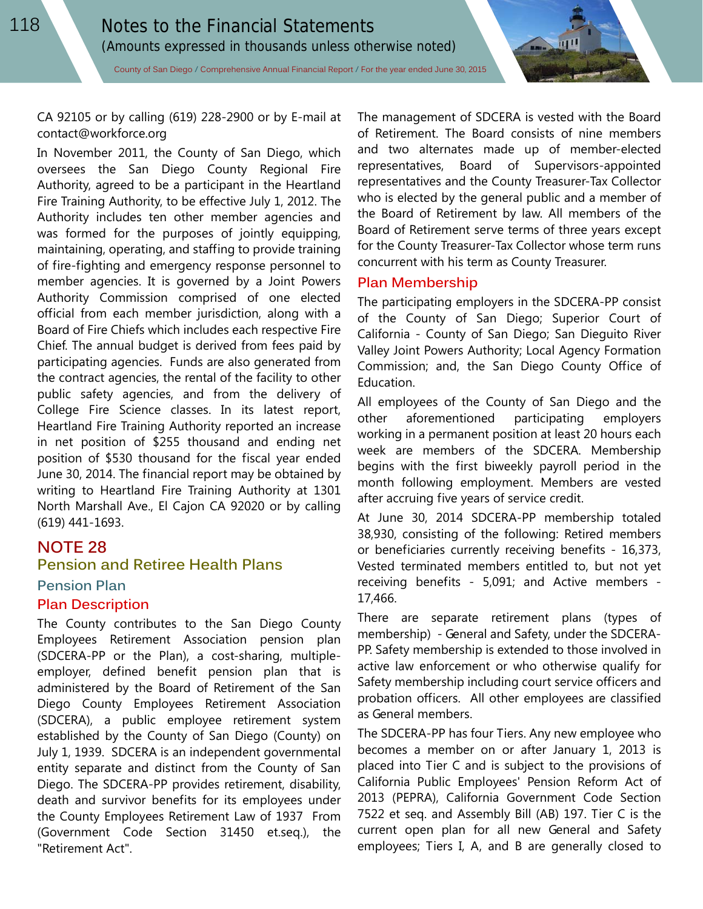## CA 92105 or by calling (619) 228-2900 or by E-mail at contact@workforce.org

In November 2011, the County of San Diego, which oversees the San Diego County Regional Fire Authority, agreed to be a participant in the Heartland Fire Training Authority, to be effective July 1, 2012. The Authority includes ten other member agencies and was formed for the purposes of jointly equipping, maintaining, operating, and staffing to provide training of fire-fighting and emergency response personnel to member agencies. It is governed by a Joint Powers Authority Commission comprised of one elected official from each member jurisdiction, along with a Board of Fire Chiefs which includes each respective Fire Chief. The annual budget is derived from fees paid by participating agencies. Funds are also generated from the contract agencies, the rental of the facility to other public safety agencies, and from the delivery of College Fire Science classes. In its latest report, Heartland Fire Training Authority reported an increase in net position of \$255 thousand and ending net position of \$530 thousand for the fiscal year ended June 30, 2014. The financial report may be obtained by writing to Heartland Fire Training Authority at 1301 North Marshall Ave., El Cajon CA 92020 or by calling (619) 441-1693.

## **NOTE 28**

## **Pension and Retiree Health Plans**

#### **Pension Plan**

#### **Plan Description**

The County contributes to the San Diego County Employees Retirement Association pension plan (SDCERA-PP or the Plan), a cost-sharing, multipleemployer, defined benefit pension plan that is administered by the Board of Retirement of the San Diego County Employees Retirement Association (SDCERA), a public employee retirement system established by the County of San Diego (County) on July 1, 1939. SDCERA is an independent governmental entity separate and distinct from the County of San Diego. The SDCERA-PP provides retirement, disability, death and survivor benefits for its employees under the County Employees Retirement Law of 1937 From (Government Code Section 31450 et.seq.), the "Retirement Act".

The management of SDCERA is vested with the Board of Retirement. The Board consists of nine members and two alternates made up of member-elected representatives, Board of Supervisors-appointed representatives and the County Treasurer-Tax Collector who is elected by the general public and a member of the Board of Retirement by law. All members of the Board of Retirement serve terms of three years except for the County Treasurer-Tax Collector whose term runs concurrent with his term as County Treasurer.

#### **Plan Membership**

The participating employers in the SDCERA-PP consist of the County of San Diego; Superior Court of California - County of San Diego; San Dieguito River Valley Joint Powers Authority; Local Agency Formation Commission; and, the San Diego County Office of Education.

All employees of the County of San Diego and the other aforementioned participating employers working in a permanent position at least 20 hours each week are members of the SDCERA. Membership begins with the first biweekly payroll period in the month following employment. Members are vested after accruing five years of service credit.

At June 30, 2014 SDCERA-PP membership totaled 38,930, consisting of the following: Retired members or beneficiaries currently receiving benefits - 16,373, Vested terminated members entitled to, but not yet receiving benefits - 5,091; and Active members - 17,466.

There are separate retirement plans (types of membership) - General and Safety, under the SDCERA-PP. Safety membership is extended to those involved in active law enforcement or who otherwise qualify for Safety membership including court service officers and probation officers. All other employees are classified as General members.

The SDCERA-PP has four Tiers. Any new employee who becomes a member on or after January 1, 2013 is placed into Tier C and is subject to the provisions of California Public Employees' Pension Reform Act of 2013 (PEPRA), California Government Code Section 7522 et seq. and Assembly Bill (AB) 197. Tier C is the current open plan for all new General and Safety employees; Tiers I, A, and B are generally closed to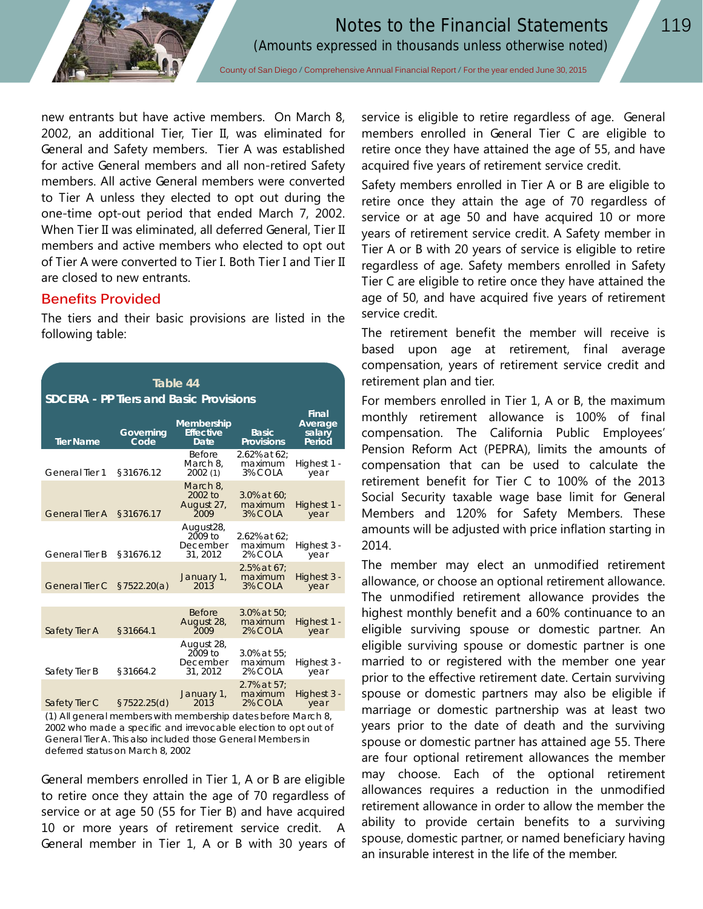

new entrants but have active members. On March 8, 2002, an additional Tier, Tier II, was eliminated for General and Safety members. Tier A was established for active General members and all non-retired Safety members. All active General members were converted to Tier A unless they elected to opt out during the one-time opt-out period that ended March 7, 2002. When Tier II was eliminated, all deferred General, Tier II members and active members who elected to opt out of Tier A were converted to Tier I. Both Tier I and Tier II are closed to new entrants.

#### **Benefits Provided**

The tiers and their basic provisions are listed in the following table:

| Table 44<br><b>SDCERA - PP Tiers and Basic Provisions</b>                     |                   |                                                             |                                      |                                             |  |  |  |  |  |
|-------------------------------------------------------------------------------|-------------------|-------------------------------------------------------------|--------------------------------------|---------------------------------------------|--|--|--|--|--|
| <b>Tier Name</b>                                                              | Governing<br>Code | Membership<br><b>Effective</b><br>Date                      | <b>Basic</b><br><b>Provisions</b>    | <b>Final</b><br>Average<br>salary<br>Period |  |  |  |  |  |
| General Tier 1                                                                | §31676.12         | Before<br>March 8,<br>2002(1)                               | 2.62% at 62;<br>maximum<br>3% COLA   | Highest 1 -<br>year                         |  |  |  |  |  |
| <b>General Tier A</b>                                                         | §31676.17         | March 8,<br>2002 to<br>August 27,<br>2009                   | $3.0\%$ at 60:<br>maximum<br>3% COLA | Highest 1 -<br>year                         |  |  |  |  |  |
| <b>General Tier B</b>                                                         | §31676.12         | August <sub>28</sub> ,<br>$2009$ to<br>December<br>31, 2012 | 2.62% at 62:<br>maximum<br>2% COLA   | Highest 3 -<br>year                         |  |  |  |  |  |
| <b>General Tier C</b>                                                         | \$7522.20(a)      | January 1,<br>2013                                          | 2.5% at 67:<br>maximum<br>3% COLA    | Highest 3 -<br>year                         |  |  |  |  |  |
| Safety Tier A                                                                 | §31664.1          | Before<br>August 28,<br>2009                                | 3.0% at 50:<br>maximum<br>2% COLA    | Highest 1 -<br>year                         |  |  |  |  |  |
| Safety Tier B                                                                 | §31664.2          | August 28,<br>2009 to<br>December<br>31, 2012               | $3.0\%$ at 55:<br>maximum<br>2% COLA | Highest 3 -<br>year                         |  |  |  |  |  |
| Safety Tier C<br>(1) All general mambars with mambarship datas before Marah 0 | \$7522.25(d)      | January 1,<br>2013                                          | 2.7% at 57:<br>maximum<br>2% COLA    | Highest 3 -<br>year                         |  |  |  |  |  |

(1) All general members with membership dates before March 8, 2002 who made a specific and irrevocable election to opt out of General Tier A. This also included those General Members in deferred status on March 8, 2002

General members enrolled in Tier 1, A or B are eligible to retire once they attain the age of 70 regardless of service or at age 50 (55 for Tier B) and have acquired 10 or more years of retirement service credit. A General member in Tier 1, A or B with 30 years of service is eligible to retire regardless of age. General members enrolled in General Tier C are eligible to retire once they have attained the age of 55, and have acquired five years of retirement service credit.

119

Safety members enrolled in Tier A or B are eligible to retire once they attain the age of 70 regardless of service or at age 50 and have acquired 10 or more years of retirement service credit. A Safety member in Tier A or B with 20 years of service is eligible to retire regardless of age. Safety members enrolled in Safety Tier C are eligible to retire once they have attained the age of 50, and have acquired five years of retirement service credit.

The retirement benefit the member will receive is based upon age at retirement, final average compensation, years of retirement service credit and retirement plan and tier.

For members enrolled in Tier 1, A or B, the maximum monthly retirement allowance is 100% of final compensation. The California Public Employees' Pension Reform Act (PEPRA), limits the amounts of compensation that can be used to calculate the retirement benefit for Tier C to 100% of the 2013 Social Security taxable wage base limit for General Members and 120% for Safety Members. These amounts will be adjusted with price inflation starting in 2014.

The member may elect an unmodified retirement allowance, or choose an optional retirement allowance. The unmodified retirement allowance provides the highest monthly benefit and a 60% continuance to an eligible surviving spouse or domestic partner. An eligible surviving spouse or domestic partner is one married to or registered with the member one year prior to the effective retirement date. Certain surviving spouse or domestic partners may also be eligible if marriage or domestic partnership was at least two years prior to the date of death and the surviving spouse or domestic partner has attained age 55. There are four optional retirement allowances the member may choose. Each of the optional retirement allowances requires a reduction in the unmodified retirement allowance in order to allow the member the ability to provide certain benefits to a surviving spouse, domestic partner, or named beneficiary having an insurable interest in the life of the member.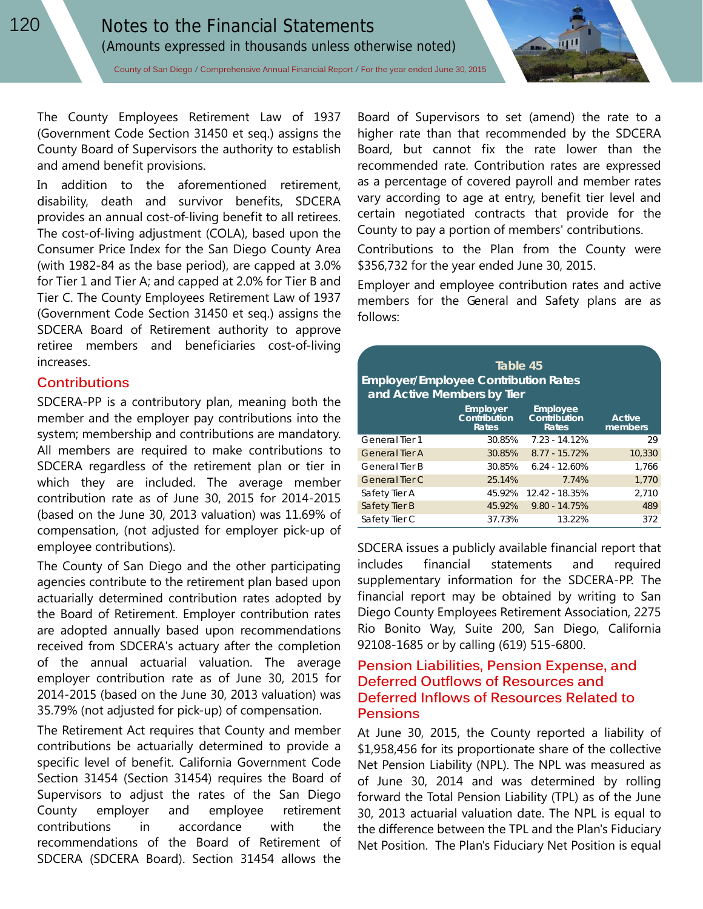The County Employees Retirement Law of 1937 (Government Code Section 31450 et seq.) assigns the County Board of Supervisors the authority to establish and amend benefit provisions.

In addition to the aforementioned retirement, disability, death and survivor benefits, SDCERA provides an annual cost-of-living benefit to all retirees. The cost-of-living adjustment (COLA), based upon the Consumer Price Index for the San Diego County Area (with 1982-84 as the base period), are capped at 3.0% for Tier 1 and Tier A; and capped at 2.0% for Tier B and Tier C. The County Employees Retirement Law of 1937 (Government Code Section 31450 et seq.) assigns the SDCERA Board of Retirement authority to approve retiree members and beneficiaries cost-of-living increases.

#### **Contributions**

SDCERA-PP is a contributory plan, meaning both the member and the employer pay contributions into the system; membership and contributions are mandatory. All members are required to make contributions to SDCERA regardless of the retirement plan or tier in which they are included. The average member contribution rate as of June 30, 2015 for 2014-2015 (based on the June 30, 2013 valuation) was 11.69% of compensation, (not adjusted for employer pick-up of employee contributions).

The County of San Diego and the other participating agencies contribute to the retirement plan based upon actuarially determined contribution rates adopted by the Board of Retirement. Employer contribution rates are adopted annually based upon recommendations received from SDCERA's actuary after the completion of the annual actuarial valuation. The average employer contribution rate as of June 30, 2015 for 2014-2015 (based on the June 30, 2013 valuation) was 35.79% (not adjusted for pick-up) of compensation.

The Retirement Act requires that County and member contributions be actuarially determined to provide a specific level of benefit. California Government Code Section 31454 (Section 31454) requires the Board of Supervisors to adjust the rates of the San Diego County employer and employee retirement contributions in accordance with the recommendations of the Board of Retirement of SDCERA (SDCERA Board). Section 31454 allows the

Board of Supervisors to set (amend) the rate to a higher rate than that recommended by the SDCERA Board, but cannot fix the rate lower than the recommended rate. Contribution rates are expressed as a percentage of covered payroll and member rates vary according to age at entry, benefit tier level and certain negotiated contracts that provide for the County to pay a portion of members' contributions.

Contributions to the Plan from the County were \$356,732 for the year ended June 30, 2015.

Employer and employee contribution rates and active members for the General and Safety plans are as follows:

| <b>Employer/Employee Contribution Rates</b><br>and Active Members by Tier |                                   |                                   |                   |
|---------------------------------------------------------------------------|-----------------------------------|-----------------------------------|-------------------|
|                                                                           | Employer<br>Contribution<br>Rates | Employee<br>Contribution<br>Rates | Active<br>members |
| General Tier 1                                                            | 30.85%                            | $7.23 - 14.12%$                   | 29                |
| <b>General Tier A</b>                                                     | 30.85%                            | $8.77 - 15.72%$                   | 10.330            |
| <b>General Tier B</b>                                                     | 30.85%                            | $6.24 - 12.60\%$                  | 1.766             |
| <b>General Tier C</b>                                                     | 25.14%                            | 7.74%                             | 1,770             |
| Safety Tier A                                                             | 45.92%                            | 12.42 - 18.35%                    | 2,710             |
| Safety Tier B                                                             | 45.92%                            | $9.80 - 14.75%$                   | 489               |
| Safety Tier C                                                             | 37.73%                            | 13.22%                            | 372               |

SDCERA issues a publicly available financial report that includes financial statements and required supplementary information for the SDCERA-PP. The financial report may be obtained by writing to San Diego County Employees Retirement Association, 2275 Rio Bonito Way, Suite 200, San Diego, California 92108-1685 or by calling (619) 515-6800.

## **Pension Liabilities, Pension Expense, and Deferred Outflows of Resources and Deferred Inflows of Resources Related to Pensions**

At June 30, 2015, the County reported a liability of \$1,958,456 for its proportionate share of the collective Net Pension Liability (NPL). The NPL was measured as of June 30, 2014 and was determined by rolling forward the Total Pension Liability (TPL) as of the June 30, 2013 actuarial valuation date. The NPL is equal to the difference between the TPL and the Plan's Fiduciary Net Position. The Plan's Fiduciary Net Position is equal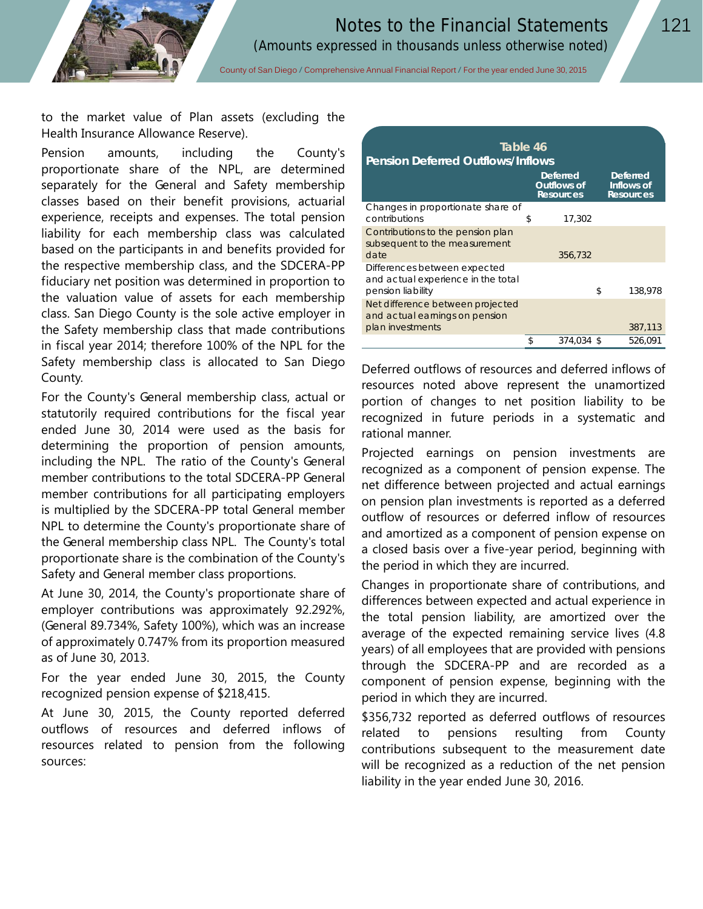

to the market value of Plan assets (excluding the Health Insurance Allowance Reserve).

Pension amounts, including the County's proportionate share of the NPL, are determined separately for the General and Safety membership classes based on their benefit provisions, actuarial experience, receipts and expenses. The total pension liability for each membership class was calculated based on the participants in and benefits provided for the respective membership class, and the SDCERA-PP fiduciary net position was determined in proportion to the valuation value of assets for each membership class. San Diego County is the sole active employer in the Safety membership class that made contributions in fiscal year 2014; therefore 100% of the NPL for the Safety membership class is allocated to San Diego County.

For the County's General membership class, actual or statutorily required contributions for the fiscal year ended June 30, 2014 were used as the basis for determining the proportion of pension amounts, including the NPL. The ratio of the County's General member contributions to the total SDCERA-PP General member contributions for all participating employers is multiplied by the SDCERA-PP total General member NPL to determine the County's proportionate share of the General membership class NPL. The County's total proportionate share is the combination of the County's Safety and General member class proportions.

At June 30, 2014, the County's proportionate share of employer contributions was approximately 92.292%, (General 89.734%, Safety 100%), which was an increase of approximately 0.747% from its proportion measured as of June 30, 2013.

For the year ended June 30, 2015, the County recognized pension expense of \$218,415.

At June 30, 2015, the County reported deferred outflows of resources and deferred inflows of resources related to pension from the following sources:

| Table 46<br><b>Pension Deferred Outflows/Inflows</b>                                    |    |                                                    |    |                                                   |  |  |  |  |  |
|-----------------------------------------------------------------------------------------|----|----------------------------------------------------|----|---------------------------------------------------|--|--|--|--|--|
|                                                                                         |    | <b>Deferred</b><br>Outflows of<br><b>Resources</b> |    | <b>Deferred</b><br>Inflows of<br><b>Resources</b> |  |  |  |  |  |
| Changes in proportionate share of<br>contributions                                      | \$ | 17,302                                             |    |                                                   |  |  |  |  |  |
| Contributions to the pension plan<br>subsequent to the measurement<br>date              |    | 356,732                                            |    |                                                   |  |  |  |  |  |
| Differences between expected<br>and actual experience in the total<br>pension liability |    |                                                    | \$ | 138,978                                           |  |  |  |  |  |
| Net difference between projected<br>and actual earnings on pension<br>plan investments  |    |                                                    |    | 387,113                                           |  |  |  |  |  |
|                                                                                         | \$ | 374,034                                            | -S | 526.091                                           |  |  |  |  |  |

Deferred outflows of resources and deferred inflows of resources noted above represent the unamortized portion of changes to net position liability to be recognized in future periods in a systematic and rational manner.

Projected earnings on pension investments are recognized as a component of pension expense. The net difference between projected and actual earnings on pension plan investments is reported as a deferred outflow of resources or deferred inflow of resources and amortized as a component of pension expense on a closed basis over a five-year period, beginning with the period in which they are incurred.

Changes in proportionate share of contributions, and differences between expected and actual experience in the total pension liability, are amortized over the average of the expected remaining service lives (4.8 years) of all employees that are provided with pensions through the SDCERA-PP and are recorded as a component of pension expense, beginning with the period in which they are incurred.

\$356,732 reported as deferred outflows of resources related to pensions resulting from County contributions subsequent to the measurement date will be recognized as a reduction of the net pension liability in the year ended June 30, 2016.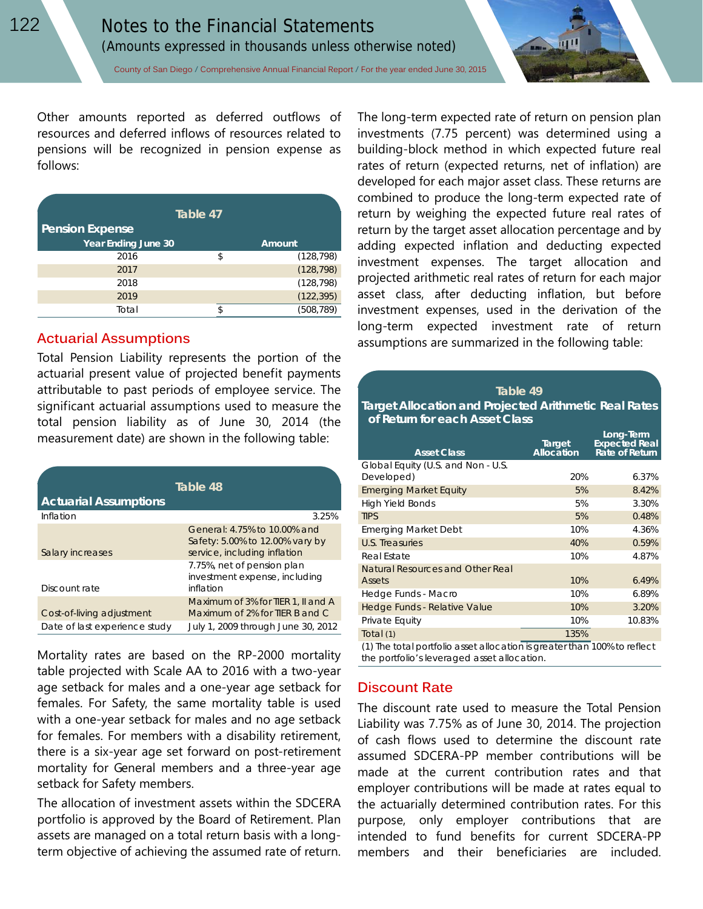Other amounts reported as deferred outflows of resources and deferred inflows of resources related to pensions will be recognized in pension expense as follows:

|                                               | Table 47 |            |
|-----------------------------------------------|----------|------------|
| <b>Pension Expense</b><br>Year Ending June 30 |          | Amount     |
| 2016                                          | \$       | (128, 798) |
| 2017                                          |          | (128, 798) |
| 2018                                          |          | (128, 798) |
| 2019                                          |          | (122, 395) |
| Total                                         |          | (508, 789) |

#### **Actuarial Assumptions**

Total Pension Liability represents the portion of the actuarial present value of projected benefit payments attributable to past periods of employee service. The significant actuarial assumptions used to measure the total pension liability as of June 30, 2014 (the measurement date) are shown in the following table:

| <b>Actuarial Assumptions</b>  | Table 48                                                                                        |
|-------------------------------|-------------------------------------------------------------------------------------------------|
| Inflation                     | 3.25%                                                                                           |
| Salary increases              | General: 4 75% to 10,00% and<br>Safety: 5.00% to 12.00% vary by<br>service, including inflation |
| Discount rate                 | 7.75%, net of pension plan<br>investment expense, including<br>inflation                        |
| Cost-of-living adjustment     | Maximum of 3% for TIER 1. II and A<br>Maximum of 2% for TIER B and C                            |
| Date of last experience study | July 1, 2009 through June 30, 2012                                                              |

Mortality rates are based on the RP-2000 mortality table projected with Scale AA to 2016 with a two-year age setback for males and a one-year age setback for females. For Safety, the same mortality table is used with a one-year setback for males and no age setback for females. For members with a disability retirement, there is a six-year age set forward on post-retirement mortality for General members and a three-year age setback for Safety members.

The allocation of investment assets within the SDCERA portfolio is approved by the Board of Retirement. Plan assets are managed on a total return basis with a longterm objective of achieving the assumed rate of return.

The long-term expected rate of return on pension plan investments (7.75 percent) was determined using a building-block method in which expected future real rates of return (expected returns, net of inflation) are developed for each major asset class. These returns are combined to produce the long-term expected rate of return by weighing the expected future real rates of return by the target asset allocation percentage and by adding expected inflation and deducting expected investment expenses. The target allocation and projected arithmetic real rates of return for each major asset class, after deducting inflation, but before investment expenses, used in the derivation of the long-term expected investment rate of return assumptions are summarized in the following table:

#### **Table 49 Target Allocation and Projected Arithmetic Real Rates of Return for each Asset Class**

| <b>Asset Class</b>                 | Target<br>Allocation | Long-Term<br><b>Expected Real</b><br>Rate of Return |
|------------------------------------|----------------------|-----------------------------------------------------|
| Global Equity (U.S. and Non - U.S. |                      |                                                     |
| Developed)                         | 20%                  | 6.37%                                               |
| <b>Emerging Market Equity</b>      | 5%                   | 8.42%                                               |
| <b>High Yield Bonds</b>            | 5%                   | 3.30%                                               |
| <b>TIPS</b>                        | 5%                   | 0.48%                                               |
| <b>Emerging Market Debt</b>        | 10%                  | 4.36%                                               |
| U.S. Treasuries                    | 40%                  | 0.59%                                               |
| Real Estate                        | 10%                  | 4.87%                                               |
| Natural Resources and Other Real   |                      |                                                     |
| <b>Assets</b>                      | 10%                  | 6.49%                                               |
| Hedge Funds - Macro                | 10%                  | 6.89%                                               |
| Hedge Funds - Relative Value       | 10%                  | 3.20%                                               |
| Private Equity                     | 10%                  | 10.83%                                              |
| Total (1)                          | 135%                 |                                                     |
|                                    |                      |                                                     |

(1) The total portfolio asset allocation is greater than 100% to reflect the portfolio's leveraged asset allocation.

#### **Discount Rate**

The discount rate used to measure the Total Pension Liability was 7.75% as of June 30, 2014. The projection of cash flows used to determine the discount rate assumed SDCERA-PP member contributions will be made at the current contribution rates and that employer contributions will be made at rates equal to the actuarially determined contribution rates. For this purpose, only employer contributions that are intended to fund benefits for current SDCERA-PP members and their beneficiaries are included.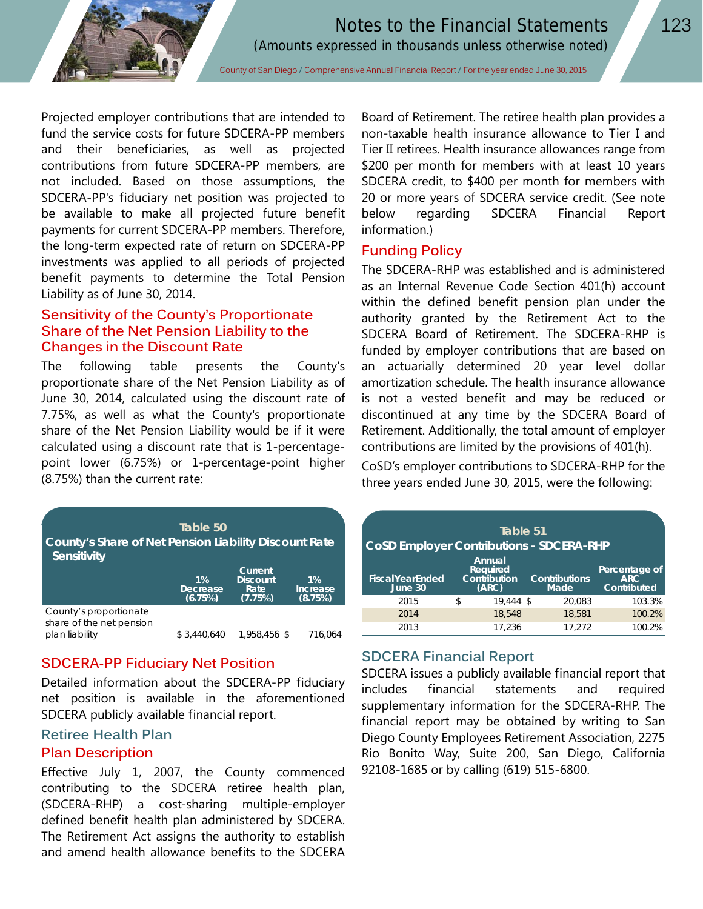

Projected employer contributions that are intended to fund the service costs for future SDCERA-PP members and their beneficiaries, as well as projected contributions from future SDCERA-PP members, are not included. Based on those assumptions, the SDCERA-PP's fiduciary net position was projected to be available to make all projected future benefit payments for current SDCERA-PP members. Therefore, the long-term expected rate of return on SDCERA-PP investments was applied to all periods of projected benefit payments to determine the Total Pension Liability as of June 30, 2014.

## **Sensitivity of the County's Proportionate Share of the Net Pension Liability to the Changes in the Discount Rate**

The following table presents the County's proportionate share of the Net Pension Liability as of June 30, 2014, calculated using the discount rate of 7.75%, as well as what the County's proportionate share of the Net Pension Liability would be if it were calculated using a discount rate that is 1-percentagepoint lower (6.75%) or 1-percentage-point higher (8.75%) than the current rate:

| Table 50<br>County's Share of Net Pension Liability Discount Rate<br>Sensitivity |                                     |                                               |                                     |  |  |  |  |  |
|----------------------------------------------------------------------------------|-------------------------------------|-----------------------------------------------|-------------------------------------|--|--|--|--|--|
|                                                                                  | $1\%$<br><b>Decrease</b><br>(6.75%) | Current<br><b>Discount</b><br>Rate<br>(7.75%) | $1\%$<br><b>Increase</b><br>(8.75%) |  |  |  |  |  |
| County's proportionate<br>share of the net pension<br>plan liability             | \$3,440,640                         | 1.958.456 \$                                  | 716.064                             |  |  |  |  |  |

## **SDCERA-PP Fiduciary Net Position**

Detailed information about the SDCERA-PP fiduciary net position is available in the aforementioned SDCERA publicly available financial report.

# **Retiree Health Plan**

## **Plan Description**

Effective July 1, 2007, the County commenced contributing to the SDCERA retiree health plan, (SDCERA-RHP) a cost-sharing multiple-employer defined benefit health plan administered by SDCERA. The Retirement Act assigns the authority to establish and amend health allowance benefits to the SDCERA

Board of Retirement. The retiree health plan provides a non-taxable health insurance allowance to Tier I and Tier II retirees. Health insurance allowances range from \$200 per month for members with at least 10 years SDCERA credit, to \$400 per month for members with 20 or more years of SDCERA service credit. (See note below regarding SDCERA Financial Report information.)

## **Funding Policy**

The SDCERA-RHP was established and is administered as an Internal Revenue Code Section 401(h) account within the defined benefit pension plan under the authority granted by the Retirement Act to the SDCERA Board of Retirement. The SDCERA-RHP is funded by employer contributions that are based on an actuarially determined 20 year level dollar amortization schedule. The health insurance allowance is not a vested benefit and may be reduced or discontinued at any time by the SDCERA Board of Retirement. Additionally, the total amount of employer contributions are limited by the provisions of 401(h).

CoSD's employer contributions to SDCERA-RHP for the three years ended June 30, 2015, were the following:

| Table 51<br><b>CoSD Employer Contributions - SDCERA-RHP</b> |                                            |           |        |        |  |  |  |
|-------------------------------------------------------------|--------------------------------------------|-----------|--------|--------|--|--|--|
| <b>Fiscal Year Ended</b><br>June 30                         | Percentage of<br><b>ARC</b><br>Contributed |           |        |        |  |  |  |
| 2015                                                        | \$                                         | 19.444 \$ | 20.083 | 103.3% |  |  |  |
| 2014                                                        |                                            | 18,548    | 18,581 | 100.2% |  |  |  |
| 2013                                                        |                                            | 17.236    | 17.272 | 100.2% |  |  |  |

## **SDCERA Financial Report**

SDCERA issues a publicly available financial report that includes financial statements and required supplementary information for the SDCERA-RHP. The financial report may be obtained by writing to San Diego County Employees Retirement Association, 2275 Rio Bonito Way, Suite 200, San Diego, California 92108-1685 or by calling (619) 515-6800.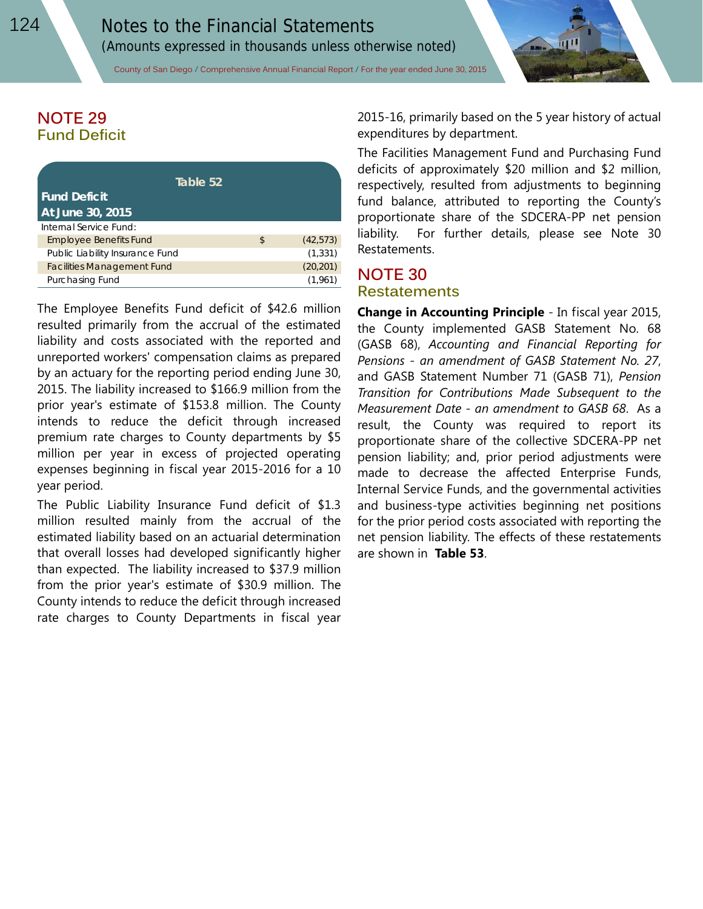# **NOTE 29 Fund Deficit**

| Table 52                          |                 |
|-----------------------------------|-----------------|
| <b>Fund Deficit</b>               |                 |
| At June 30, 2015                  |                 |
| Internal Service Fund:            |                 |
| <b>Employee Benefits Fund</b>     | \$<br>(42, 573) |
| Public Liability Insurance Fund   | (1, 331)        |
| <b>Facilities Management Fund</b> | (20, 201)       |
| Purchasing Fund                   | (1,961)         |

The Employee Benefits Fund deficit of \$42.6 million resulted primarily from the accrual of the estimated liability and costs associated with the reported and unreported workers' compensation claims as prepared by an actuary for the reporting period ending June 30, 2015. The liability increased to \$166.9 million from the prior year's estimate of \$153.8 million. The County intends to reduce the deficit through increased premium rate charges to County departments by \$5 million per year in excess of projected operating expenses beginning in fiscal year 2015-2016 for a 10 year period.

The Public Liability Insurance Fund deficit of \$1.3 million resulted mainly from the accrual of the estimated liability based on an actuarial determination that overall losses had developed significantly higher than expected. The liability increased to \$37.9 million from the prior year's estimate of \$30.9 million. The County intends to reduce the deficit through increased rate charges to County Departments in fiscal year

2015-16, primarily based on the 5 year history of actual expenditures by department.

The Facilities Management Fund and Purchasing Fund deficits of approximately \$20 million and \$2 million, respectively, resulted from adjustments to beginning fund balance, attributed to reporting the County's proportionate share of the SDCERA-PP net pension liability. For further details, please see Note 30 Restatements.

## **NOTE 30 Restatements**

**Change in Accounting Principle** - In fiscal year 2015, the County implemented GASB Statement No. 68 (GASB 68), *Accounting and Financial Reporting for Pensions - an amendment of GASB Statement No. 27*, and GASB Statement Number 71 (GASB 71), *Pension Transition for Contributions Made Subsequent to the Measurement Date - an amendment to GASB 68*. As a result, the County was required to report its proportionate share of the collective SDCERA-PP net pension liability; and, prior period adjustments were made to decrease the affected Enterprise Funds, Internal Service Funds, and the governmental activities and business-type activities beginning net positions for the prior period costs associated with reporting the net pension liability. The effects of these restatements are shown in **Table 53**.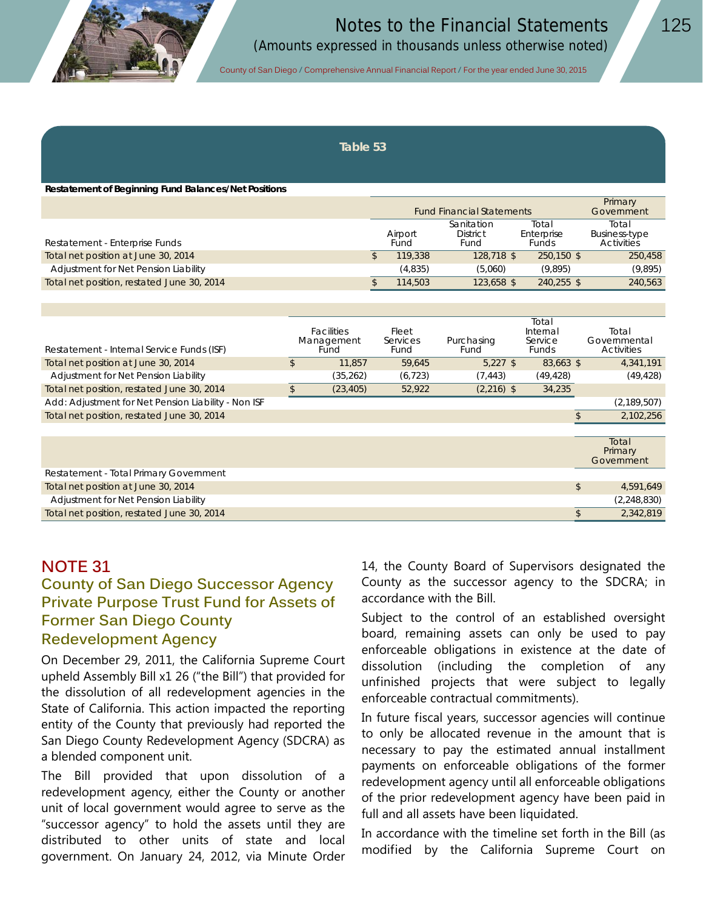

County of San Diego **/** Comprehensive Annual Financial Report **/** For the year ended June 30, 2015

#### **Table 53**

**Restatement of Beginning Fund Balances/Net Positions**

|                                            |                 | <b>Fund Financial Statements</b> |                                     | Primary<br>Government                |
|--------------------------------------------|-----------------|----------------------------------|-------------------------------------|--------------------------------------|
| Restatement - Enterprise Funds             | Airport<br>Fund | Sanitation<br>District<br>Fund   | Total<br>Enterprise<br><b>Funds</b> | Total<br>Business-type<br>Activities |
| Total net position at June 30, 2014        | 119,338         | 128,718 \$                       | 250.150 \$                          | 250,458                              |
| Adjustment for Net Pension Liability       | (4.835)         | (5.060)                          | (9.895)                             | (9,895)                              |
| Total net position, restated June 30, 2014 | 114.503         | 123.658 \$                       | 240,255 \$                          | 240,563                              |

| Restatement - Internal Service Funds (ISF)          | <b>Facilities</b><br>Management<br>Fund | Fleet<br><b>Services</b><br>Fund | Purchasing<br>Fund | Total<br>Internal<br>Service<br><b>Funds</b> | Total<br>Governmental<br><b>Activities</b> |
|-----------------------------------------------------|-----------------------------------------|----------------------------------|--------------------|----------------------------------------------|--------------------------------------------|
| Total net position at June 30, 2014                 | \$<br>11,857                            | 59,645                           | $5,227$ \$         | 83,663 \$                                    | 4,341,191                                  |
| Adjustment for Net Pension Liability                | (35, 262)                               | (6, 723)                         | (7, 443)           | (49, 428)                                    | (49, 428)                                  |
| Total net position, restated June 30, 2014          | (23, 405)                               | 52,922                           | $(2,216)$ \$       | 34,235                                       |                                            |
| Add: Adjustment for Net Pension Liability - Non ISF |                                         |                                  |                    |                                              | (2, 189, 507)                              |
| Total net position, restated June 30, 2014          |                                         |                                  |                    |                                              | 2,102,256                                  |
|                                                     |                                         |                                  |                    |                                              |                                            |
|                                                     |                                         |                                  |                    |                                              | Total<br>Primary<br>Government             |
| Restatement - Total Primary Government              |                                         |                                  |                    |                                              |                                            |
| Total net position at June 30, 2014                 |                                         |                                  |                    |                                              | \$<br>4,591,649                            |
| Adjustment for Net Pension Liability                |                                         |                                  |                    |                                              | (2, 248, 830)                              |
| Total net position, restated June 30, 2014          |                                         |                                  |                    |                                              | 2.342.819                                  |

## **NOTE 31**

# **County of San Diego Successor Agency Private Purpose Trust Fund for Assets of Former San Diego County Redevelopment Agency**

On December 29, 2011, the California Supreme Court upheld Assembly Bill x1 26 ("the Bill") that provided for the dissolution of all redevelopment agencies in the State of California. This action impacted the reporting entity of the County that previously had reported the San Diego County Redevelopment Agency (SDCRA) as a blended component unit.

The Bill provided that upon dissolution of a redevelopment agency, either the County or another unit of local government would agree to serve as the "successor agency" to hold the assets until they are distributed to other units of state and local government. On January 24, 2012, via Minute Order 14, the County Board of Supervisors designated the County as the successor agency to the SDCRA; in accordance with the Bill.

Subject to the control of an established oversight board, remaining assets can only be used to pay enforceable obligations in existence at the date of dissolution (including the completion of any unfinished projects that were subject to legally enforceable contractual commitments).

In future fiscal years, successor agencies will continue to only be allocated revenue in the amount that is necessary to pay the estimated annual installment payments on enforceable obligations of the former redevelopment agency until all enforceable obligations of the prior redevelopment agency have been paid in full and all assets have been liquidated.

In accordance with the timeline set forth in the Bill (as modified by the California Supreme Court on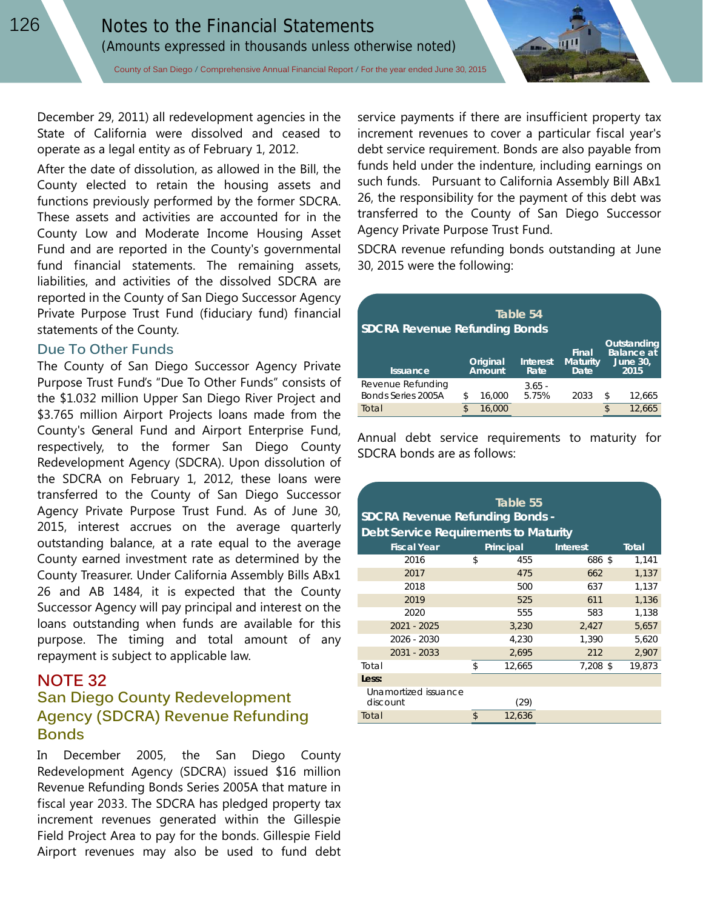December 29, 2011) all redevelopment agencies in the State of California were dissolved and ceased to operate as a legal entity as of February 1, 2012.

After the date of dissolution, as allowed in the Bill, the County elected to retain the housing assets and functions previously performed by the former SDCRA. These assets and activities are accounted for in the County Low and Moderate Income Housing Asset Fund and are reported in the County's governmental fund financial statements. The remaining assets, liabilities, and activities of the dissolved SDCRA are reported in the County of San Diego Successor Agency Private Purpose Trust Fund (fiduciary fund) financial statements of the County.

### **Due To Other Funds**

The County of San Diego Successor Agency Private Purpose Trust Fund's "Due To Other Funds" consists of the \$1.032 million Upper San Diego River Project and \$3.765 million Airport Projects loans made from the County's General Fund and Airport Enterprise Fund, respectively, to the former San Diego County Redevelopment Agency (SDCRA). Upon dissolution of the SDCRA on February 1, 2012, these loans were transferred to the County of San Diego Successor Agency Private Purpose Trust Fund. As of June 30, 2015, interest accrues on the average quarterly outstanding balance, at a rate equal to the average County earned investment rate as determined by the County Treasurer. Under California Assembly Bills ABx1 26 and AB 1484, it is expected that the County Successor Agency will pay principal and interest on the loans outstanding when funds are available for this purpose. The timing and total amount of any repayment is subject to applicable law.

#### **NOTE 32**

# **San Diego County Redevelopment Agency (SDCRA) Revenue Refunding Bonds**

In December 2005, the San Diego County Redevelopment Agency (SDCRA) issued \$16 million Revenue Refunding Bonds Series 2005A that mature in fiscal year 2033. The SDCRA has pledged property tax increment revenues generated within the Gillespie Field Project Area to pay for the bonds. Gillespie Field Airport revenues may also be used to fund debt

service payments if there are insufficient property tax increment revenues to cover a particular fiscal year's debt service requirement. Bonds are also payable from funds held under the indenture, including earnings on such funds. Pursuant to California Assembly Bill ABx1 26, the responsibility for the payment of this debt was transferred to the County of San Diego Successor Agency Private Purpose Trust Fund.

SDCRA revenue refunding bonds outstanding at June 30, 2015 were the following:

| <b>SDCRA Revenue Refunding Bonds</b>    |                    |                   |                                  |                                                      |
|-----------------------------------------|--------------------|-------------------|----------------------------------|------------------------------------------------------|
| <b>Issuance</b>                         | Original<br>Amount | Interest<br>Rate  | Final<br><b>Maturity</b><br>Date | Outstanding<br><b>Balance</b> at<br>June 30,<br>2015 |
| Revenue Refunding<br>Bonds Series 2005A | \$<br>16,000       | $3.65 -$<br>5.75% | 2033                             | \$<br>12.665                                         |
| Total                                   | \$<br>16,000       |                   |                                  | \$<br>12.665                                         |

Annual debt service requirements to maturity for SDCRA bonds are as follows:

| Table 55<br><b>SDCRA Revenue Refunding Bonds -</b><br>Debt Service Requirements to Maturity |    |           |                 |              |  |  |  |  |  |
|---------------------------------------------------------------------------------------------|----|-----------|-----------------|--------------|--|--|--|--|--|
| <b>Fiscal Year</b>                                                                          |    | Principal | <b>Interest</b> | <b>Total</b> |  |  |  |  |  |
| 2016                                                                                        | \$ | 455       | 686 \$          | 1,141        |  |  |  |  |  |
| 2017                                                                                        |    | 475       | 662             | 1,137        |  |  |  |  |  |
| 2018                                                                                        |    | 500       | 637             | 1,137        |  |  |  |  |  |
| 2019                                                                                        |    | 525       | 611             | 1,136        |  |  |  |  |  |
| 2020                                                                                        |    | 555       | 583             | 1,138        |  |  |  |  |  |
| $2021 - 2025$                                                                               |    | 3,230     | 2,427           | 5,657        |  |  |  |  |  |
| 2026 - 2030                                                                                 |    | 4,230     | 1.390           | 5,620        |  |  |  |  |  |
| 2031 - 2033                                                                                 |    | 2,695     | 212             | 2,907        |  |  |  |  |  |
| Total                                                                                       | \$ | 12,665    | 7,208 \$        | 19.873       |  |  |  |  |  |
| Less:                                                                                       |    |           |                 |              |  |  |  |  |  |
| Unamortized issuance<br>discount                                                            |    | (29)      |                 |              |  |  |  |  |  |
| Total                                                                                       | \$ | 12,636    |                 |              |  |  |  |  |  |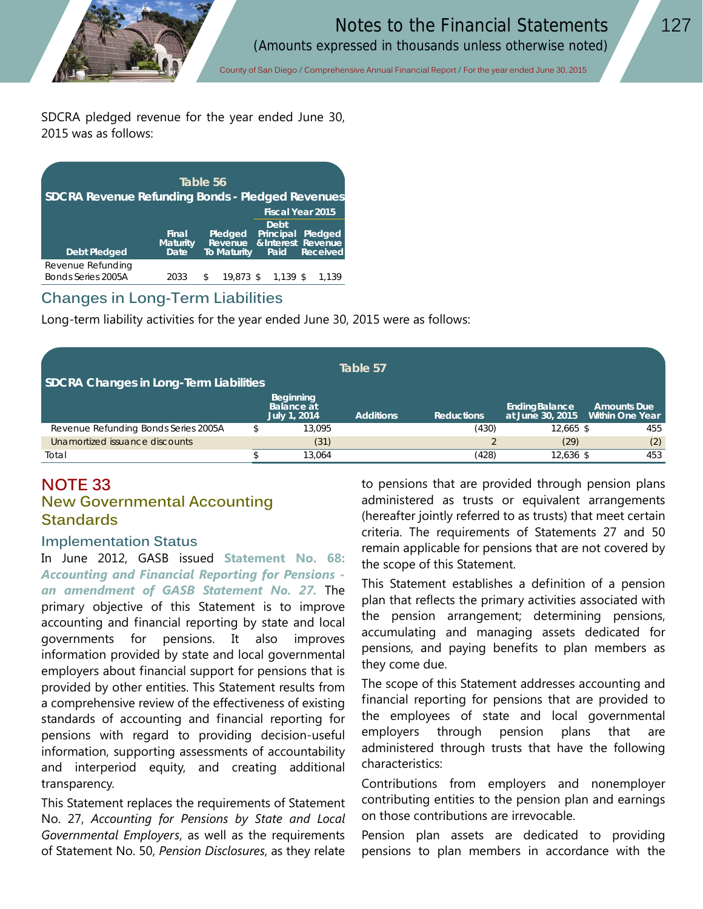

SDCRA pledged revenue for the year ended June 30, 2015 was as follows:

| Table 56<br>SDCRA Revenue Refunding Bonds - Pledged Revenues |                                  |                         |                                          |  |                                                 |  |                            |  |  |
|--------------------------------------------------------------|----------------------------------|-------------------------|------------------------------------------|--|-------------------------------------------------|--|----------------------------|--|--|
|                                                              |                                  | <b>Fiscal Year 2015</b> |                                          |  |                                                 |  |                            |  |  |
| <b>Debt Pledged</b>                                          | Final<br><b>Maturity</b><br>Date |                         | Pledged<br>Revenue<br><b>To Maturity</b> |  | Debt<br>Principal<br>& Interest Revenue<br>Paid |  | Pledged<br><b>Received</b> |  |  |
| Revenue Refunding<br>Bonds Series 2005A                      | 2033                             | \$                      | 19.873 \$                                |  | $1.139$ \$                                      |  | 1.139                      |  |  |

# **Changes in Long-Term Liabilities**

Long-term liability activities for the year ended June 30, 2015 were as follows:

| Table 57<br><b>SDCRA Changes in Long-Term Liabilities</b> |  |                                                |                  |                   |                                   |                                              |  |  |
|-----------------------------------------------------------|--|------------------------------------------------|------------------|-------------------|-----------------------------------|----------------------------------------------|--|--|
|                                                           |  | Beginning<br><b>Balance</b> at<br>July 1, 2014 | <b>Additions</b> | <b>Reductions</b> | EndingBalance<br>at June 30, 2015 | <b>Amounts Due</b><br><b>Within One Year</b> |  |  |
| Revenue Refunding Bonds Series 2005A                      |  | 13.095                                         |                  | (430)             | $12.665$ \$                       | 455                                          |  |  |
| Unamortized issuance discounts                            |  | (31)                                           |                  |                   | (29)                              | (2)                                          |  |  |
| Total                                                     |  | 13.064                                         |                  | (428)             | 12.636 \$                         | 453                                          |  |  |

# **NOTE 33 New Governmental Accounting Standards**

## **Implementation Status**

In June 2012, GASB issued **Statement No. 68:** *Accounting and Financial Reporting for Pensions an amendment of GASB Statement No. 27.* The primary objective of this Statement is to improve accounting and financial reporting by state and local governments for pensions. It also improves information provided by state and local governmental employers about financial support for pensions that is provided by other entities. This Statement results from a comprehensive review of the effectiveness of existing standards of accounting and financial reporting for pensions with regard to providing decision-useful information, supporting assessments of accountability and interperiod equity, and creating additional transparency.

This Statement replaces the requirements of Statement No. 27, *Accounting for Pensions by State and Local Governmental Employers*, as well as the requirements of Statement No. 50, *Pension Disclosures*, as they relate to pensions that are provided through pension plans administered as trusts or equivalent arrangements (hereafter jointly referred to as trusts) that meet certain criteria. The requirements of Statements 27 and 50 remain applicable for pensions that are not covered by the scope of this Statement.

This Statement establishes a definition of a pension plan that reflects the primary activities associated with the pension arrangement; determining pensions, accumulating and managing assets dedicated for pensions, and paying benefits to plan members as they come due.

The scope of this Statement addresses accounting and financial reporting for pensions that are provided to the employees of state and local governmental employers through pension plans that are administered through trusts that have the following characteristics:

Contributions from employers and nonemployer contributing entities to the pension plan and earnings on those contributions are irrevocable.

Pension plan assets are dedicated to providing pensions to plan members in accordance with the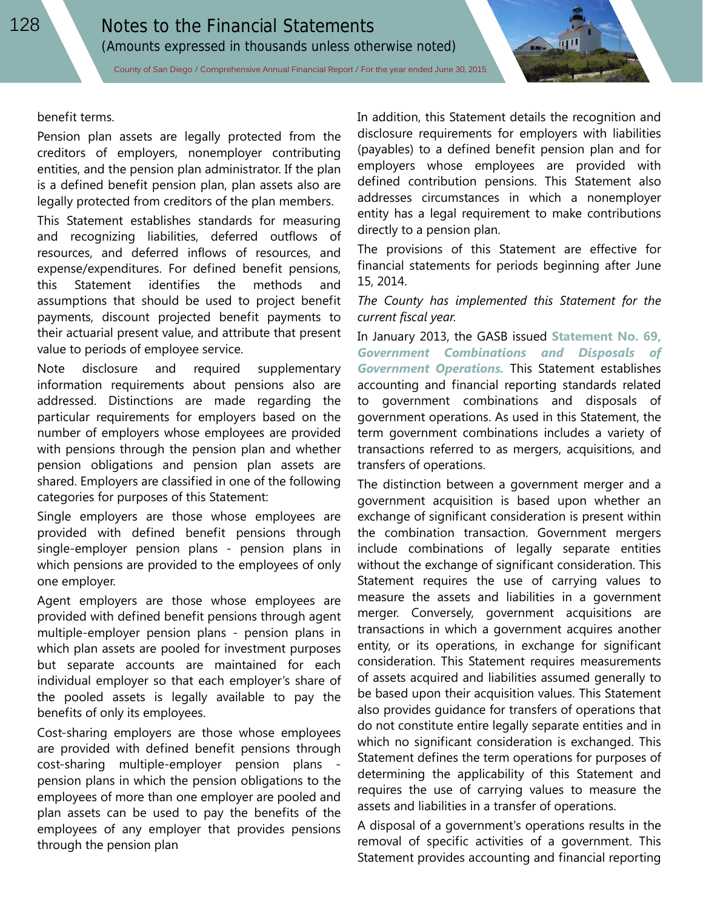#### benefit terms.

Pension plan assets are legally protected from the creditors of employers, nonemployer contributing entities, and the pension plan administrator. If the plan is a defined benefit pension plan, plan assets also are legally protected from creditors of the plan members.

This Statement establishes standards for measuring and recognizing liabilities, deferred outflows of resources, and deferred inflows of resources, and expense/expenditures. For defined benefit pensions, this Statement identifies the methods and assumptions that should be used to project benefit payments, discount projected benefit payments to their actuarial present value, and attribute that present value to periods of employee service.

Note disclosure and required supplementary information requirements about pensions also are addressed. Distinctions are made regarding the particular requirements for employers based on the number of employers whose employees are provided with pensions through the pension plan and whether pension obligations and pension plan assets are shared. Employers are classified in one of the following categories for purposes of this Statement:

Single employers are those whose employees are provided with defined benefit pensions through single-employer pension plans - pension plans in which pensions are provided to the employees of only one employer.

Agent employers are those whose employees are provided with defined benefit pensions through agent multiple-employer pension plans - pension plans in which plan assets are pooled for investment purposes but separate accounts are maintained for each individual employer so that each employer's share of the pooled assets is legally available to pay the benefits of only its employees.

Cost-sharing employers are those whose employees are provided with defined benefit pensions through cost-sharing multiple-employer pension plans pension plans in which the pension obligations to the employees of more than one employer are pooled and plan assets can be used to pay the benefits of the employees of any employer that provides pensions through the pension plan

In addition, this Statement details the recognition and disclosure requirements for employers with liabilities (payables) to a defined benefit pension plan and for employers whose employees are provided with defined contribution pensions. This Statement also addresses circumstances in which a nonemployer entity has a legal requirement to make contributions directly to a pension plan.

The provisions of this Statement are effective for financial statements for periods beginning after June 15, 2014.

*The County has implemented this Statement for the current fiscal year*.

In January 2013, the GASB issued **Statement No. 69,** *Government Combinations and Disposals of Government Operations.* This Statement establishes accounting and financial reporting standards related to government combinations and disposals of government operations. As used in this Statement, the term government combinations includes a variety of transactions referred to as mergers, acquisitions, and transfers of operations.

The distinction between a government merger and a government acquisition is based upon whether an exchange of significant consideration is present within the combination transaction. Government mergers include combinations of legally separate entities without the exchange of significant consideration. This Statement requires the use of carrying values to measure the assets and liabilities in a government merger. Conversely, government acquisitions are transactions in which a government acquires another entity, or its operations, in exchange for significant consideration. This Statement requires measurements of assets acquired and liabilities assumed generally to be based upon their acquisition values. This Statement also provides guidance for transfers of operations that do not constitute entire legally separate entities and in which no significant consideration is exchanged. This Statement defines the term operations for purposes of determining the applicability of this Statement and requires the use of carrying values to measure the assets and liabilities in a transfer of operations.

A disposal of a government's operations results in the removal of specific activities of a government. This Statement provides accounting and financial reporting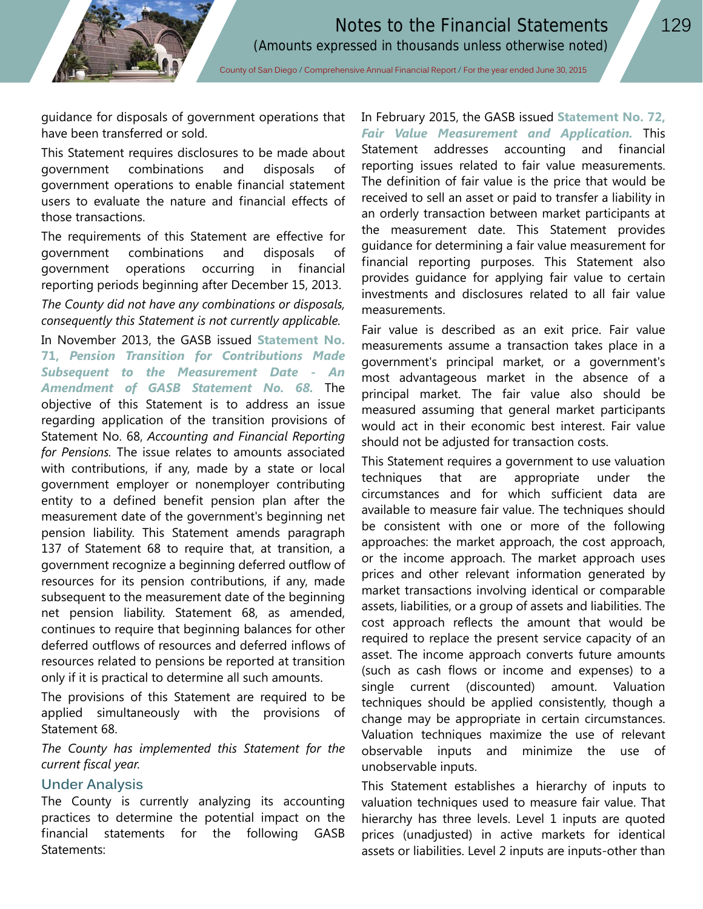

guidance for disposals of government operations that have been transferred or sold.

This Statement requires disclosures to be made about government combinations and disposals of government operations to enable financial statement users to evaluate the nature and financial effects of those transactions.

The requirements of this Statement are effective for government combinations and disposals of government operations occurring in financial reporting periods beginning after December 15, 2013. *The County did not have any combinations or disposals, consequently this Statement is not currently applicable.*

In November 2013, the GASB issued **Statement No. 71,** *Pension Transition for Contributions Made Subsequent to the Measurement Date - An Amendment of GASB Statement No. 68.* The objective of this Statement is to address an issue regarding application of the transition provisions of Statement No. 68, *Accounting and Financial Reporting for Pensions.* The issue relates to amounts associated with contributions, if any, made by a state or local government employer or nonemployer contributing entity to a defined benefit pension plan after the measurement date of the government's beginning net pension liability. This Statement amends paragraph 137 of Statement 68 to require that, at transition, a government recognize a beginning deferred outflow of resources for its pension contributions, if any, made subsequent to the measurement date of the beginning net pension liability. Statement 68, as amended, continues to require that beginning balances for other deferred outflows of resources and deferred inflows of resources related to pensions be reported at transition only if it is practical to determine all such amounts.

The provisions of this Statement are required to be applied simultaneously with the provisions of Statement 68.

*The County has implemented this Statement for the current fiscal year*.

#### **Under Analysis**

The County is currently analyzing its accounting practices to determine the potential impact on the financial statements for the following GASB Statements:

In February 2015, the GASB issued **Statement No. 72,** *Fair Value Measurement and Application.* This Statement addresses accounting and financial reporting issues related to fair value measurements. The definition of fair value is the price that would be received to sell an asset or paid to transfer a liability in an orderly transaction between market participants at the measurement date. This Statement provides guidance for determining a fair value measurement for financial reporting purposes. This Statement also provides guidance for applying fair value to certain investments and disclosures related to all fair value measurements.

Fair value is described as an exit price. Fair value measurements assume a transaction takes place in a government's principal market, or a government's most advantageous market in the absence of a principal market. The fair value also should be measured assuming that general market participants would act in their economic best interest. Fair value should not be adjusted for transaction costs.

This Statement requires a government to use valuation techniques that are appropriate under the circumstances and for which sufficient data are available to measure fair value. The techniques should be consistent with one or more of the following approaches: the market approach, the cost approach, or the income approach. The market approach uses prices and other relevant information generated by market transactions involving identical or comparable assets, liabilities, or a group of assets and liabilities. The cost approach reflects the amount that would be required to replace the present service capacity of an asset. The income approach converts future amounts (such as cash flows or income and expenses) to a single current (discounted) amount. Valuation techniques should be applied consistently, though a change may be appropriate in certain circumstances. Valuation techniques maximize the use of relevant observable inputs and minimize the use of unobservable inputs.

This Statement establishes a hierarchy of inputs to valuation techniques used to measure fair value. That hierarchy has three levels. Level 1 inputs are quoted prices (unadjusted) in active markets for identical assets or liabilities. Level 2 inputs are inputs-other than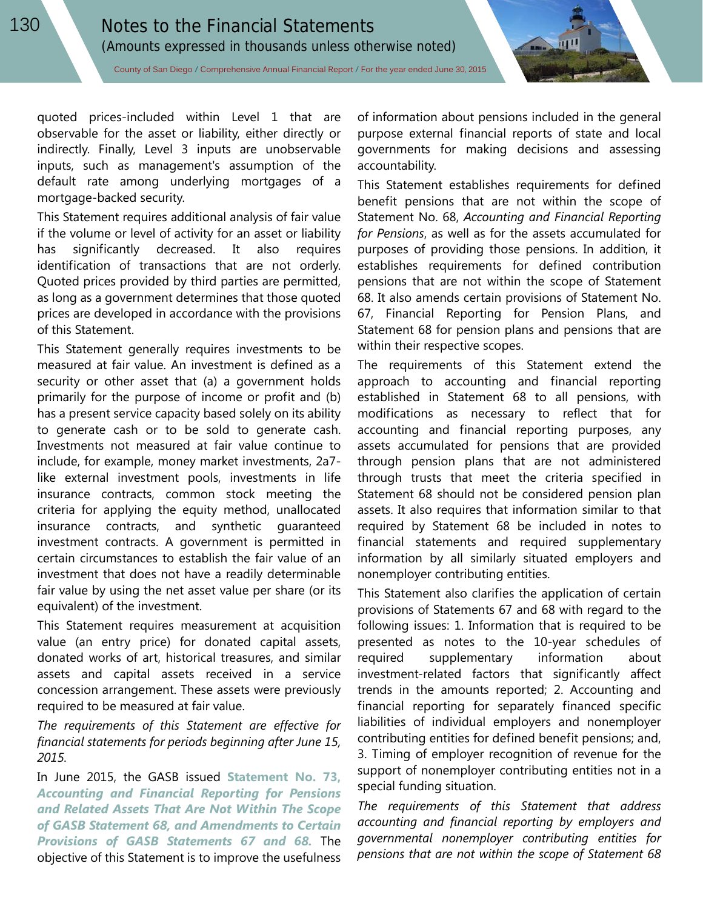quoted prices-included within Level 1 that are observable for the asset or liability, either directly or indirectly. Finally, Level 3 inputs are unobservable inputs, such as management's assumption of the default rate among underlying mortgages of a mortgage-backed security.

This Statement requires additional analysis of fair value if the volume or level of activity for an asset or liability has significantly decreased. It also requires identification of transactions that are not orderly. Quoted prices provided by third parties are permitted, as long as a government determines that those quoted prices are developed in accordance with the provisions of this Statement.

This Statement generally requires investments to be measured at fair value. An investment is defined as a security or other asset that (a) a government holds primarily for the purpose of income or profit and (b) has a present service capacity based solely on its ability to generate cash or to be sold to generate cash. Investments not measured at fair value continue to include, for example, money market investments, 2a7 like external investment pools, investments in life insurance contracts, common stock meeting the criteria for applying the equity method, unallocated insurance contracts, and synthetic guaranteed investment contracts. A government is permitted in certain circumstances to establish the fair value of an investment that does not have a readily determinable fair value by using the net asset value per share (or its equivalent) of the investment.

This Statement requires measurement at acquisition value (an entry price) for donated capital assets, donated works of art, historical treasures, and similar assets and capital assets received in a service concession arrangement. These assets were previously required to be measured at fair value.

*The requirements of this Statement are effective for financial statements for periods beginning after June 15, 2015.* 

In June 2015, the GASB issued **Statement No. 73,** *Accounting and Financial Reporting for Pensions and Related Assets That Are Not Within The Scope of GASB Statement 68, and Amendments to Certain Provisions of GASB Statements 67 and 68.* The objective of this Statement is to improve the usefulness of information about pensions included in the general purpose external financial reports of state and local governments for making decisions and assessing accountability.

This Statement establishes requirements for defined benefit pensions that are not within the scope of Statement No. 68, *Accounting and Financial Reporting for Pensions*, as well as for the assets accumulated for purposes of providing those pensions. In addition, it establishes requirements for defined contribution pensions that are not within the scope of Statement 68. It also amends certain provisions of Statement No. 67, Financial Reporting for Pension Plans, and Statement 68 for pension plans and pensions that are within their respective scopes.

The requirements of this Statement extend the approach to accounting and financial reporting established in Statement 68 to all pensions, with modifications as necessary to reflect that for accounting and financial reporting purposes, any assets accumulated for pensions that are provided through pension plans that are not administered through trusts that meet the criteria specified in Statement 68 should not be considered pension plan assets. It also requires that information similar to that required by Statement 68 be included in notes to financial statements and required supplementary information by all similarly situated employers and nonemployer contributing entities.

This Statement also clarifies the application of certain provisions of Statements 67 and 68 with regard to the following issues: 1. Information that is required to be presented as notes to the 10-year schedules of required supplementary information about investment-related factors that significantly affect trends in the amounts reported; 2. Accounting and financial reporting for separately financed specific liabilities of individual employers and nonemployer contributing entities for defined benefit pensions; and, 3. Timing of employer recognition of revenue for the support of nonemployer contributing entities not in a special funding situation.

*The requirements of this Statement that address accounting and financial reporting by employers and governmental nonemployer contributing entities for pensions that are not within the scope of Statement 68*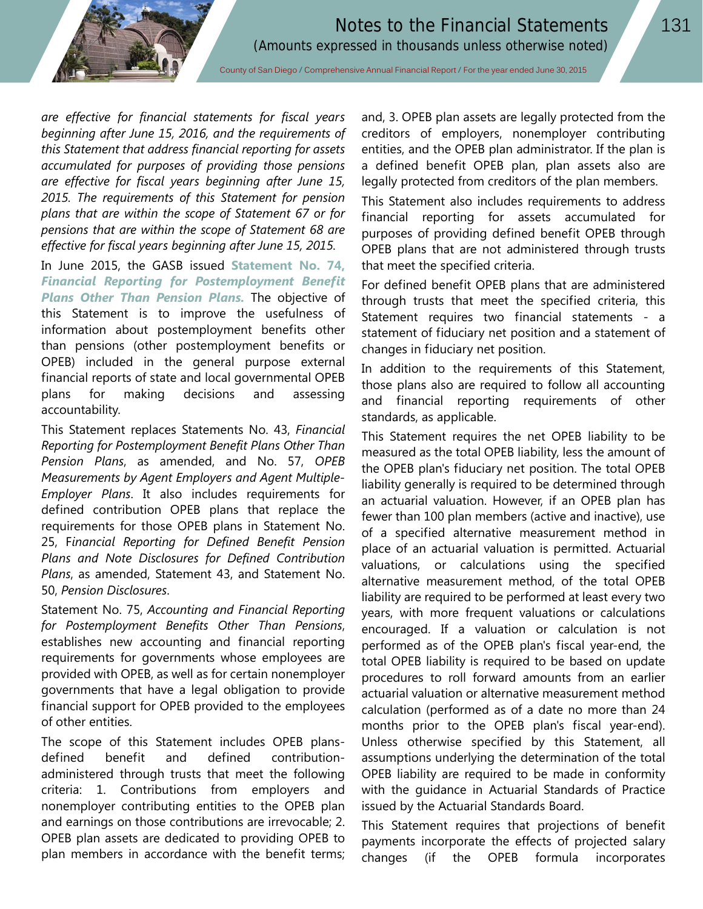

*are effective for financial statements for fiscal years beginning after June 15, 2016, and the requirements of this Statement that address financial reporting for assets accumulated for purposes of providing those pensions are effective for fiscal years beginning after June 15, 2015. The requirements of this Statement for pension plans that are within the scope of Statement 67 or for pensions that are within the scope of Statement 68 are effective for fiscal years beginning after June 15, 2015.*

In June 2015, the GASB issued **Statement No. 74,** *Financial Reporting for Postemployment Benefit Plans Other Than Pension Plans.* The objective of this Statement is to improve the usefulness of information about postemployment benefits other than pensions (other postemployment benefits or OPEB) included in the general purpose external financial reports of state and local governmental OPEB plans for making decisions and assessing accountability.

This Statement replaces Statements No. 43, *Financial Reporting for Postemployment Benefit Plans Other Than Pension Plans*, as amended, and No. 57, *OPEB Measurements by Agent Employers and Agent Multiple-Employer Plans*. It also includes requirements for defined contribution OPEB plans that replace the requirements for those OPEB plans in Statement No. 25, F*inancial Reporting for Defined Benefit Pension Plans and Note Disclosures for Defined Contribution Plans*, as amended, Statement 43, and Statement No. 50, *Pension Disclosures*.

Statement No. 75, *Accounting and Financial Reporting for Postemployment Benefits Other Than Pensions*, establishes new accounting and financial reporting requirements for governments whose employees are provided with OPEB, as well as for certain nonemployer governments that have a legal obligation to provide financial support for OPEB provided to the employees of other entities.

The scope of this Statement includes OPEB plansdefined benefit and defined contributionadministered through trusts that meet the following criteria: 1. Contributions from employers and nonemployer contributing entities to the OPEB plan and earnings on those contributions are irrevocable; 2. OPEB plan assets are dedicated to providing OPEB to plan members in accordance with the benefit terms;

and, 3. OPEB plan assets are legally protected from the creditors of employers, nonemployer contributing entities, and the OPEB plan administrator. If the plan is a defined benefit OPEB plan, plan assets also are legally protected from creditors of the plan members.

This Statement also includes requirements to address financial reporting for assets accumulated for purposes of providing defined benefit OPEB through OPEB plans that are not administered through trusts that meet the specified criteria.

For defined benefit OPEB plans that are administered through trusts that meet the specified criteria, this Statement requires two financial statements - a statement of fiduciary net position and a statement of changes in fiduciary net position.

In addition to the requirements of this Statement, those plans also are required to follow all accounting and financial reporting requirements of other standards, as applicable.

This Statement requires the net OPEB liability to be measured as the total OPEB liability, less the amount of the OPEB plan's fiduciary net position. The total OPEB liability generally is required to be determined through an actuarial valuation. However, if an OPEB plan has fewer than 100 plan members (active and inactive), use of a specified alternative measurement method in place of an actuarial valuation is permitted. Actuarial valuations, or calculations using the specified alternative measurement method, of the total OPEB liability are required to be performed at least every two years, with more frequent valuations or calculations encouraged. If a valuation or calculation is not performed as of the OPEB plan's fiscal year-end, the total OPEB liability is required to be based on update procedures to roll forward amounts from an earlier actuarial valuation or alternative measurement method calculation (performed as of a date no more than 24 months prior to the OPEB plan's fiscal year-end). Unless otherwise specified by this Statement, all assumptions underlying the determination of the total OPEB liability are required to be made in conformity with the guidance in Actuarial Standards of Practice issued by the Actuarial Standards Board.

This Statement requires that projections of benefit payments incorporate the effects of projected salary changes (if the OPEB formula incorporates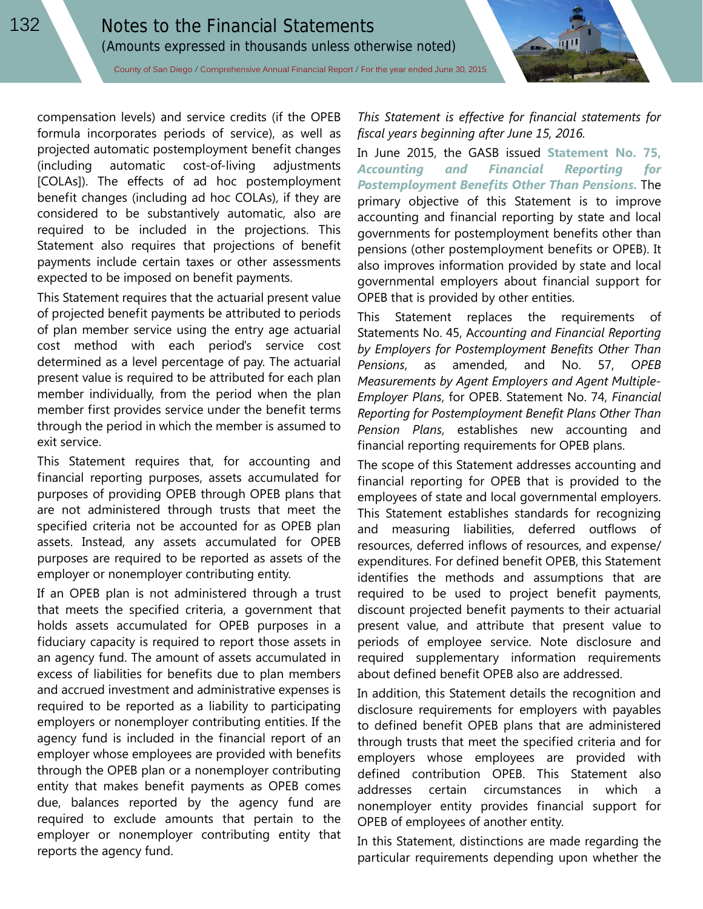compensation levels) and service credits (if the OPEB formula incorporates periods of service), as well as projected automatic postemployment benefit changes (including automatic cost-of-living adjustments [COLAs]). The effects of ad hoc postemployment benefit changes (including ad hoc COLAs), if they are considered to be substantively automatic, also are required to be included in the projections. This Statement also requires that projections of benefit payments include certain taxes or other assessments expected to be imposed on benefit payments.

This Statement requires that the actuarial present value of projected benefit payments be attributed to periods of plan member service using the entry age actuarial cost method with each period's service cost determined as a level percentage of pay. The actuarial present value is required to be attributed for each plan member individually, from the period when the plan member first provides service under the benefit terms through the period in which the member is assumed to exit service.

This Statement requires that, for accounting and financial reporting purposes, assets accumulated for purposes of providing OPEB through OPEB plans that are not administered through trusts that meet the specified criteria not be accounted for as OPEB plan assets. Instead, any assets accumulated for OPEB purposes are required to be reported as assets of the employer or nonemployer contributing entity.

If an OPEB plan is not administered through a trust that meets the specified criteria, a government that holds assets accumulated for OPEB purposes in a fiduciary capacity is required to report those assets in an agency fund. The amount of assets accumulated in excess of liabilities for benefits due to plan members and accrued investment and administrative expenses is required to be reported as a liability to participating employers or nonemployer contributing entities. If the agency fund is included in the financial report of an employer whose employees are provided with benefits through the OPEB plan or a nonemployer contributing entity that makes benefit payments as OPEB comes due, balances reported by the agency fund are required to exclude amounts that pertain to the employer or nonemployer contributing entity that reports the agency fund.

*This Statement is effective for financial statements for fiscal years beginning after June 15, 2016.*

In June 2015, the GASB issued **Statement No. 75,** *Accounting and Financial Reporting for Postemployment Benefits Other Than Pensions.* The primary objective of this Statement is to improve accounting and financial reporting by state and local governments for postemployment benefits other than pensions (other postemployment benefits or OPEB). It also improves information provided by state and local governmental employers about financial support for OPEB that is provided by other entities.

This Statement replaces the requirements of Statements No. 45, A*ccounting and Financial Reporting by Employers for Postemployment Benefits Other Than Pensions*, as amended, and No. 57, *OPEB Measurements by Agent Employers and Agent Multiple-Employer Plans*, for OPEB. Statement No. 74, *Financial Reporting for Postemployment Benefit Plans Other Than Pension Plans*, establishes new accounting and financial reporting requirements for OPEB plans.

The scope of this Statement addresses accounting and financial reporting for OPEB that is provided to the employees of state and local governmental employers. This Statement establishes standards for recognizing and measuring liabilities, deferred outflows of resources, deferred inflows of resources, and expense/ expenditures. For defined benefit OPEB, this Statement identifies the methods and assumptions that are required to be used to project benefit payments, discount projected benefit payments to their actuarial present value, and attribute that present value to periods of employee service. Note disclosure and required supplementary information requirements about defined benefit OPEB also are addressed.

In addition, this Statement details the recognition and disclosure requirements for employers with payables to defined benefit OPEB plans that are administered through trusts that meet the specified criteria and for employers whose employees are provided with defined contribution OPEB. This Statement also addresses certain circumstances in which nonemployer entity provides financial support for OPEB of employees of another entity.

In this Statement, distinctions are made regarding the particular requirements depending upon whether the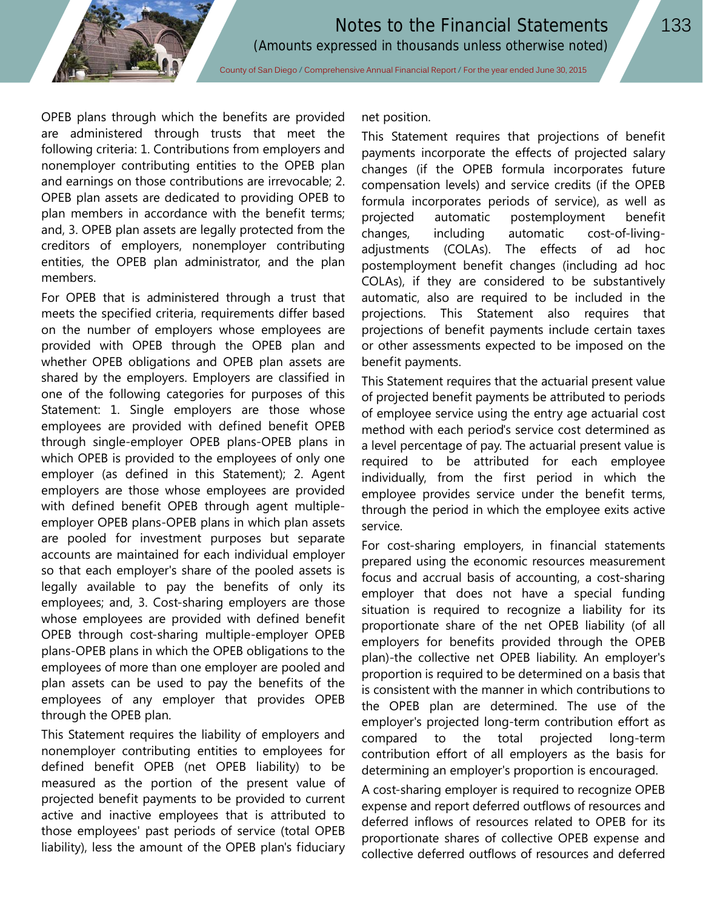

OPEB plans through which the benefits are provided are administered through trusts that meet the following criteria: 1. Contributions from employers and nonemployer contributing entities to the OPEB plan and earnings on those contributions are irrevocable; 2. OPEB plan assets are dedicated to providing OPEB to plan members in accordance with the benefit terms; and, 3. OPEB plan assets are legally protected from the creditors of employers, nonemployer contributing entities, the OPEB plan administrator, and the plan members.

For OPEB that is administered through a trust that meets the specified criteria, requirements differ based on the number of employers whose employees are provided with OPEB through the OPEB plan and whether OPEB obligations and OPEB plan assets are shared by the employers. Employers are classified in one of the following categories for purposes of this Statement: 1. Single employers are those whose employees are provided with defined benefit OPEB through single-employer OPEB plans-OPEB plans in which OPEB is provided to the employees of only one employer (as defined in this Statement); 2. Agent employers are those whose employees are provided with defined benefit OPEB through agent multipleemployer OPEB plans-OPEB plans in which plan assets are pooled for investment purposes but separate accounts are maintained for each individual employer so that each employer's share of the pooled assets is legally available to pay the benefits of only its employees; and, 3. Cost-sharing employers are those whose employees are provided with defined benefit OPEB through cost-sharing multiple-employer OPEB plans-OPEB plans in which the OPEB obligations to the employees of more than one employer are pooled and plan assets can be used to pay the benefits of the employees of any employer that provides OPEB through the OPEB plan.

This Statement requires the liability of employers and nonemployer contributing entities to employees for defined benefit OPEB (net OPEB liability) to be measured as the portion of the present value of projected benefit payments to be provided to current active and inactive employees that is attributed to those employees' past periods of service (total OPEB liability), less the amount of the OPEB plan's fiduciary net position.

This Statement requires that projections of benefit payments incorporate the effects of projected salary changes (if the OPEB formula incorporates future compensation levels) and service credits (if the OPEB formula incorporates periods of service), as well as projected automatic postemployment benefit changes, including automatic cost-of-livingadjustments (COLAs). The effects of ad hoc postemployment benefit changes (including ad hoc COLAs), if they are considered to be substantively automatic, also are required to be included in the projections. This Statement also requires that projections of benefit payments include certain taxes or other assessments expected to be imposed on the benefit payments.

This Statement requires that the actuarial present value of projected benefit payments be attributed to periods of employee service using the entry age actuarial cost method with each period's service cost determined as a level percentage of pay. The actuarial present value is required to be attributed for each employee individually, from the first period in which the employee provides service under the benefit terms, through the period in which the employee exits active service.

For cost-sharing employers, in financial statements prepared using the economic resources measurement focus and accrual basis of accounting, a cost-sharing employer that does not have a special funding situation is required to recognize a liability for its proportionate share of the net OPEB liability (of all employers for benefits provided through the OPEB plan)-the collective net OPEB liability. An employer's proportion is required to be determined on a basis that is consistent with the manner in which contributions to the OPEB plan are determined. The use of the employer's projected long-term contribution effort as compared to the total projected long-term contribution effort of all employers as the basis for determining an employer's proportion is encouraged.

A cost-sharing employer is required to recognize OPEB expense and report deferred outflows of resources and deferred inflows of resources related to OPEB for its proportionate shares of collective OPEB expense and collective deferred outflows of resources and deferred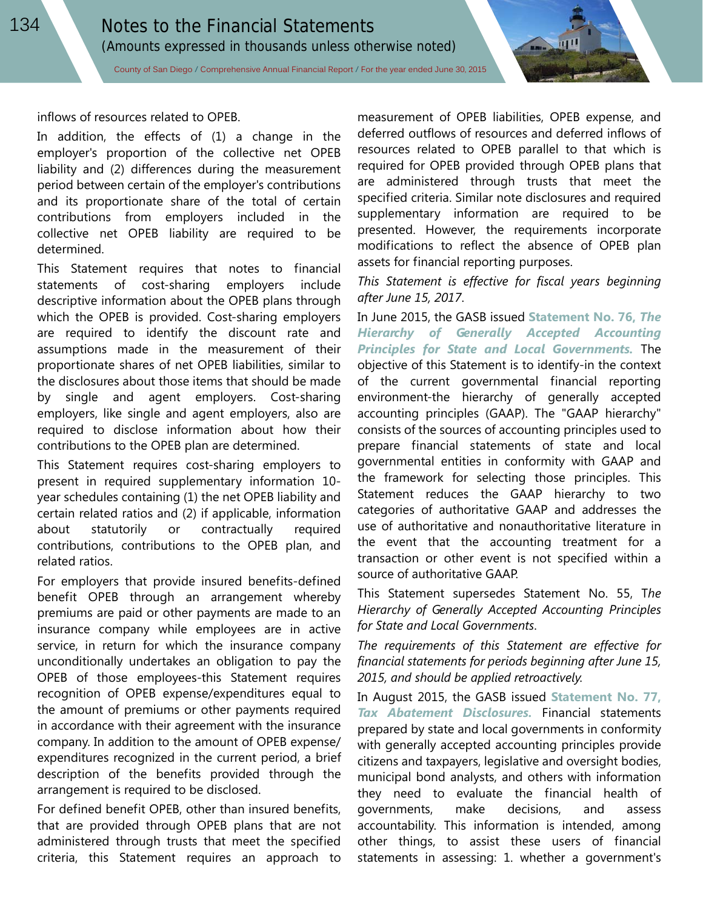inflows of resources related to OPEB.

In addition, the effects of (1) a change in the employer's proportion of the collective net OPEB liability and (2) differences during the measurement period between certain of the employer's contributions and its proportionate share of the total of certain contributions from employers included in the collective net OPEB liability are required to be determined.

This Statement requires that notes to financial statements of cost-sharing employers include descriptive information about the OPEB plans through which the OPEB is provided. Cost-sharing employers are required to identify the discount rate and assumptions made in the measurement of their proportionate shares of net OPEB liabilities, similar to the disclosures about those items that should be made by single and agent employers. Cost-sharing employers, like single and agent employers, also are required to disclose information about how their contributions to the OPEB plan are determined.

This Statement requires cost-sharing employers to present in required supplementary information 10 year schedules containing (1) the net OPEB liability and certain related ratios and (2) if applicable, information about statutorily or contractually required contributions, contributions to the OPEB plan, and related ratios.

For employers that provide insured benefits-defined benefit OPEB through an arrangement whereby premiums are paid or other payments are made to an insurance company while employees are in active service, in return for which the insurance company unconditionally undertakes an obligation to pay the OPEB of those employees-this Statement requires recognition of OPEB expense/expenditures equal to the amount of premiums or other payments required in accordance with their agreement with the insurance company. In addition to the amount of OPEB expense/ expenditures recognized in the current period, a brief description of the benefits provided through the arrangement is required to be disclosed.

For defined benefit OPEB, other than insured benefits, that are provided through OPEB plans that are not administered through trusts that meet the specified criteria, this Statement requires an approach to

measurement of OPEB liabilities, OPEB expense, and deferred outflows of resources and deferred inflows of resources related to OPEB parallel to that which is required for OPEB provided through OPEB plans that are administered through trusts that meet the specified criteria. Similar note disclosures and required supplementary information are required to be presented. However, the requirements incorporate modifications to reflect the absence of OPEB plan assets for financial reporting purposes.

*This Statement is effective for fiscal years beginning after June 15, 2017*.

In June 2015, the GASB issued **Statement No. 76,** *The Hierarchy of Generally Accepted Accounting Principles for State and Local Governments.* The objective of this Statement is to identify-in the context of the current governmental financial reporting environment-the hierarchy of generally accepted accounting principles (GAAP). The "GAAP hierarchy" consists of the sources of accounting principles used to prepare financial statements of state and local governmental entities in conformity with GAAP and the framework for selecting those principles. This Statement reduces the GAAP hierarchy to two categories of authoritative GAAP and addresses the use of authoritative and nonauthoritative literature in the event that the accounting treatment for a transaction or other event is not specified within a source of authoritative GAAP.

This Statement supersedes Statement No. 55, T*he Hierarchy of Generally Accepted Accounting Principles for State and Local Governments*.

*The requirements of this Statement are effective for financial statements for periods beginning after June 15, 2015, and should be applied retroactively.*

In August 2015, the GASB issued **Statement No. 77,** *Tax Abatement Disclosures.* Financial statements prepared by state and local governments in conformity with generally accepted accounting principles provide citizens and taxpayers, legislative and oversight bodies, municipal bond analysts, and others with information they need to evaluate the financial health of governments, make decisions, and assess accountability. This information is intended, among other things, to assist these users of financial statements in assessing: 1. whether a government's